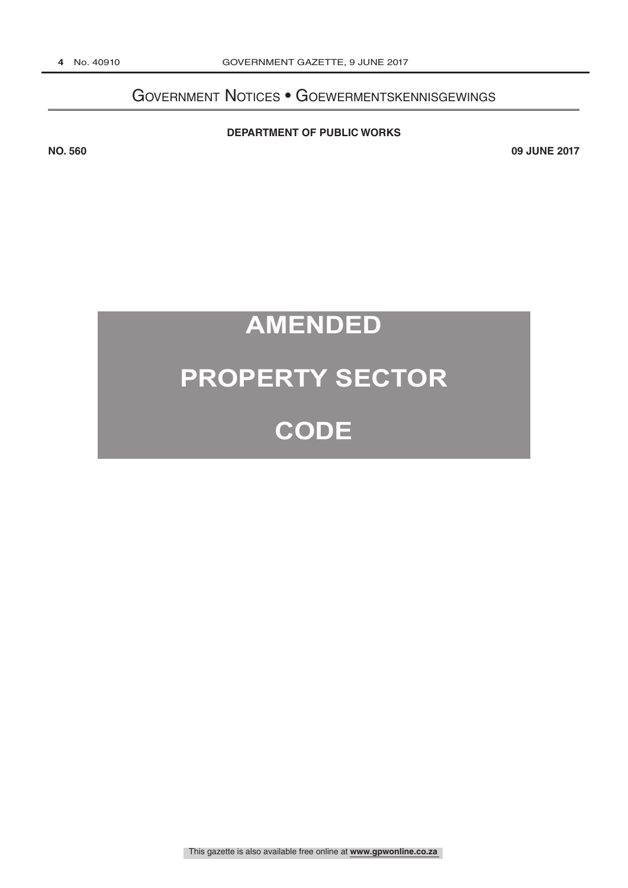## Government Notices • Goewermentskennisgewings

#### **DEPARTMENT OF PUBLIC WORKS**

**NO. 560 09 JUNE 2017**

# **AMENDED**

## **PROPERTY SECTOR**

## **CODE**

This gazette is also available free online at **www.gpwonline.co.za**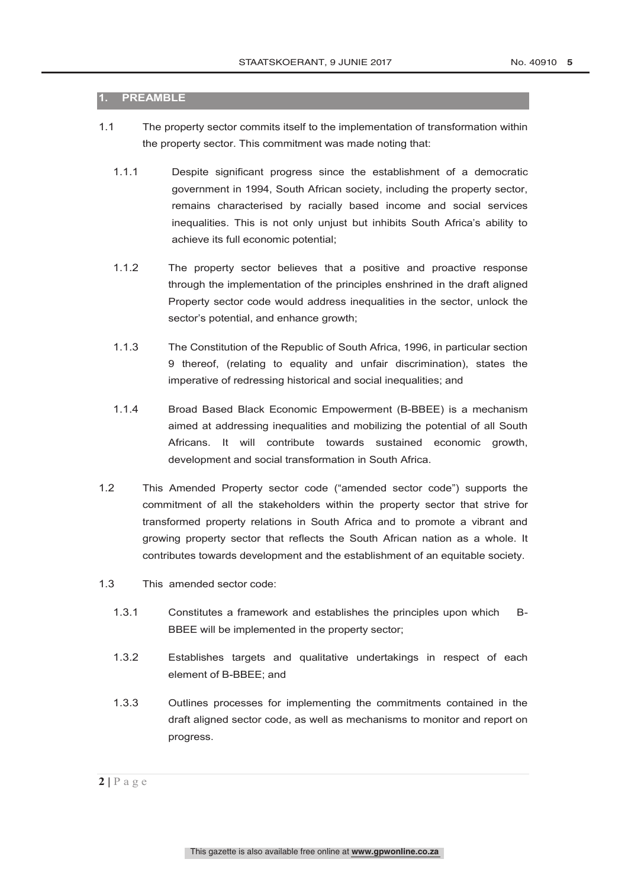#### **1. PREAMBLE**

- 1.1 The property sector commits itself to the implementation of transformation within the property sector. This commitment was made noting that:
	- 1.1.1 Despite significant progress since the establishment of a democratic government in 1994, South African society, including the property sector, remains characterised by racially based income and social services inequalities. This is not only unjust but inhibits South Africa's ability to achieve its full economic potential;
	- 1.1.2 The property sector believes that a positive and proactive response through the implementation of the principles enshrined in the draft aligned Property sector code would address inequalities in the sector, unlock the sector's potential, and enhance growth;
	- 1.1.3 The Constitution of the Republic of South Africa, 1996, in particular section 9 thereof, (relating to equality and unfair discrimination), states the imperative of redressing historical and social inequalities; and
	- 1.1.4 Broad Based Black Economic Empowerment (B-BBEE) is a mechanism aimed at addressing inequalities and mobilizing the potential of all South Africans. It will contribute towards sustained economic growth, development and social transformation in South Africa.
- 1.2 This Amended Property sector code ("amended sector code") supports the commitment of all the stakeholders within the property sector that strive for transformed property relations in South Africa and to promote a vibrant and growing property sector that reflects the South African nation as a whole. It contributes towards development and the establishment of an equitable society.
- 1.3 This amended sector code:
	- 1.3.1 Constitutes a framework and establishes the principles upon which B-BBEE will be implemented in the property sector;
	- 1.3.2 Establishes targets and qualitative undertakings in respect of each element of B-BBEE; and
	- 1.3.3 Outlines processes for implementing the commitments contained in the draft aligned sector code, as well as mechanisms to monitor and report on progress.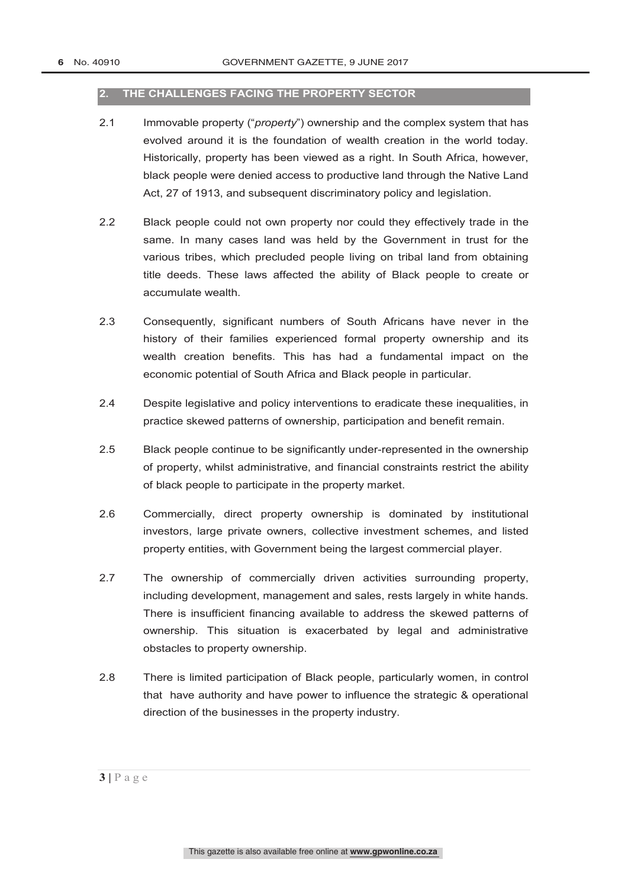#### **2. THE CHALLENGES FACING THE PROPERTY SECTOR**

- 2.1 Immovable property ("*property*") ownership and the complex system that has evolved around it is the foundation of wealth creation in the world today. Historically, property has been viewed as a right. In South Africa, however, black people were denied access to productive land through the Native Land Act, 27 of 1913, and subsequent discriminatory policy and legislation.
- 2.2 Black people could not own property nor could they effectively trade in the same. In many cases land was held by the Government in trust for the various tribes, which precluded people living on tribal land from obtaining title deeds. These laws affected the ability of Black people to create or accumulate wealth.
- 2.3 Consequently, significant numbers of South Africans have never in the history of their families experienced formal property ownership and its wealth creation benefits. This has had a fundamental impact on the economic potential of South Africa and Black people in particular.
- 2.4 Despite legislative and policy interventions to eradicate these inequalities, in practice skewed patterns of ownership, participation and benefit remain.
- 2.5 Black people continue to be significantly under-represented in the ownership of property, whilst administrative, and financial constraints restrict the ability of black people to participate in the property market.
- 2.6 Commercially, direct property ownership is dominated by institutional investors, large private owners, collective investment schemes, and listed property entities, with Government being the largest commercial player.
- 2.7 The ownership of commercially driven activities surrounding property, including development, management and sales, rests largely in white hands. There is insufficient financing available to address the skewed patterns of ownership. This situation is exacerbated by legal and administrative obstacles to property ownership.
- 2.8 There is limited participation of Black people, particularly women, in control that have authority and have power to influence the strategic & operational direction of the businesses in the property industry.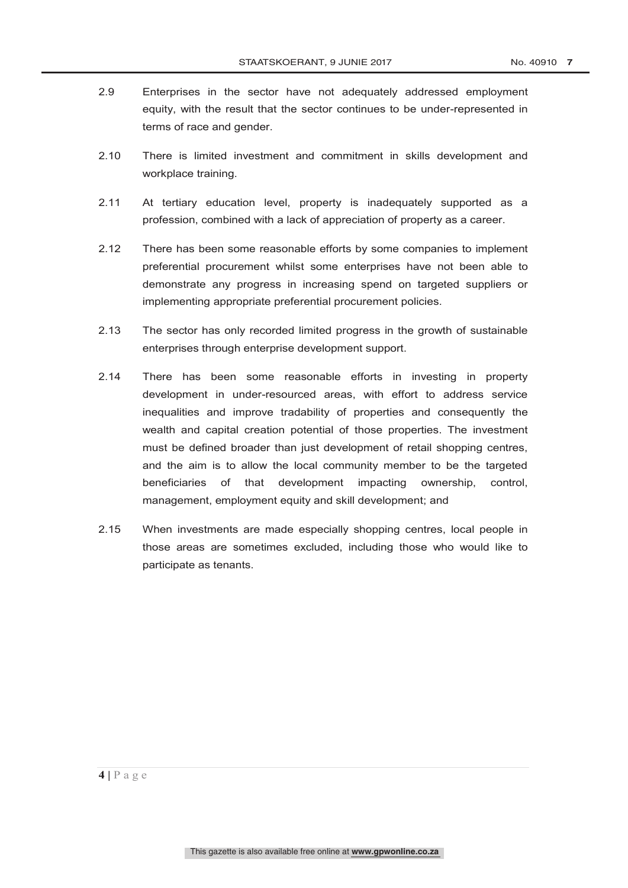- 2.9 Enterprises in the sector have not adequately addressed employment equity, with the result that the sector continues to be under-represented in terms of race and gender.
- 2.10 There is limited investment and commitment in skills development and workplace training.
- 2.11 At tertiary education level, property is inadequately supported as a profession, combined with a lack of appreciation of property as a career.
- 2.12 There has been some reasonable efforts by some companies to implement preferential procurement whilst some enterprises have not been able to demonstrate any progress in increasing spend on targeted suppliers or implementing appropriate preferential procurement policies.
- 2.13 The sector has only recorded limited progress in the growth of sustainable enterprises through enterprise development support.
- 2.14 There has been some reasonable efforts in investing in property development in under-resourced areas, with effort to address service inequalities and improve tradability of properties and consequently the wealth and capital creation potential of those properties. The investment must be defined broader than just development of retail shopping centres, and the aim is to allow the local community member to be the targeted beneficiaries of that development impacting ownership, control, management, employment equity and skill development; and
- 2.15 When investments are made especially shopping centres, local people in those areas are sometimes excluded, including those who would like to participate as tenants.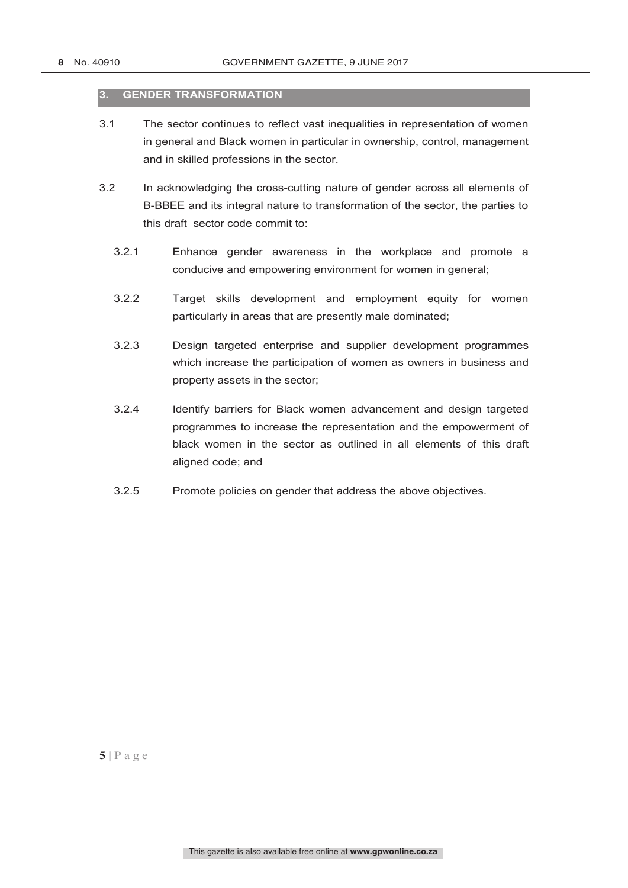#### **3. GENDER TRANSFORMATION**

- 3.1 The sector continues to reflect vast inequalities in representation of women in general and Black women in particular in ownership, control, management and in skilled professions in the sector.
- 3.2 In acknowledging the cross-cutting nature of gender across all elements of B-BBEE and its integral nature to transformation of the sector, the parties to this draft sector code commit to:
	- 3.2.1 Enhance gender awareness in the workplace and promote a conducive and empowering environment for women in general;
	- 3.2.2 Target skills development and employment equity for women particularly in areas that are presently male dominated;
	- 3.2.3 Design targeted enterprise and supplier development programmes which increase the participation of women as owners in business and property assets in the sector;
	- 3.2.4 Identify barriers for Black women advancement and design targeted programmes to increase the representation and the empowerment of black women in the sector as outlined in all elements of this draft aligned code; and
	- 3.2.5 Promote policies on gender that address the above objectives.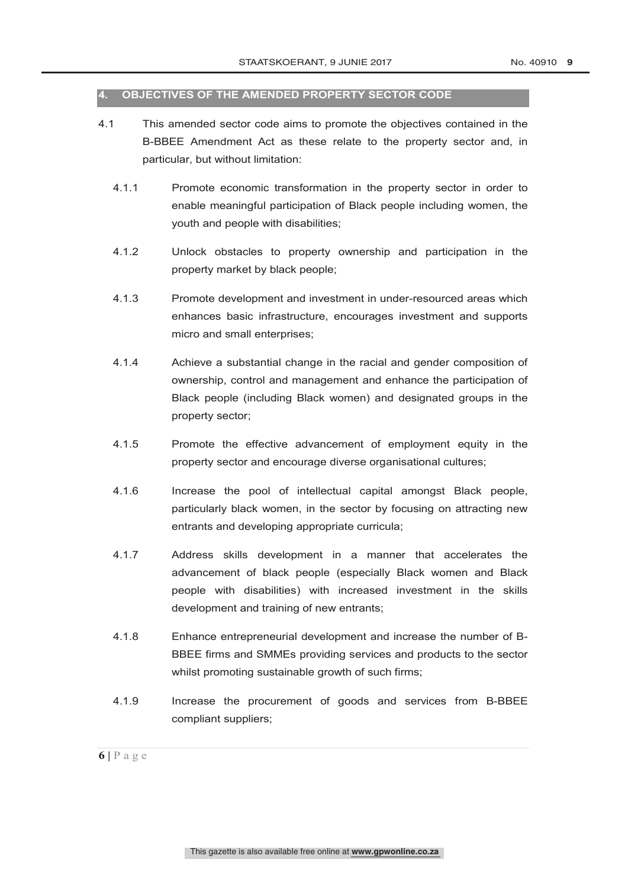#### **4. OBJECTIVES OF THE AMENDED PROPERTY SECTOR CODE**

- 4.1 This amended sector code aims to promote the objectives contained in the B-BBEE Amendment Act as these relate to the property sector and, in particular, but without limitation:
	- 4.1.1 Promote economic transformation in the property sector in order to enable meaningful participation of Black people including women, the youth and people with disabilities;
	- 4.1.2 Unlock obstacles to property ownership and participation in the property market by black people;
	- 4.1.3 Promote development and investment in under-resourced areas which enhances basic infrastructure, encourages investment and supports micro and small enterprises;
	- 4.1.4 Achieve a substantial change in the racial and gender composition of ownership, control and management and enhance the participation of Black people (including Black women) and designated groups in the property sector;
	- 4.1.5 Promote the effective advancement of employment equity in the property sector and encourage diverse organisational cultures;
	- 4.1.6 Increase the pool of intellectual capital amongst Black people, particularly black women, in the sector by focusing on attracting new entrants and developing appropriate curricula;
	- 4.1.7 Address skills development in a manner that accelerates the advancement of black people (especially Black women and Black people with disabilities) with increased investment in the skills development and training of new entrants;
	- 4.1.8 Enhance entrepreneurial development and increase the number of B-BBEE firms and SMMEs providing services and products to the sector whilst promoting sustainable growth of such firms;
	- 4.1.9 Increase the procurement of goods and services from B-BBEE compliant suppliers;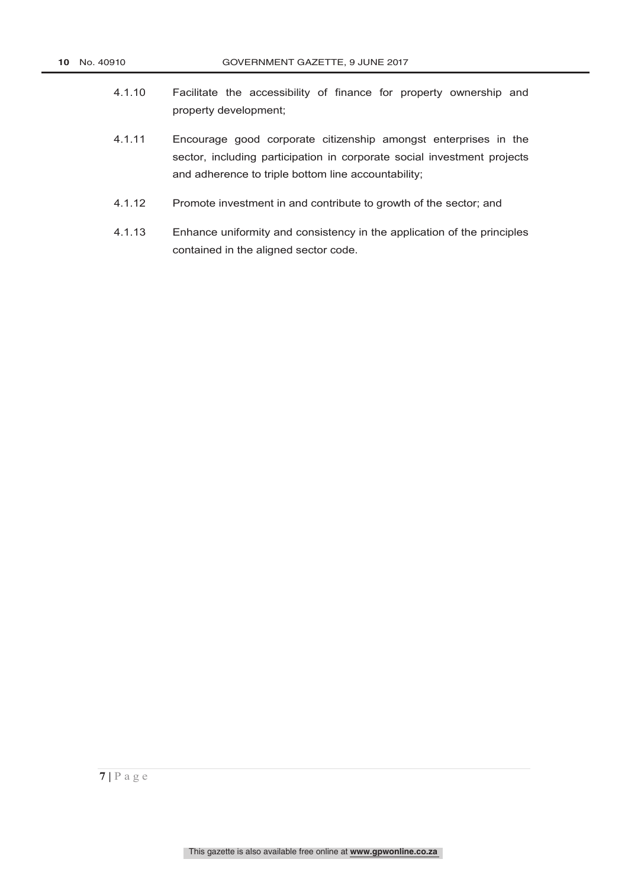- 4.1.10 Facilitate the accessibility of finance for property ownership and property development;
- 4.1.11 Encourage good corporate citizenship amongst enterprises in the sector, including participation in corporate social investment projects and adherence to triple bottom line accountability;
- 4.1.12 Promote investment in and contribute to growth of the sector; and
- 4.1.13 Enhance uniformity and consistency in the application of the principles contained in the aligned sector code.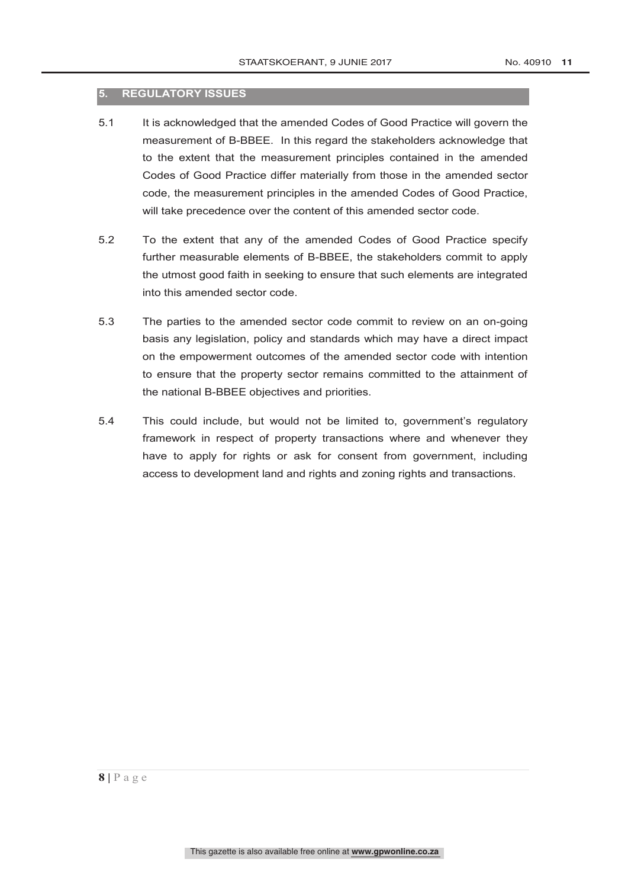#### **5. REGULATORY ISSUES**

- 5.1 It is acknowledged that the amended Codes of Good Practice will govern the measurement of B-BBEE. In this regard the stakeholders acknowledge that to the extent that the measurement principles contained in the amended Codes of Good Practice differ materially from those in the amended sector code, the measurement principles in the amended Codes of Good Practice, will take precedence over the content of this amended sector code.
- 5.2 To the extent that any of the amended Codes of Good Practice specify further measurable elements of B-BBEE, the stakeholders commit to apply the utmost good faith in seeking to ensure that such elements are integrated into this amended sector code.
- 5.3 The parties to the amended sector code commit to review on an on-going basis any legislation, policy and standards which may have a direct impact on the empowerment outcomes of the amended sector code with intention to ensure that the property sector remains committed to the attainment of the national B-BBEE objectives and priorities.
- 5.4 This could include, but would not be limited to, government's regulatory framework in respect of property transactions where and whenever they have to apply for rights or ask for consent from government, including access to development land and rights and zoning rights and transactions.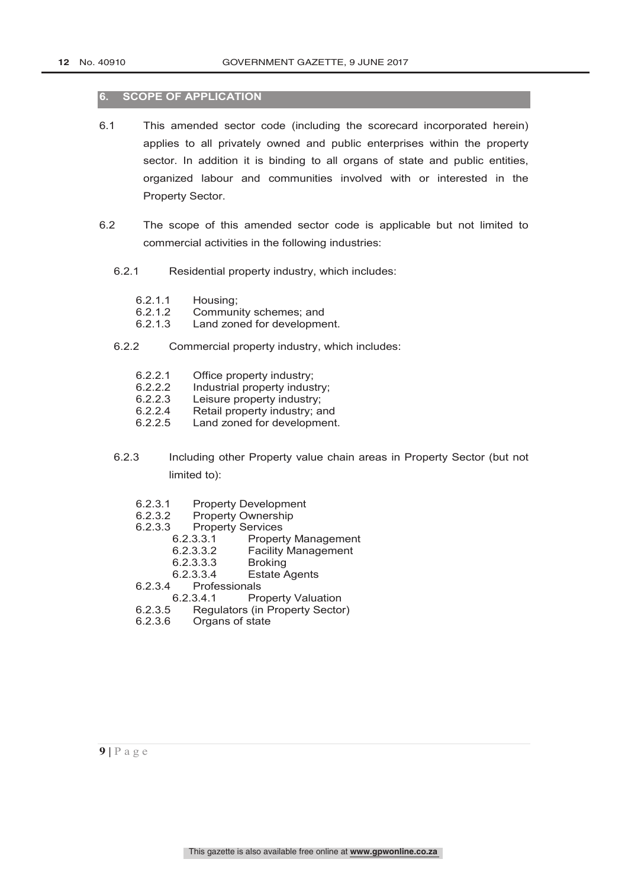#### **6. SCOPE OF APPLICATION**

- 6.1 This amended sector code (including the scorecard incorporated herein) applies to all privately owned and public enterprises within the property sector. In addition it is binding to all organs of state and public entities, organized labour and communities involved with or interested in the Property Sector.
- 6.2 The scope of this amended sector code is applicable but not limited to commercial activities in the following industries:
	- 6.2.1 Residential property industry, which includes:
		- 6.2.1.1 Housing;<br>6.2.1.2 Commun
		-
		- 6.2.1.2 Community schemes; and<br>6.2.1.3 Land zoned for developme Land zoned for development.
	- 6.2.2 Commercial property industry, which includes:
		- 6.2.2.1 Office property industry;<br>6.2.2.2 Industrial property indus
		- 6.2.2.2 Industrial property industry;<br>6.2.2.3 Leisure property industry:
		- Leisure property industry:
		- 6.2.2.4 Retail property industry; and
		- 6.2.2.5 Land zoned for development.
	- 6.2.3 Including other Property value chain areas in Property Sector (but not limited to):
		- 6.2.3.1 Property Development<br>6.2.3.2 Property Ownership
		- 6.2.3.2 Property Ownership<br>6.2.3.3 Property Services
		- Property Services<br>6.2.3.3.1 Proper
			- Property Management
			- 6.2.3.3.2 Facility Management
			- 6.2.3.3.3 Broking<br>6.2.3.3.4 Estate /
		- 6.2.3.3.4 Estate Agents<br>6.2.3.4 Professionals
		- **Professionals**
		- 6.2.3.4.1 Property Valuation<br>6.2.3.5 Regulators (in Property Sector
		- Regulators (in Property Sector)
		- 6.2.3.6 Organs of state

 $9 | P a g e$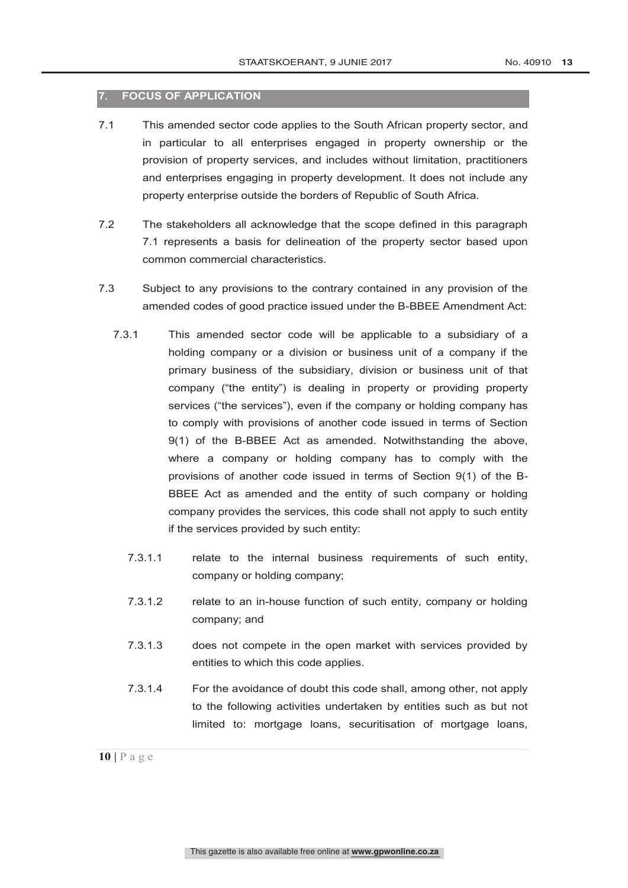#### **7. FOCUS OF APPLICATION**

- 7.1 This amended sector code applies to the South African property sector, and in particular to all enterprises engaged in property ownership or the provision of property services, and includes without limitation, practitioners and enterprises engaging in property development. It does not include any property enterprise outside the borders of Republic of South Africa.
- 7.2 The stakeholders all acknowledge that the scope defined in this paragraph 7.1 represents a basis for delineation of the property sector based upon common commercial characteristics.
- 7.3 Subject to any provisions to the contrary contained in any provision of the amended codes of good practice issued under the B-BBEE Amendment Act:
	- 7.3.1 This amended sector code will be applicable to a subsidiary of a holding company or a division or business unit of a company if the primary business of the subsidiary, division or business unit of that company ("the entity") is dealing in property or providing property services ("the services"), even if the company or holding company has to comply with provisions of another code issued in terms of Section 9(1) of the B-BBEE Act as amended. Notwithstanding the above, where a company or holding company has to comply with the provisions of another code issued in terms of Section 9(1) of the B-BBEE Act as amended and the entity of such company or holding company provides the services, this code shall not apply to such entity if the services provided by such entity:
		- 7.3.1.1 relate to the internal business requirements of such entity, company or holding company;
		- 7.3.1.2 relate to an in-house function of such entity, company or holding company; and
		- 7.3.1.3 does not compete in the open market with services provided by entities to which this code applies.
		- 7.3.1.4 For the avoidance of doubt this code shall, among other, not apply to the following activities undertaken by entities such as but not limited to: mortgage loans, securitisation of mortgage loans,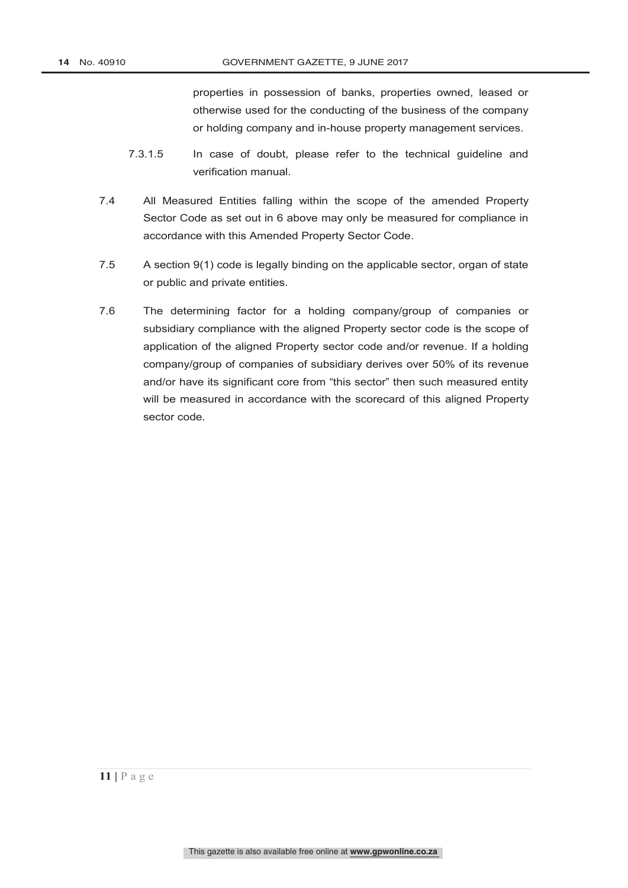properties in possession of banks, properties owned, leased or otherwise used for the conducting of the business of the company or holding company and in-house property management services.

- 7.3.1.5 In case of doubt, please refer to the technical guideline and verification manual.
- 7.4 All Measured Entities falling within the scope of the amended Property Sector Code as set out in 6 above may only be measured for compliance in accordance with this Amended Property Sector Code.
- 7.5 A section 9(1) code is legally binding on the applicable sector, organ of state or public and private entities.
- 7.6 The determining factor for a holding company/group of companies or subsidiary compliance with the aligned Property sector code is the scope of application of the aligned Property sector code and/or revenue. If a holding company/group of companies of subsidiary derives over 50% of its revenue and/or have its significant core from "this sector" then such measured entity will be measured in accordance with the scorecard of this aligned Property sector code.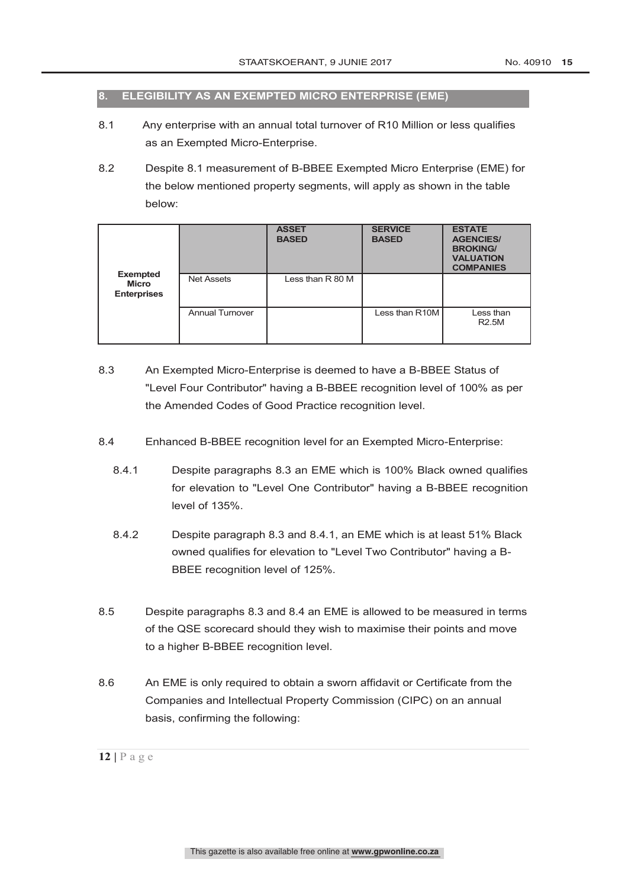#### **8. ELEGIBILITY AS AN EXEMPTED MICRO ENTERPRISE (EME)**

- 8.1 Any enterprise with an annual total turnover of R10 Million or less qualifies as an Exempted Micro-Enterprise.
- 8.2 Despite 8.1 measurement of B-BBEE Exempted Micro Enterprise (EME) for the below mentioned property segments, will apply as shown in the table below:

|                                                |                        | <b>ASSET</b><br><b>BASED</b> | <b>SERVICE</b><br><b>BASED</b> | <b>ESTATE</b><br><b>AGENCIES/</b><br><b>BROKING/</b><br><b>VALUATION</b><br><b>COMPANIES</b> |
|------------------------------------------------|------------------------|------------------------------|--------------------------------|----------------------------------------------------------------------------------------------|
| <b>Exempted</b><br>Micro<br><b>Enterprises</b> | <b>Net Assets</b>      | Less than R 80 M             |                                |                                                                                              |
|                                                | <b>Annual Turnover</b> |                              | Less than R10M                 | Less than<br><b>R2.5M</b>                                                                    |

- 8.3 An Exempted Micro-Enterprise is deemed to have a B-BBEE Status of "Level Four Contributor" having a B-BBEE recognition level of 100% as per the Amended Codes of Good Practice recognition level.
- 8.4 Enhanced B-BBEE recognition level for an Exempted Micro-Enterprise:
	- 8.4.1 Despite paragraphs 8.3 an EME which is 100% Black owned qualifies for elevation to "Level One Contributor" having a B-BBEE recognition level of 135%.
	- 8.4.2 Despite paragraph 8.3 and 8.4.1, an EME which is at least 51% Black owned qualifies for elevation to "Level Two Contributor" having a B-BBEE recognition level of 125%.
- 8.5 Despite paragraphs 8.3 and 8.4 an EME is allowed to be measured in terms of the QSE scorecard should they wish to maximise their points and move to a higher B-BBEE recognition level.
- 8.6 An EME is only required to obtain a sworn affidavit or Certificate from the Companies and Intellectual Property Commission (CIPC) on an annual basis, confirming the following: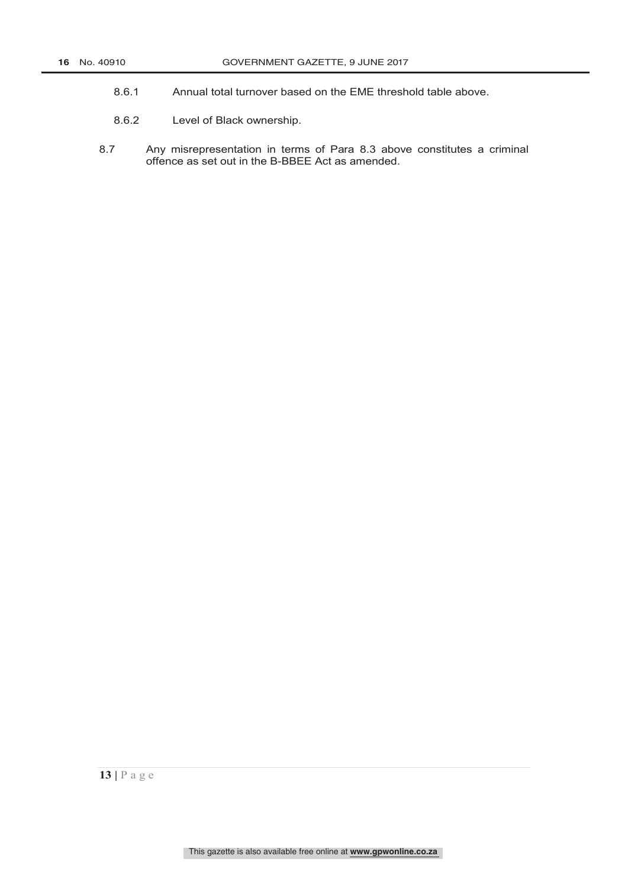- 8.6.1 Annual total turnover based on the EME threshold table above.
- 8.6.2 Level of Black ownership.
- 8.7 Any misrepresentation in terms of Para 8.3 above constitutes a criminal offence as set out in the B-BBEE Act as amended.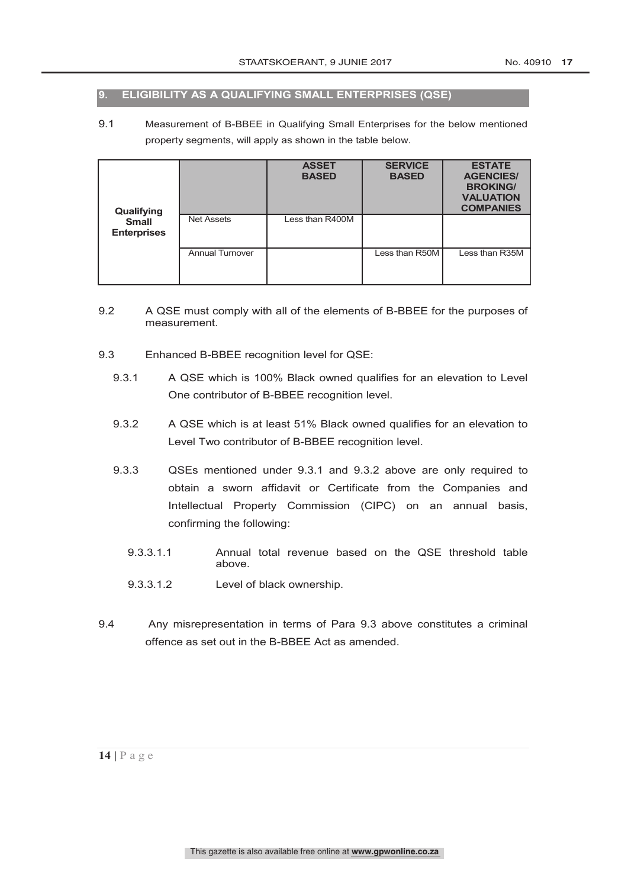#### **9. ELIGIBILITY AS A QUALIFYING SMALL ENTERPRISES (QSE)**

9.1 Measurement of B-BBEE in Qualifying Small Enterprises for the below mentioned property segments, will apply as shown in the table below.

| Qualifying                         |                        | <b>ASSET</b><br><b>BASED</b> | <b>SERVICE</b><br><b>BASED</b> | <b>ESTATE</b><br><b>AGENCIES/</b><br><b>BROKING/</b><br><b>VALUATION</b><br><b>COMPANIES</b> |
|------------------------------------|------------------------|------------------------------|--------------------------------|----------------------------------------------------------------------------------------------|
| <b>Small</b><br><b>Enterprises</b> | <b>Net Assets</b>      | Less than R400M              |                                |                                                                                              |
|                                    | <b>Annual Turnover</b> |                              | Less than R50M                 | Less than R35M                                                                               |

- 9.2 A QSE must comply with all of the elements of B-BBEE for the purposes of measurement.
- 9.3 Enhanced B-BBEE recognition level for QSE:
	- 9.3.1 A QSE which is 100% Black owned qualifies for an elevation to Level One contributor of B-BBEE recognition level.
	- 9.3.2 A QSE which is at least 51% Black owned qualifies for an elevation to Level Two contributor of B-BBEE recognition level.
	- 9.3.3 QSEs mentioned under 9.3.1 and 9.3.2 above are only required to obtain a sworn affidavit or Certificate from the Companies and Intellectual Property Commission (CIPC) on an annual basis, confirming the following:
		- 9.3.3.1.1 Annual total revenue based on the QSE threshold table above.
		- 9.3.3.1.2 Level of black ownership.
- 9.4 Any misrepresentation in terms of Para 9.3 above constitutes a criminal offence as set out in the B-BBEE Act as amended.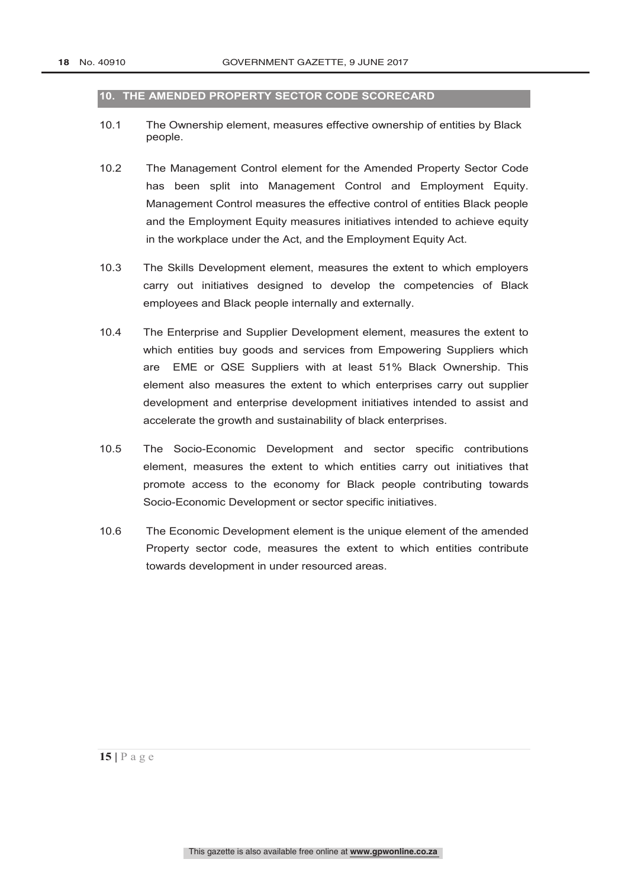#### **10. THE AMENDED PROPERTY SECTOR CODE SCORECARD**

- 10.1 The Ownership element, measures effective ownership of entities by Black people.
- 10.2 The Management Control element for the Amended Property Sector Code has been split into Management Control and Employment Equity. Management Control measures the effective control of entities Black people and the Employment Equity measures initiatives intended to achieve equity in the workplace under the Act, and the Employment Equity Act.
- 10.3 The Skills Development element, measures the extent to which employers carry out initiatives designed to develop the competencies of Black employees and Black people internally and externally.
- 10.4 The Enterprise and Supplier Development element, measures the extent to which entities buy goods and services from Empowering Suppliers which are EME or QSE Suppliers with at least 51% Black Ownership. This element also measures the extent to which enterprises carry out supplier development and enterprise development initiatives intended to assist and accelerate the growth and sustainability of black enterprises.
- 10.5 The Socio-Economic Development and sector specific contributions element, measures the extent to which entities carry out initiatives that promote access to the economy for Black people contributing towards Socio-Economic Development or sector specific initiatives.
- 10.6 The Economic Development element is the unique element of the amended Property sector code, measures the extent to which entities contribute towards development in under resourced areas.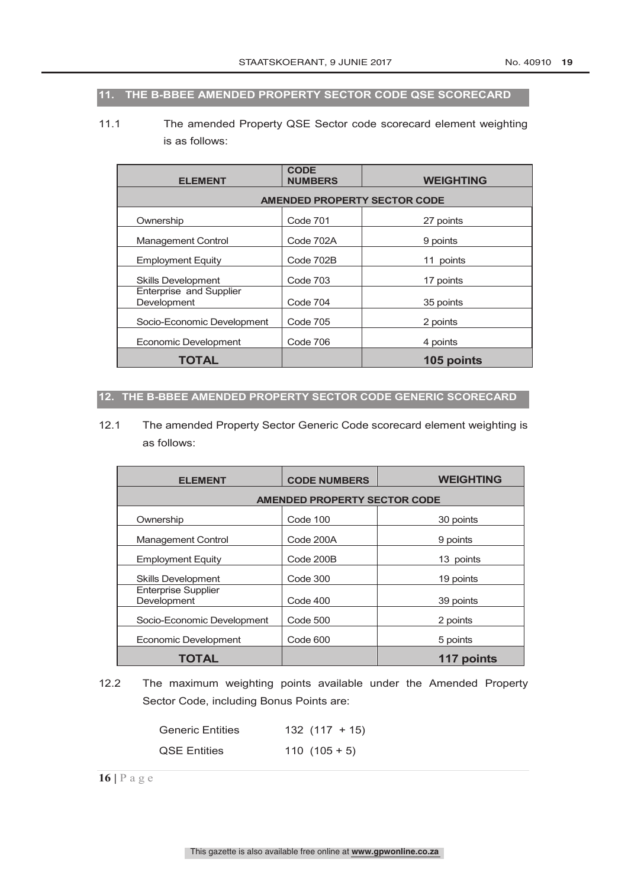#### **11. THE B-BBEE AMENDED PROPERTY SECTOR CODE QSE SCORECARD**

11.1 The amended Property QSE Sector code scorecard element weighting is as follows:

| <b>ELEMENT</b>                         | <b>CODE</b><br><b>NUMBERS</b> | <b>WEIGHTING</b> |  |  |  |
|----------------------------------------|-------------------------------|------------------|--|--|--|
| <b>AMENDED PROPERTY SECTOR CODE</b>    |                               |                  |  |  |  |
| Ownership                              | Code 701                      | 27 points        |  |  |  |
| <b>Management Control</b>              | Code 702A                     | 9 points         |  |  |  |
| <b>Employment Equity</b>               | Code 702B                     | 11 points        |  |  |  |
| <b>Skills Development</b>              | Code 703                      | 17 points        |  |  |  |
| Enterprise and Supplier<br>Development | Code 704                      | 35 points        |  |  |  |
| Socio-Economic Development             | <b>Code 705</b>               | 2 points         |  |  |  |
| Economic Development                   | Code 706                      | 4 points         |  |  |  |
| TOTAL                                  |                               | 105 points       |  |  |  |

#### **12. THE B-BBEE AMENDED PROPERTY SECTOR CODE GENERIC SCORECARD**

12.1 The amended Property Sector Generic Code scorecard element weighting is as follows:

| <b>ELEMENT</b>                            | <b>CODE NUMBERS</b> | <b>WEIGHTING</b> |  |  |  |
|-------------------------------------------|---------------------|------------------|--|--|--|
| <b>AMENDED PROPERTY SECTOR CODE</b>       |                     |                  |  |  |  |
| Ownership                                 | Code 100            | 30 points        |  |  |  |
| <b>Management Control</b>                 | Code 200A           | 9 points         |  |  |  |
| <b>Employment Equity</b>                  | Code 200B           | 13 points        |  |  |  |
| <b>Skills Development</b>                 | Code 300            | 19 points        |  |  |  |
| <b>Enterprise Supplier</b><br>Development | Code 400            | 39 points        |  |  |  |
| Socio-Economic Development                | Code 500            | 2 points         |  |  |  |
| Economic Development                      | Code 600            | 5 points         |  |  |  |
| <b>TOTAL</b>                              |                     | 117 points       |  |  |  |

12.2 The maximum weighting points available under the Amended Property Sector Code, including Bonus Points are:

| <b>Generic Entities</b> | $132(117+15)$ |
|-------------------------|---------------|
| <b>QSE Entities</b>     | $110(105+5)$  |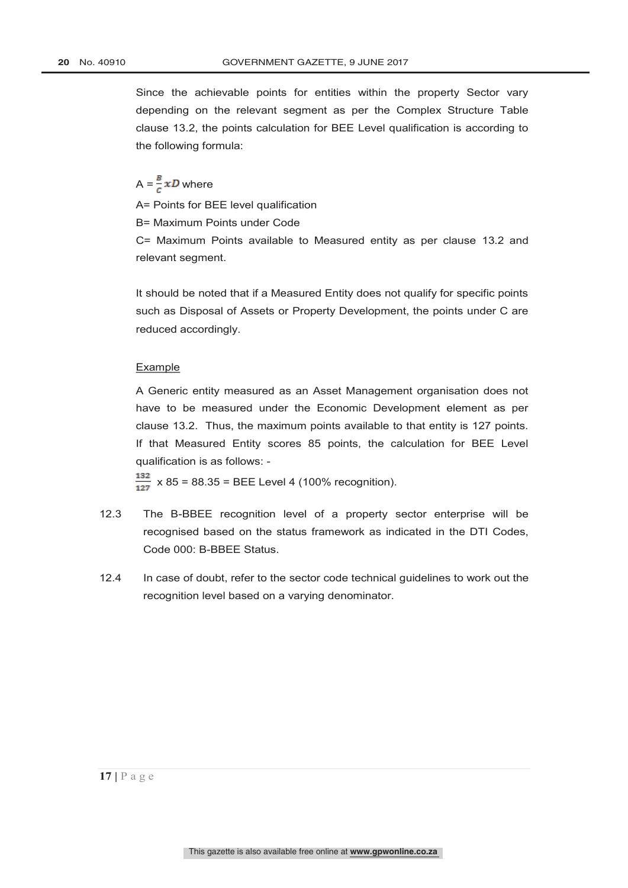Since the achievable points for entities within the property Sector vary depending on the relevant segment as per the Complex Structure Table clause 13.2, the points calculation for BEE Level qualification is according to the following formula:

 $A = \frac{B}{c} x D$  where

A= Points for BEE level qualification

B= Maximum Points under Code

C= Maximum Points available to Measured entity as per clause 13.2 and relevant segment.

It should be noted that if a Measured Entity does not qualify for specific points such as Disposal of Assets or Property Development, the points under C are reduced accordingly.

#### Example

A Generic entity measured as an Asset Management organisation does not have to be measured under the Economic Development element as per clause 13.2. Thus, the maximum points available to that entity is 127 points. If that Measured Entity scores 85 points, the calculation for BEE Level qualification is as follows: -

 $\frac{132}{127}$  x 85 = 88.35 = BEE Level 4 (100% recognition).

- 12.3 The B-BBEE recognition level of a property sector enterprise will be recognised based on the status framework as indicated in the DTI Codes, Code 000: B-BBEE Status.
- 12.4 In case of doubt, refer to the sector code technical guidelines to work out the recognition level based on a varying denominator.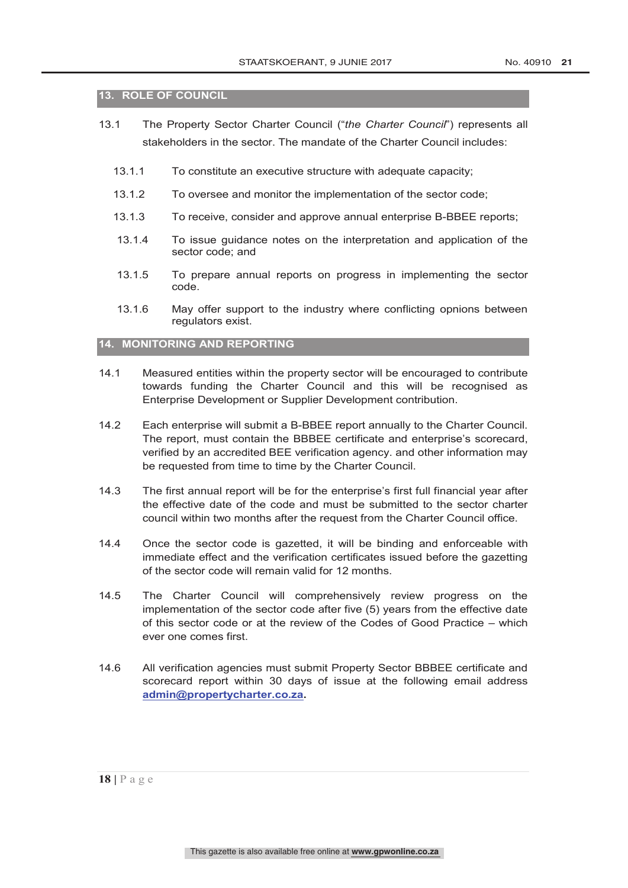#### **13. ROLE OF COUNCIL**

- 13.1 The Property Sector Charter Council ("*the Charter Council*") represents all stakeholders in the sector. The mandate of the Charter Council includes:
	- 13.1.1 To constitute an executive structure with adequate capacity;
	- 13.1.2 To oversee and monitor the implementation of the sector code;
	- 13.1.3 To receive, consider and approve annual enterprise B-BBEE reports;
	- 13.1.4 To issue guidance notes on the interpretation and application of the sector code; and
	- 13.1.5 To prepare annual reports on progress in implementing the sector code.
	- 13.1.6 May offer support to the industry where conflicting opnions between regulators exist.

#### **14. MONITORING AND REPORTING**

- 14.1 Measured entities within the property sector will be encouraged to contribute towards funding the Charter Council and this will be recognised as Enterprise Development or Supplier Development contribution.
- 14.2 Each enterprise will submit a B-BBEE report annually to the Charter Council. The report, must contain the BBBEE certificate and enterprise's scorecard, verified by an accredited BEE verification agency. and other information may be requested from time to time by the Charter Council.
- 14.3 The first annual report will be for the enterprise's first full financial year after the effective date of the code and must be submitted to the sector charter council within two months after the request from the Charter Council office.
- 14.4 Once the sector code is gazetted, it will be binding and enforceable with immediate effect and the verification certificates issued before the gazetting of the sector code will remain valid for 12 months.
- 14.5 The Charter Council will comprehensively review progress on the implementation of the sector code after five (5) years from the effective date of this sector code or at the review of the Codes of Good Practice – which ever one comes first.
- 14.6 All verification agencies must submit Property Sector BBBEE certificate and scorecard report within 30 days of issue at the following email address **admin@propertycharter.co.za.**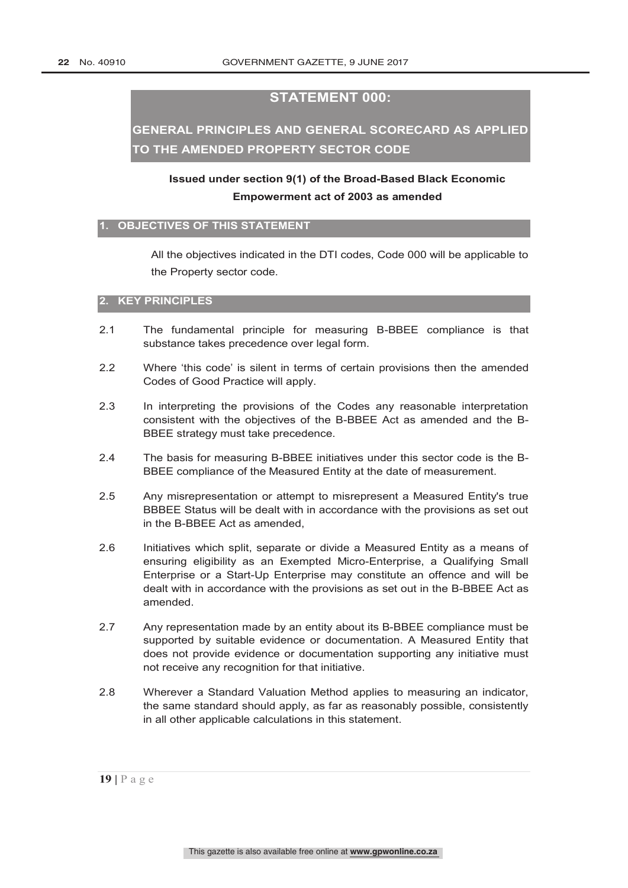#### **STATEMENT 000:**

## **GENERAL PRINCIPLES AND GENERAL SCORECARD AS APPLIED TO THE AMENDED PROPERTY SECTOR CODE**

## **Issued under section 9(1) of the Broad-Based Black Economic Empowerment act of 2003 as amended**

#### **1. OBJECTIVES OF THIS STATEMENT**

All the objectives indicated in the DTI codes, Code 000 will be applicable to the Property sector code.

#### **2. KEY PRINCIPLES**

- 2.1 The fundamental principle for measuring B-BBEE compliance is that substance takes precedence over legal form.
- 2.2 Where 'this code' is silent in terms of certain provisions then the amended Codes of Good Practice will apply.
- 2.3 In interpreting the provisions of the Codes any reasonable interpretation consistent with the objectives of the B-BBEE Act as amended and the B-BBEE strategy must take precedence.
- 2.4 The basis for measuring B-BBEE initiatives under this sector code is the B-BBEE compliance of the Measured Entity at the date of measurement.
- 2.5 Any misrepresentation or attempt to misrepresent a Measured Entity's true BBBEE Status will be dealt with in accordance with the provisions as set out in the B-BBEE Act as amended,
- 2.6 Initiatives which split, separate or divide a Measured Entity as a means of ensuring eligibility as an Exempted Micro-Enterprise, a Qualifying Small Enterprise or a Start-Up Enterprise may constitute an offence and will be dealt with in accordance with the provisions as set out in the B-BBEE Act as amended.
- 2.7 Any representation made by an entity about its B-BBEE compliance must be supported by suitable evidence or documentation. A Measured Entity that does not provide evidence or documentation supporting any initiative must not receive any recognition for that initiative.
- 2.8 Wherever a Standard Valuation Method applies to measuring an indicator, the same standard should apply, as far as reasonably possible, consistently in all other applicable calculations in this statement.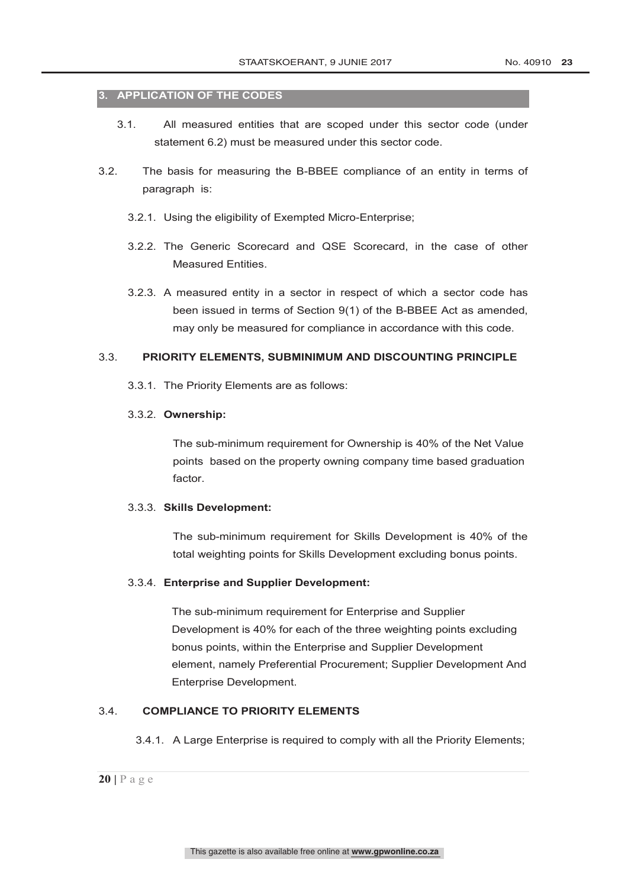#### **3. APPLICATION OF THE CODES**

- 3.1. All measured entities that are scoped under this sector code (under statement 6.2) must be measured under this sector code.
- 3.2. The basis for measuring the B-BBEE compliance of an entity in terms of paragraph is:
	- 3.2.1. Using the eligibility of Exempted Micro-Enterprise;
	- 3.2.2. The Generic Scorecard and QSE Scorecard, in the case of other Measured Entities.
	- 3.2.3. A measured entity in a sector in respect of which a sector code has been issued in terms of Section 9(1) of the B-BBEE Act as amended, may only be measured for compliance in accordance with this code.

#### 3.3. **PRIORITY ELEMENTS, SUBMINIMUM AND DISCOUNTING PRINCIPLE**

3.3.1. The Priority Elements are as follows:

#### 3.3.2. **Ownership:**

The sub-minimum requirement for Ownership is 40% of the Net Value points based on the property owning company time based graduation factor.

#### 3.3.3. **Skills Development:**

The sub-minimum requirement for Skills Development is 40% of the total weighting points for Skills Development excluding bonus points.

#### 3.3.4. **Enterprise and Supplier Development:**

The sub-minimum requirement for Enterprise and Supplier Development is 40% for each of the three weighting points excluding bonus points, within the Enterprise and Supplier Development element, namely Preferential Procurement; Supplier Development And Enterprise Development.

#### 3.4. **COMPLIANCE TO PRIORITY ELEMENTS**

3.4.1. A Large Enterprise is required to comply with all the Priority Elements;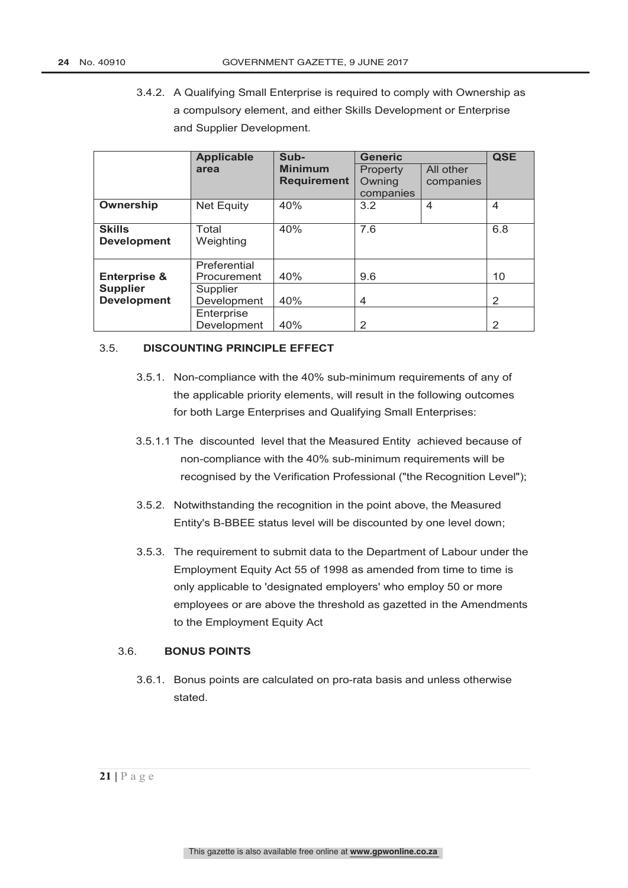3.4.2. A Qualifying Small Enterprise is required to comply with Ownership as a compulsory element, and either Skills Development or Enterprise and Supplier Development.

|                                       | <b>Applicable</b>           | Sub-                                 | <b>Generic</b>                  |                        | <b>QSE</b> |
|---------------------------------------|-----------------------------|--------------------------------------|---------------------------------|------------------------|------------|
|                                       | area                        | <b>Minimum</b><br><b>Requirement</b> | Property<br>Owning<br>companies | All other<br>companies |            |
| Ownership                             | <b>Net Equity</b>           | 40%                                  | 3.2                             | 4                      | 4          |
| <b>Skills</b><br><b>Development</b>   | Total<br>Weighting          | 40%                                  | 7.6                             |                        | 6.8        |
| <b>Enterprise &amp;</b>               | Preferential<br>Procurement | 40%                                  | 9.6                             |                        | 10         |
| <b>Supplier</b><br><b>Development</b> | Supplier<br>Development     | 40%                                  | 4                               |                        | 2          |
|                                       | Enterprise<br>Development   | 40%                                  | 2                               |                        | 2          |

#### 3.5. **DISCOUNTING PRINCIPLE EFFECT**

- 3.5.1. Non-compliance with the 40% sub-minimum requirements of any of the applicable priority elements, will result in the following outcomes for both Large Enterprises and Qualifying Small Enterprises:
- 3.5.1.1 The discounted level that the Measured Entity achieved because of non-compliance with the 40% sub-minimum requirements will be recognised by the Verification Professional ("the Recognition Level");
- 3.5.2. Notwithstanding the recognition in the point above, the Measured Entity's B-BBEE status level will be discounted by one level down;
- 3.5.3. The requirement to submit data to the Department of Labour under the Employment Equity Act 55 of 1998 as amended from time to time is only applicable to 'designated employers' who employ 50 or more employees or are above the threshold as gazetted in the Amendments to the Employment Equity Act

#### 3.6. **BONUS POINTS**

3.6.1. Bonus points are calculated on pro-rata basis and unless otherwise stated.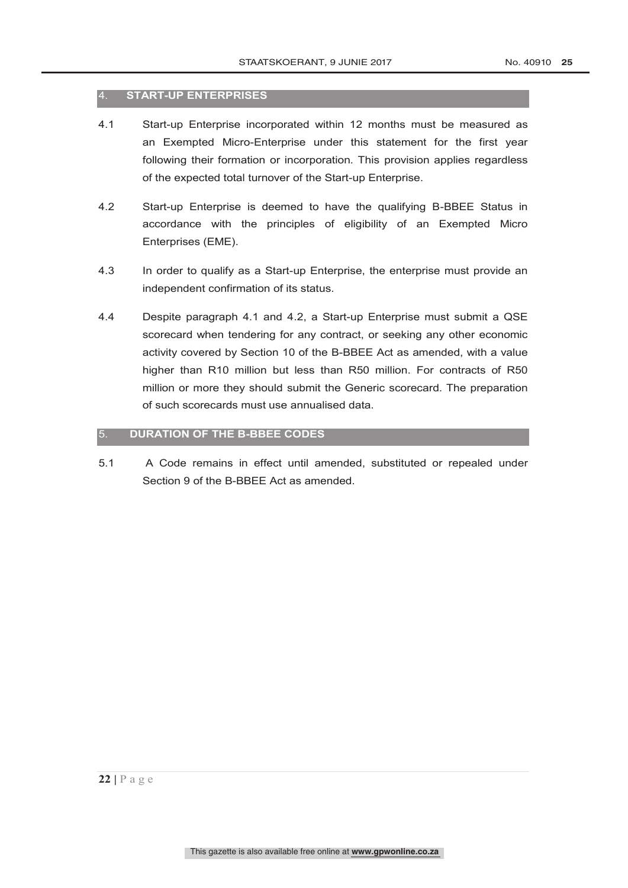#### 4. **START-UP ENTERPRISES**

- 4.1 Start-up Enterprise incorporated within 12 months must be measured as an Exempted Micro-Enterprise under this statement for the first year following their formation or incorporation. This provision applies regardless of the expected total turnover of the Start-up Enterprise.
- 4.2 Start-up Enterprise is deemed to have the qualifying B-BBEE Status in accordance with the principles of eligibility of an Exempted Micro Enterprises (EME).
- 4.3 In order to qualify as a Start-up Enterprise, the enterprise must provide an independent confirmation of its status.
- 4.4 Despite paragraph 4.1 and 4.2, a Start-up Enterprise must submit a QSE scorecard when tendering for any contract, or seeking any other economic activity covered by Section 10 of the B-BBEE Act as amended, with a value higher than R10 million but less than R50 million. For contracts of R50 million or more they should submit the Generic scorecard. The preparation of such scorecards must use annualised data.

#### 5. **DURATION OF THE B-BBEE CODES**

5.1 A Code remains in effect until amended, substituted or repealed under Section 9 of the B-BBEE Act as amended.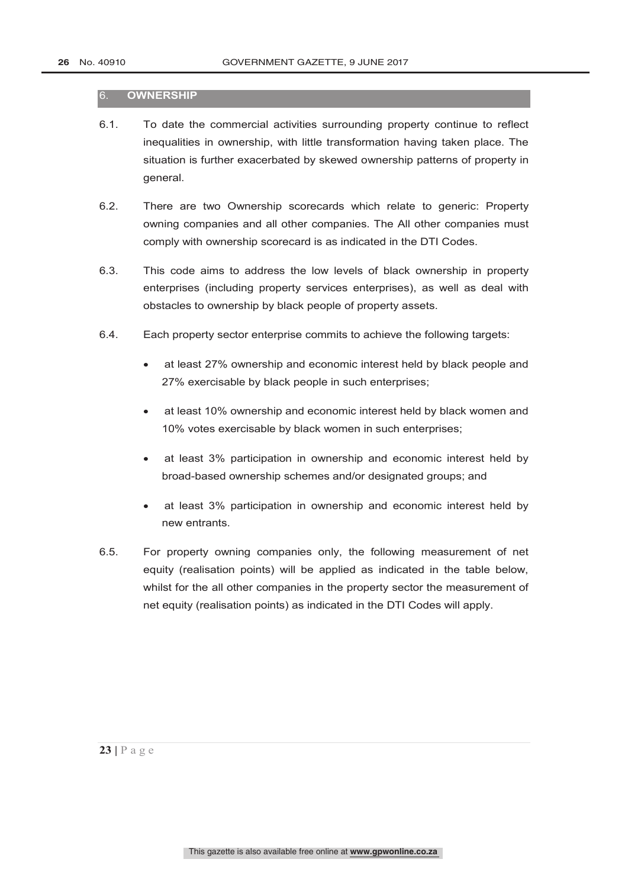#### 6. **OWNERSHIP**

- 6.1. To date the commercial activities surrounding property continue to reflect inequalities in ownership, with little transformation having taken place. The situation is further exacerbated by skewed ownership patterns of property in general.
- 6.2. There are two Ownership scorecards which relate to generic: Property owning companies and all other companies. The All other companies must comply with ownership scorecard is as indicated in the DTI Codes.
- 6.3. This code aims to address the low levels of black ownership in property enterprises (including property services enterprises), as well as deal with obstacles to ownership by black people of property assets.
- 6.4. Each property sector enterprise commits to achieve the following targets:
	- at least 27% ownership and economic interest held by black people and 27% exercisable by black people in such enterprises;
	- at least 10% ownership and economic interest held by black women and 10% votes exercisable by black women in such enterprises;
	- at least 3% participation in ownership and economic interest held by broad-based ownership schemes and/or designated groups; and
	- at least 3% participation in ownership and economic interest held by new entrants.
- 6.5. For property owning companies only, the following measurement of net equity (realisation points) will be applied as indicated in the table below, whilst for the all other companies in the property sector the measurement of net equity (realisation points) as indicated in the DTI Codes will apply.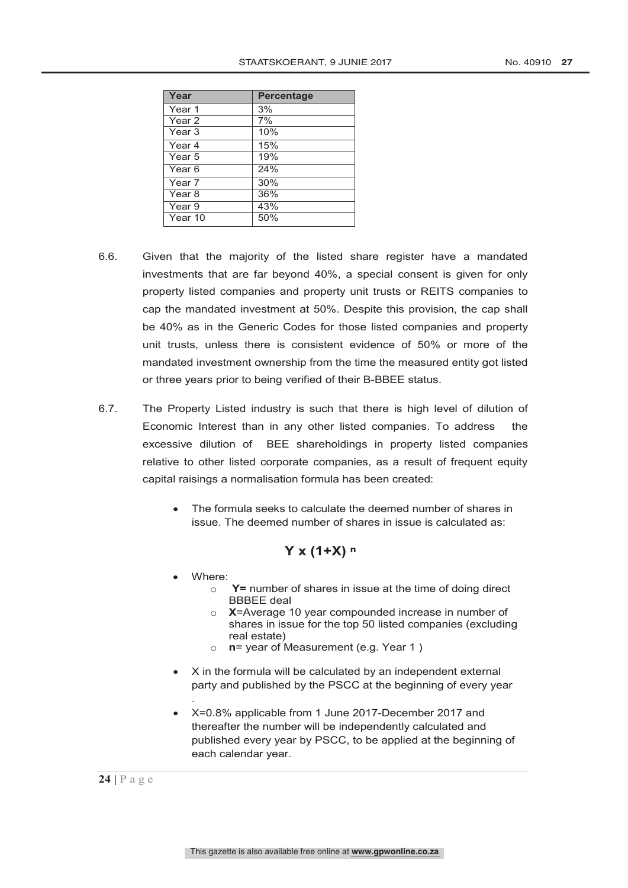| Year              | Percentage |
|-------------------|------------|
| Year 1            | 3%         |
| Year 2            | 7%         |
| Year <sub>3</sub> | 10%        |
| Year <sub>4</sub> | 15%        |
| Year <sub>5</sub> | 19%        |
| Year <sub>6</sub> | 24%        |
| Year <sub>7</sub> | 30%        |
| Year <sub>8</sub> | 36%        |
| Year 9            | 43%        |
| Year 10           | 50%        |

- 6.6. Given that the majority of the listed share register have a mandated investments that are far beyond 40%, a special consent is given for only property listed companies and property unit trusts or REITS companies to cap the mandated investment at 50%. Despite this provision, the cap shall be 40% as in the Generic Codes for those listed companies and property unit trusts, unless there is consistent evidence of 50% or more of the mandated investment ownership from the time the measured entity got listed or three years prior to being verified of their B-BBEE status.
- 6.7. The Property Listed industry is such that there is high level of dilution of Economic Interest than in any other listed companies. To address the excessive dilution of BEE shareholdings in property listed companies relative to other listed corporate companies, as a result of frequent equity capital raisings a normalisation formula has been created:
	- The formula seeks to calculate the deemed number of shares in issue. The deemed number of shares in issue is calculated as:

#### **Y x (1+X) ⁿ**

Where:

.

- o **Y=** number of shares in issue at the time of doing direct BBBEE deal
- o **X**=Average 10 year compounded increase in number of shares in issue for the top 50 listed companies (excluding real estate)
- n= year of Measurement (e.g. Year 1)
- X in the formula will be calculated by an independent external party and published by the PSCC at the beginning of every year
- X=0.8% applicable from 1 June 2017-December 2017 and thereafter the number will be independently calculated and published every year by PSCC, to be applied at the beginning of each calendar year.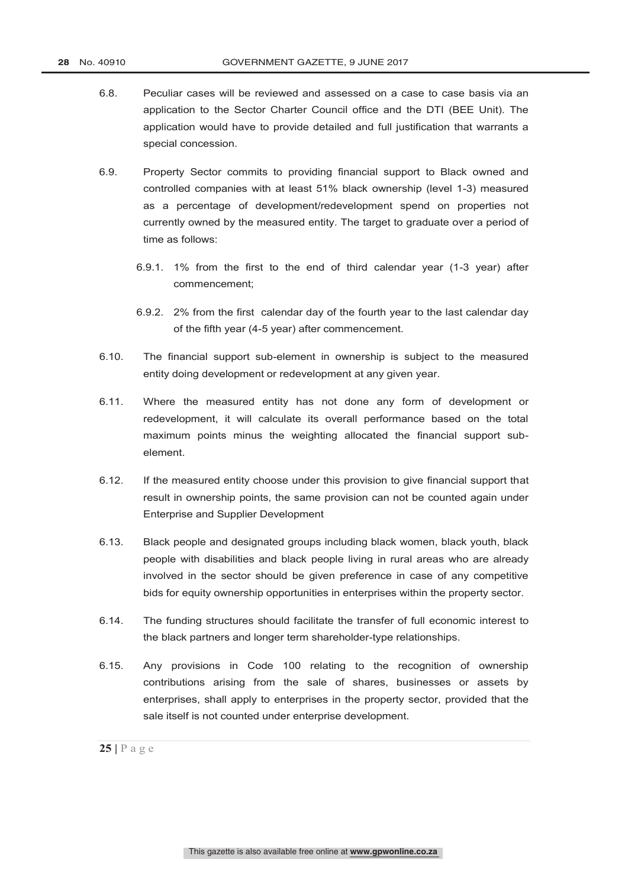- 6.8. Peculiar cases will be reviewed and assessed on a case to case basis via an application to the Sector Charter Council office and the DTI (BEE Unit). The application would have to provide detailed and full justification that warrants a special concession.
- 6.9. Property Sector commits to providing financial support to Black owned and controlled companies with at least 51% black ownership (level 1-3) measured as a percentage of development/redevelopment spend on properties not currently owned by the measured entity. The target to graduate over a period of time as follows:
	- 6.9.1. 1% from the first to the end of third calendar year (1-3 year) after commencement;
	- 6.9.2. 2% from the first calendar day of the fourth year to the last calendar day of the fifth year (4-5 year) after commencement.
- 6.10. The financial support sub-element in ownership is subject to the measured entity doing development or redevelopment at any given year.
- 6.11. Where the measured entity has not done any form of development or redevelopment, it will calculate its overall performance based on the total maximum points minus the weighting allocated the financial support subelement.
- 6.12. If the measured entity choose under this provision to give financial support that result in ownership points, the same provision can not be counted again under Enterprise and Supplier Development
- 6.13. Black people and designated groups including black women, black youth, black people with disabilities and black people living in rural areas who are already involved in the sector should be given preference in case of any competitive bids for equity ownership opportunities in enterprises within the property sector.
- 6.14. The funding structures should facilitate the transfer of full economic interest to the black partners and longer term shareholder-type relationships.
- 6.15. Any provisions in Code 100 relating to the recognition of ownership contributions arising from the sale of shares, businesses or assets by enterprises, shall apply to enterprises in the property sector, provided that the sale itself is not counted under enterprise development.

 $25$  |  $P$  a g e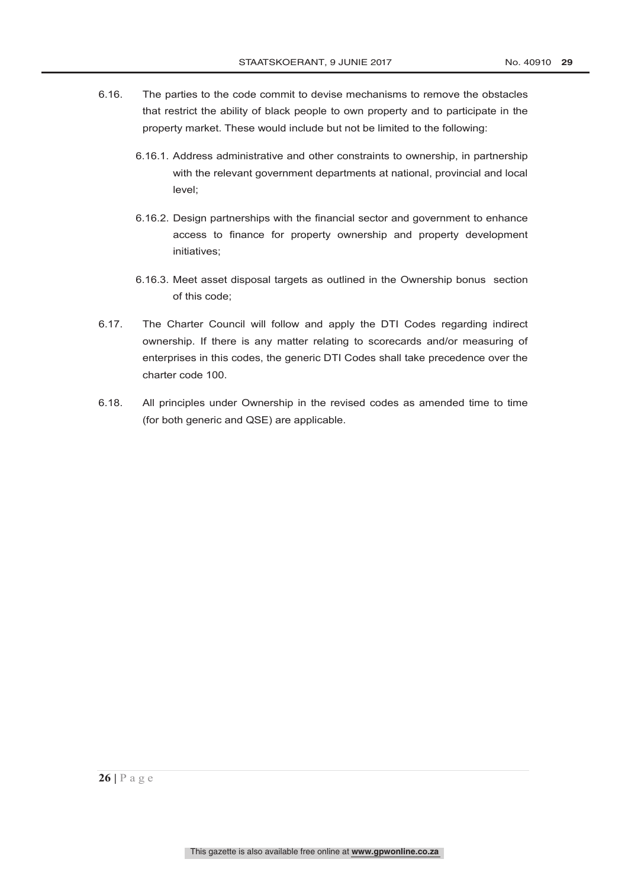- 6.16. The parties to the code commit to devise mechanisms to remove the obstacles that restrict the ability of black people to own property and to participate in the property market. These would include but not be limited to the following:
	- 6.16.1. Address administrative and other constraints to ownership, in partnership with the relevant government departments at national, provincial and local level;
	- 6.16.2. Design partnerships with the financial sector and government to enhance access to finance for property ownership and property development initiatives;
	- 6.16.3. Meet asset disposal targets as outlined in the Ownership bonus section of this code;
- 6.17. The Charter Council will follow and apply the DTI Codes regarding indirect ownership. If there is any matter relating to scorecards and/or measuring of enterprises in this codes, the generic DTI Codes shall take precedence over the charter code 100.
- 6.18. All principles under Ownership in the revised codes as amended time to time (for both generic and QSE) are applicable.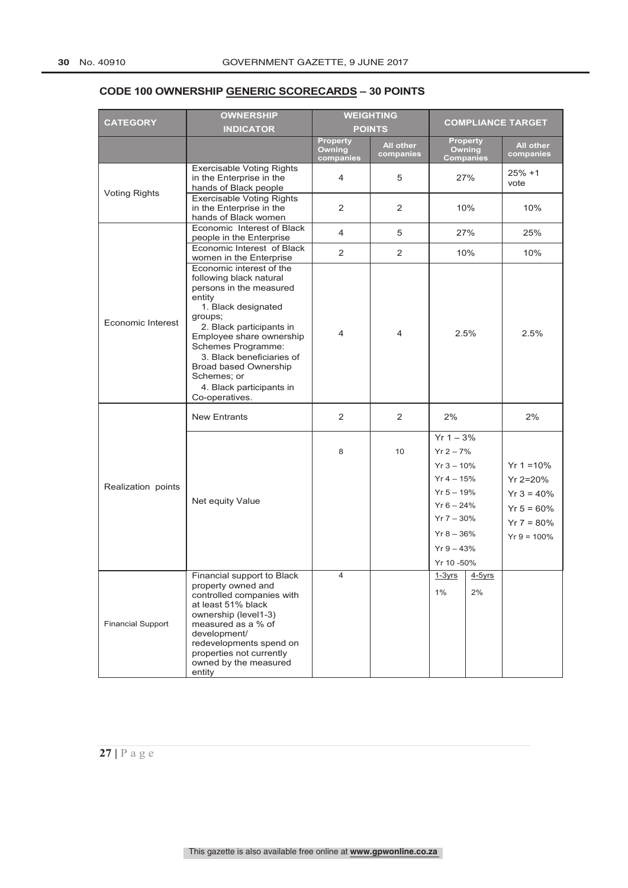## **CODE 100 OWNERSHIP GENERIC SCORECARDS – 30 POINTS**

|                          | <b>OWNERSHIP</b>                                                                                                                                                                                                                                                                                                                   | <b>WEIGHTING</b>                       |                        |                                                                                                                                                         | <b>COMPLIANCE TARGET</b> |                                                                                              |
|--------------------------|------------------------------------------------------------------------------------------------------------------------------------------------------------------------------------------------------------------------------------------------------------------------------------------------------------------------------------|----------------------------------------|------------------------|---------------------------------------------------------------------------------------------------------------------------------------------------------|--------------------------|----------------------------------------------------------------------------------------------|
| <b>CATEGORY</b>          | <b>INDICATOR</b>                                                                                                                                                                                                                                                                                                                   |                                        | <b>POINTS</b>          |                                                                                                                                                         |                          |                                                                                              |
|                          |                                                                                                                                                                                                                                                                                                                                    | Property<br><b>Owning</b><br>companies | All other<br>companies | <b>Property</b><br><b>Owning</b><br><b>Companies</b>                                                                                                    |                          | All other<br>companies                                                                       |
|                          | <b>Exercisable Voting Rights</b><br>in the Enterprise in the<br>hands of Black people                                                                                                                                                                                                                                              | 4                                      | 5                      | 27%                                                                                                                                                     |                          | $25% +1$<br>vote                                                                             |
| <b>Voting Rights</b>     | <b>Exercisable Voting Rights</b><br>in the Enterprise in the<br>hands of Black women                                                                                                                                                                                                                                               | 2                                      | 2                      | 10%                                                                                                                                                     |                          | 10%                                                                                          |
|                          | Economic Interest of Black<br>people in the Enterprise                                                                                                                                                                                                                                                                             | 4                                      | 5                      | 27%                                                                                                                                                     |                          | 25%                                                                                          |
|                          | Economic Interest of Black<br>women in the Enterprise                                                                                                                                                                                                                                                                              | $\overline{2}$                         | $\overline{2}$         | 10%                                                                                                                                                     |                          | 10%                                                                                          |
| Economic Interest        | Economic interest of the<br>following black natural<br>persons in the measured<br>entity<br>1. Black designated<br>groups;<br>2. Black participants in<br>Employee share ownership<br>Schemes Programme:<br>3. Black beneficiaries of<br><b>Broad based Ownership</b><br>Schemes; or<br>4. Black participants in<br>Co-operatives. | 4                                      | 4                      | 2.5%                                                                                                                                                    |                          | 2.5%                                                                                         |
|                          | <b>New Entrants</b>                                                                                                                                                                                                                                                                                                                | $\overline{2}$                         | 2                      | 2%                                                                                                                                                      |                          | 2%                                                                                           |
| Realization points       | Net equity Value                                                                                                                                                                                                                                                                                                                   | 8                                      | 10                     | $Yr 1 - 3%$<br>$Yr 2 - 7%$<br>$Yr 3 - 10%$<br>$Yr 4 - 15%$<br>$Yr 5 - 19%$<br>$Yr 6 - 24%$<br>$Yr 7 - 30%$<br>$Yr 8 - 36%$<br>$Yr9 - 43%$<br>Yr 10 -50% |                          | $Yr 1 = 10%$<br>$Yr 2 = 20%$<br>$Yr 3 = 40%$<br>$Yr 5 = 60%$<br>$Yr 7 = 80\%$<br>$Yr = 100%$ |
| <b>Financial Support</b> | Financial support to Black<br>property owned and<br>controlled companies with<br>at least 51% black<br>ownership (level1-3)<br>measured as a % of<br>development/<br>redevelopments spend on<br>properties not currently<br>owned by the measured<br>entity                                                                        | 4                                      |                        | <u>1-3yrs</u><br>$1\%$                                                                                                                                  | $4-5$ vrs<br>2%          |                                                                                              |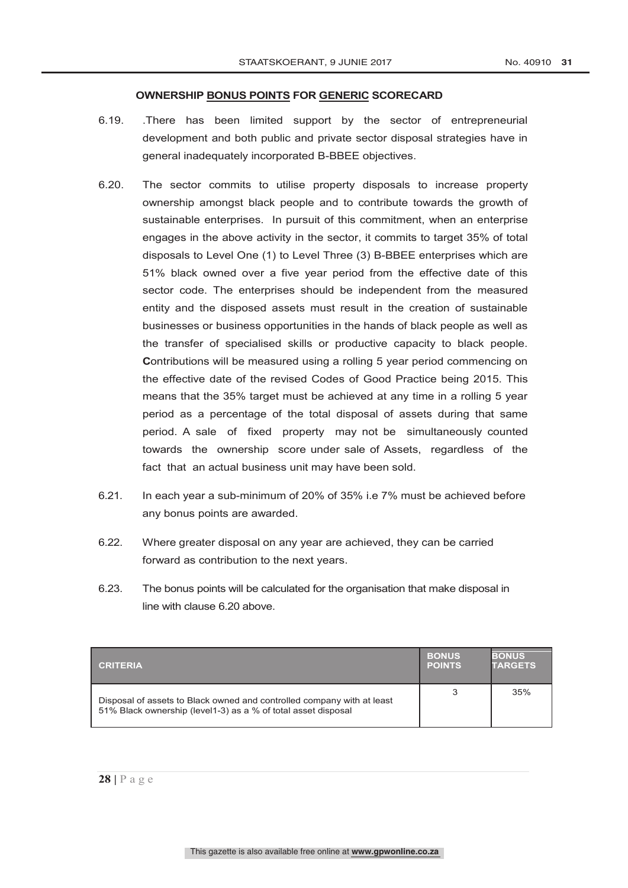#### **OWNERSHIP BONUS POINTS FOR GENERIC SCORECARD**

- 6.19. .There has been limited support by the sector of entrepreneurial development and both public and private sector disposal strategies have in general inadequately incorporated B-BBEE objectives.
- 6.20. The sector commits to utilise property disposals to increase property ownership amongst black people and to contribute towards the growth of sustainable enterprises. In pursuit of this commitment, when an enterprise engages in the above activity in the sector, it commits to target 35% of total disposals to Level One (1) to Level Three (3) B-BBEE enterprises which are 51% black owned over a five year period from the effective date of this sector code. The enterprises should be independent from the measured entity and the disposed assets must result in the creation of sustainable businesses or business opportunities in the hands of black people as well as the transfer of specialised skills or productive capacity to black people. **C**ontributions will be measured using a rolling 5 year period commencing on the effective date of the revised Codes of Good Practice being 2015. This means that the 35% target must be achieved at any time in a rolling 5 year period as a percentage of the total disposal of assets during that same period. A sale of fixed property may not be simultaneously counted towards the ownership score under sale of Assets, regardless of the fact that an actual business unit may have been sold.
- 6.21. In each year a sub-minimum of 20% of 35% i.e 7% must be achieved before any bonus points are awarded.
- 6.22. Where greater disposal on any year are achieved, they can be carried forward as contribution to the next years.
- 6.23. The bonus points will be calculated for the organisation that make disposal in line with clause 6.20 above.

| <b>CRITERIA</b>                                                                                                                         | <b>BONUS</b><br><b>POINTS</b> | <b>BONUS</b><br><b>TARGETS</b> |
|-----------------------------------------------------------------------------------------------------------------------------------------|-------------------------------|--------------------------------|
| Disposal of assets to Black owned and controlled company with at least<br>51% Black ownership (level1-3) as a % of total asset disposal |                               | 35%                            |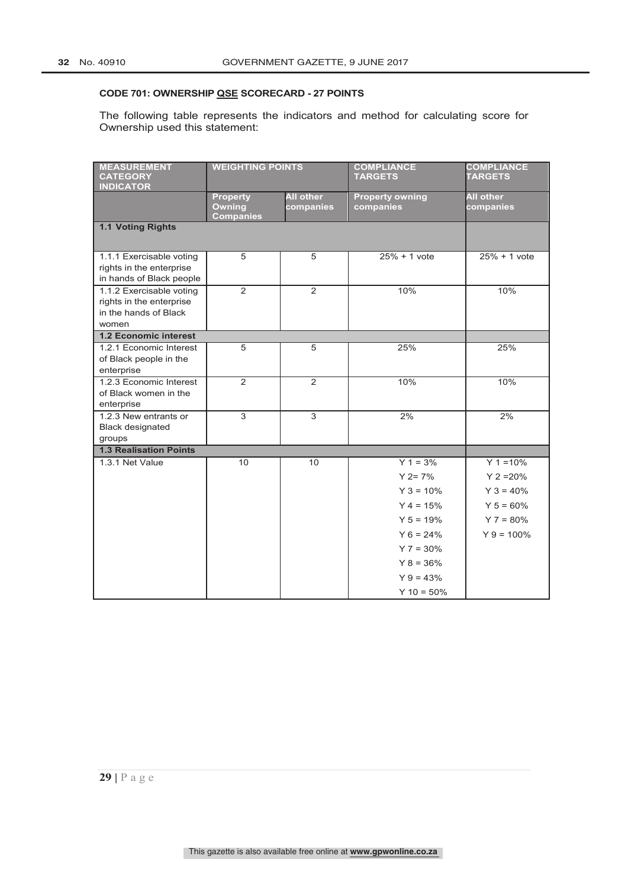#### **CODE 701: OWNERSHIP QSE SCORECARD - 27 POINTS**

The following table represents the indicators and method for calculating score for Ownership used this statement:

| <b>MEASUREMENT</b><br><b>CATEGORY</b>                   | <b>WEIGHTING POINTS</b>           |                  | <b>COMPLIANCE</b><br><b>TARGETS</b> | <b>COMPLIANCE</b><br><b>TARGETS</b> |
|---------------------------------------------------------|-----------------------------------|------------------|-------------------------------------|-------------------------------------|
| <b>INDICATOR</b>                                        | <b>Property</b>                   | <b>All other</b> | <b>Property owning</b>              | <b>All other</b>                    |
|                                                         | <b>Owning</b><br><b>Companies</b> | companies        | companies                           | companies                           |
| 1.1 Voting Rights                                       |                                   |                  |                                     |                                     |
|                                                         |                                   |                  |                                     |                                     |
| 1.1.1 Exercisable voting<br>rights in the enterprise    | 5                                 | 5                | $25% + 1$ vote                      | $25% + 1$ vote                      |
| in hands of Black people<br>1.1.2 Exercisable voting    | 2                                 | 2                | 10%                                 | 10%                                 |
| rights in the enterprise                                |                                   |                  |                                     |                                     |
| in the hands of Black                                   |                                   |                  |                                     |                                     |
| women                                                   |                                   |                  |                                     |                                     |
| <b>1.2 Economic interest</b><br>1.2.1 Economic Interest | 5                                 | 5                | 25%                                 | 25%                                 |
| of Black people in the                                  |                                   |                  |                                     |                                     |
| enterprise                                              |                                   |                  |                                     |                                     |
| 1.2.3 Economic Interest                                 | $\mathcal{P}$                     | $\mathcal{P}$    | 10%                                 | 10%                                 |
| of Black women in the                                   |                                   |                  |                                     |                                     |
| enterprise<br>1.2.3 New entrants or                     | $\overline{3}$                    | $\overline{3}$   | 2%                                  | 2%                                  |
| <b>Black designated</b>                                 |                                   |                  |                                     |                                     |
| groups                                                  |                                   |                  |                                     |                                     |
| <b>1.3 Realisation Points</b>                           |                                   |                  |                                     |                                     |
| 1.3.1 Net Value                                         | 10                                | 10               | $Y 1 = 3%$                          | $Y$ 1 = 10%                         |
|                                                         |                                   |                  | $Y$ 2= 7%                           | $Y$ 2 = 20%                         |
|                                                         |                                   |                  | $Y$ 3 = 10%                         | $Y$ 3 = 40%                         |
|                                                         |                                   |                  | $Y 4 = 15%$                         | $Y 5 = 60%$                         |
|                                                         |                                   |                  | $Y 5 = 19%$                         | $Y$ 7 = 80%                         |
|                                                         |                                   |                  | $Y_6 = 24\%$                        | $Y$ 9 = 100%                        |
|                                                         |                                   |                  | $Y$ 7 = 30%                         |                                     |
|                                                         |                                   |                  | $Y$ 8 = 36%                         |                                     |
|                                                         |                                   |                  | $Y$ 9 = 43%                         |                                     |
|                                                         |                                   |                  | $Y$ 10 = 50%                        |                                     |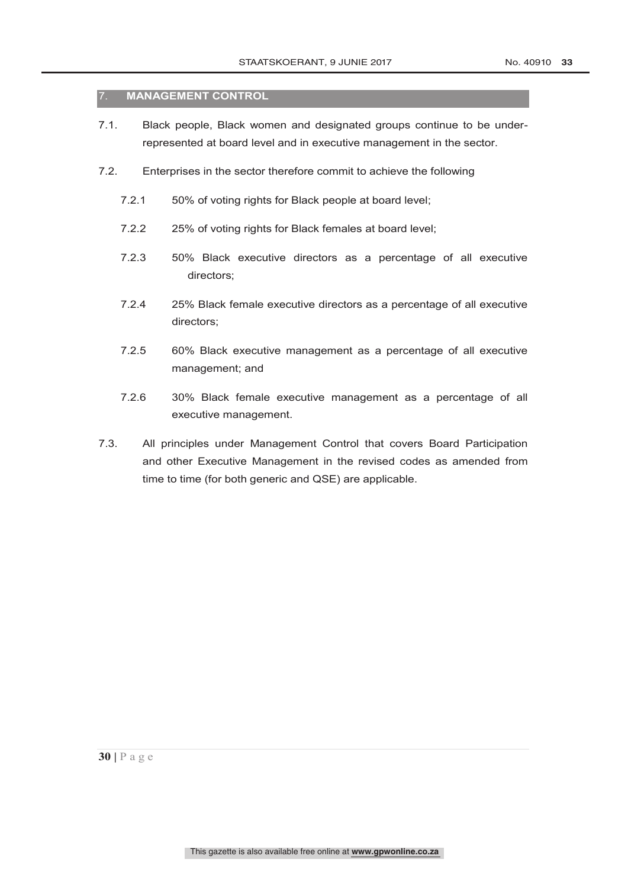#### 7. **MANAGEMENT CONTROL**

- 7.1. Black people, Black women and designated groups continue to be underrepresented at board level and in executive management in the sector.
- 7.2. Enterprises in the sector therefore commit to achieve the following
	- 7.2.1 50% of voting rights for Black people at board level;
	- 7.2.2 25% of voting rights for Black females at board level;
	- 7.2.3 50% Black executive directors as a percentage of all executive directors;
	- 7.2.4 25% Black female executive directors as a percentage of all executive directors;
	- 7.2.5 60% Black executive management as a percentage of all executive management; and
	- 7.2.6 30% Black female executive management as a percentage of all executive management.
- 7.3. All principles under Management Control that covers Board Participation and other Executive Management in the revised codes as amended from time to time (for both generic and QSE) are applicable.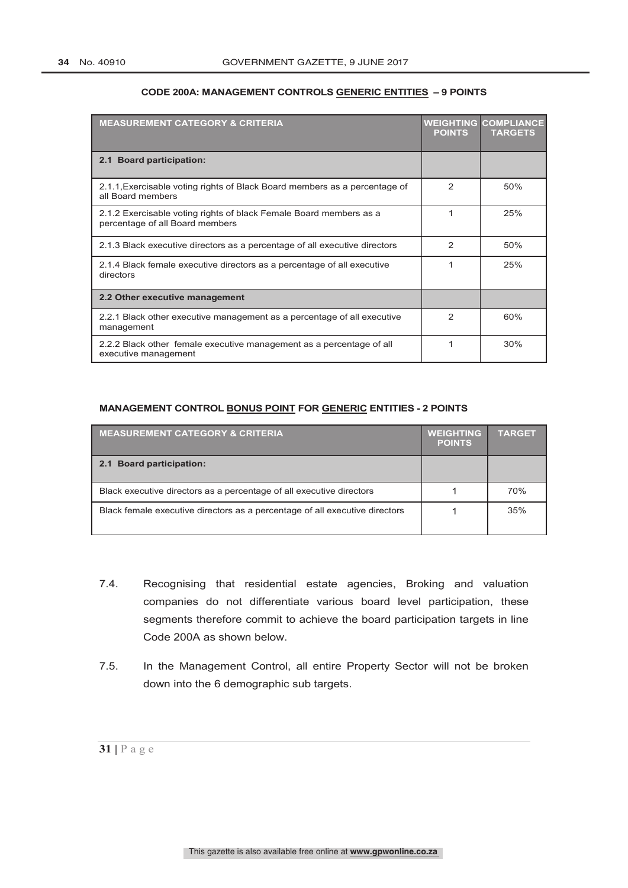| <b>MEASUREMENT CATEGORY &amp; CRITERIA</b>                                                            | <b>POINTS</b>  | <b>WEIGHTING COMPLIANCE</b><br><b>TARGETS</b> |
|-------------------------------------------------------------------------------------------------------|----------------|-----------------------------------------------|
| 2.1 Board participation:                                                                              |                |                                               |
| 2.1.1, Exercisable voting rights of Black Board members as a percentage of<br>all Board members       | 2              | 50%                                           |
| 2.1.2 Exercisable voting rights of black Female Board members as a<br>percentage of all Board members |                | 25%                                           |
| 2.1.3 Black executive directors as a percentage of all executive directors                            | 2              | 50%                                           |
| 2.1.4 Black female executive directors as a percentage of all executive<br>directors                  |                | 25%                                           |
| 2.2 Other executive management                                                                        |                |                                               |
| 2.2.1 Black other executive management as a percentage of all executive<br>management                 | $\mathfrak{p}$ | 60%                                           |
| 2.2.2 Black other female executive management as a percentage of all<br>executive management          |                | 30%                                           |

#### **CODE 200A: MANAGEMENT CONTROLS GENERIC ENTITIES – 9 POINTS**

#### **MANAGEMENT CONTROL BONUS POINT FOR GENERIC ENTITIES - 2 POINTS**

| <b>MEASUREMENT CATEGORY &amp; CRITERIA</b>                                  | <b>WEIGHTING</b><br><b>POINTS</b> | <b>TARGET</b> |
|-----------------------------------------------------------------------------|-----------------------------------|---------------|
| 2.1 Board participation:                                                    |                                   |               |
| Black executive directors as a percentage of all executive directors        |                                   | 70%           |
| Black female executive directors as a percentage of all executive directors |                                   | 35%           |

- 7.4. Recognising that residential estate agencies, Broking and valuation companies do not differentiate various board level participation, these segments therefore commit to achieve the board participation targets in line Code 200A as shown below.
- 7.5. In the Management Control, all entire Property Sector will not be broken down into the 6 demographic sub targets.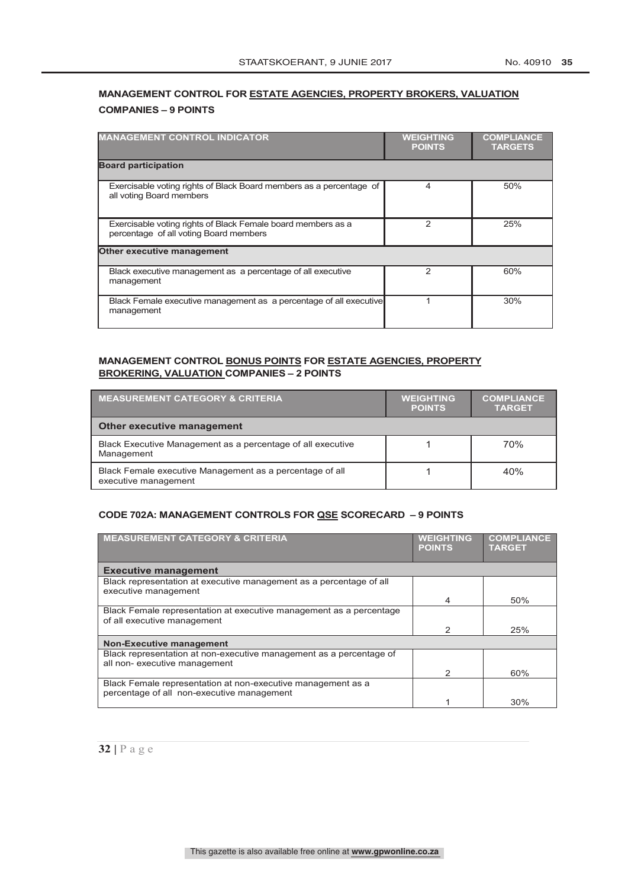## **MANAGEMENT CONTROL FOR ESTATE AGENCIES, PROPERTY BROKERS, VALUATION COMPANIES – 9 POINTS**

| <b>MANAGEMENT CONTROL INDICATOR</b>                                                                    | <b>WEIGHTING</b><br><b>POINTS</b> | <b>COMPLIANCE</b><br><b>TARGETS</b> |
|--------------------------------------------------------------------------------------------------------|-----------------------------------|-------------------------------------|
| <b>Board participation</b>                                                                             |                                   |                                     |
| Exercisable voting rights of Black Board members as a percentage of<br>all voting Board members        | 4                                 | 50%                                 |
| Exercisable voting rights of Black Female board members as a<br>percentage of all voting Board members | 2                                 | 25%                                 |
| <b>Other executive management</b>                                                                      |                                   |                                     |
| Black executive management as a percentage of all executive<br>management                              | 2                                 | 60%                                 |
| Black Female executive management as a percentage of all executive<br>management                       |                                   | 30%                                 |

#### **MANAGEMENT CONTROL BONUS POINTS FOR ESTATE AGENCIES, PROPERTY BROKERING, VALUATION COMPANIES – 2 POINTS**

| <b>MEASUREMENT CATEGORY &amp; CRITERIA</b>                                       | <b>WEIGHTING</b><br><b>POINTS</b> | <b>COMPLIANCE</b><br><b>TARGET</b> |
|----------------------------------------------------------------------------------|-----------------------------------|------------------------------------|
| <b>Other executive management</b>                                                |                                   |                                    |
| Black Executive Management as a percentage of all executive<br>Management        |                                   | 70%                                |
| Black Female executive Management as a percentage of all<br>executive management |                                   | 40%                                |

#### **CODE 702A: MANAGEMENT CONTROLS FOR QSE SCORECARD – 9 POINTS**

| <b>MEASUREMENT CATEGORY &amp; CRITERIA</b>                                                                 | <b>WEIGHTING</b><br><b>POINTS</b> | <b>COMPLIANCE</b><br><b>TARGET</b> |
|------------------------------------------------------------------------------------------------------------|-----------------------------------|------------------------------------|
| <b>Executive management</b>                                                                                |                                   |                                    |
| Black representation at executive management as a percentage of all                                        |                                   |                                    |
| executive management                                                                                       | 4                                 | 50%                                |
| Black Female representation at executive management as a percentage<br>of all executive management         |                                   |                                    |
|                                                                                                            | 2                                 | 25%                                |
| <b>Non-Executive management</b>                                                                            |                                   |                                    |
| Black representation at non-executive management as a percentage of<br>all non- executive management       |                                   |                                    |
|                                                                                                            | 2                                 | 60%                                |
| Black Female representation at non-executive management as a<br>percentage of all non-executive management |                                   |                                    |
|                                                                                                            |                                   | 30%                                |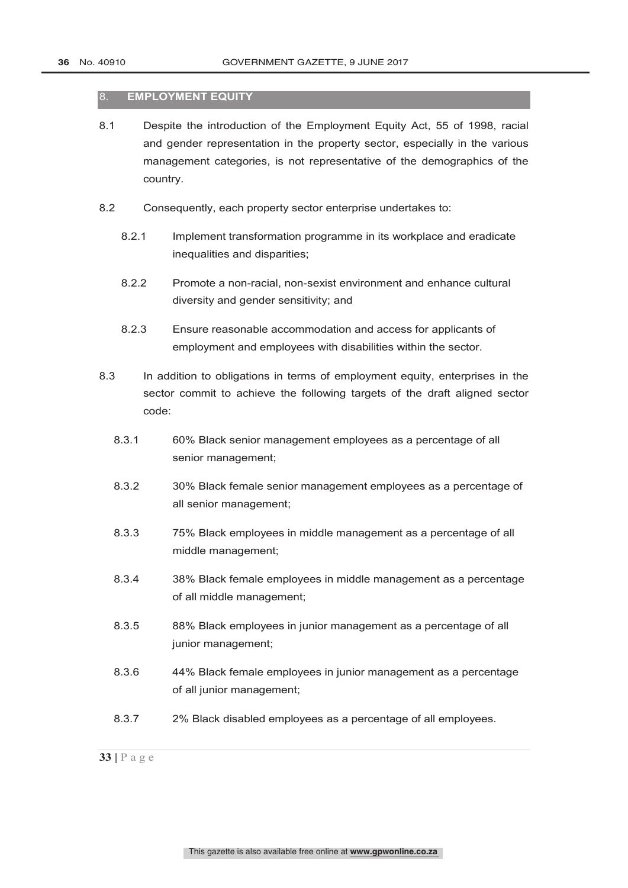#### 8. **EMPLOYMENT EQUITY**

- 8.1 Despite the introduction of the Employment Equity Act, 55 of 1998, racial and gender representation in the property sector, especially in the various management categories, is not representative of the demographics of the country.
- 8.2 Consequently, each property sector enterprise undertakes to:
	- 8.2.1 Implement transformation programme in its workplace and eradicate inequalities and disparities;
	- 8.2.2 Promote a non-racial, non-sexist environment and enhance cultural diversity and gender sensitivity; and
	- 8.2.3 Ensure reasonable accommodation and access for applicants of employment and employees with disabilities within the sector.
- 8.3 In addition to obligations in terms of employment equity, enterprises in the sector commit to achieve the following targets of the draft aligned sector code:
	- 8.3.1 60% Black senior management employees as a percentage of all senior management;
	- 8.3.2 30% Black female senior management employees as a percentage of all senior management;
	- 8.3.3 75% Black employees in middle management as a percentage of all middle management;
	- 8.3.4 38% Black female employees in middle management as a percentage of all middle management;
	- 8.3.5 88% Black employees in junior management as a percentage of all junior management;
	- 8.3.6 44% Black female employees in junior management as a percentage of all junior management;
	- 8.3.7 2% Black disabled employees as a percentage of all employees.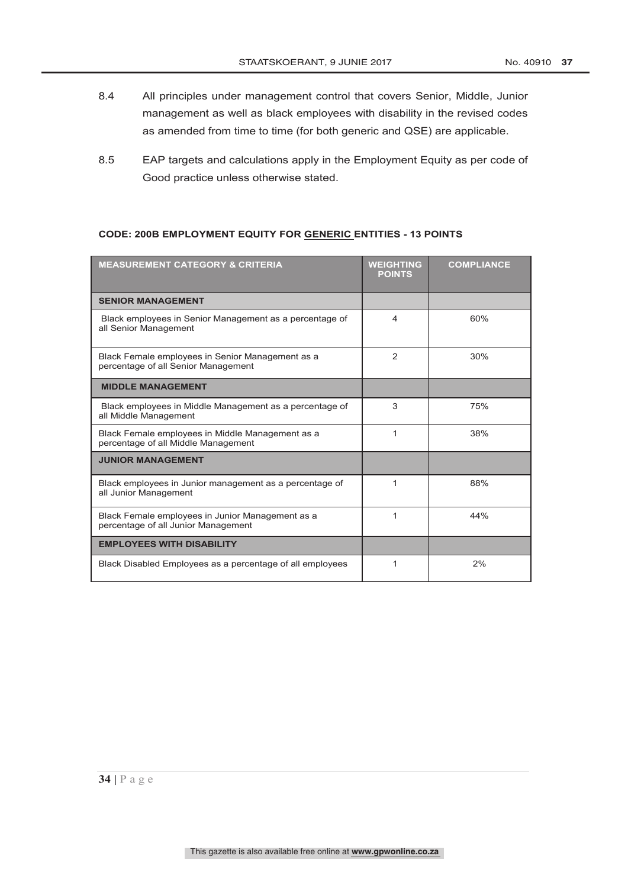- 8.4 All principles under management control that covers Senior, Middle, Junior management as well as black employees with disability in the revised codes as amended from time to time (for both generic and QSE) are applicable.
- 8.5 EAP targets and calculations apply in the Employment Equity as per code of Good practice unless otherwise stated.

#### **CODE: 200B EMPLOYMENT EQUITY FOR GENERIC ENTITIES - 13 POINTS**

| <b>MEASUREMENT CATEGORY &amp; CRITERIA</b>                                              | <b>WEIGHTING</b><br><b>POINTS</b> | <b>COMPLIANCE</b> |
|-----------------------------------------------------------------------------------------|-----------------------------------|-------------------|
| <b>SENIOR MANAGEMENT</b>                                                                |                                   |                   |
| Black employees in Senior Management as a percentage of<br>all Senior Management        | 4                                 | 60%               |
| Black Female employees in Senior Management as a<br>percentage of all Senior Management | 2                                 | 30%               |
| <b>MIDDLE MANAGEMENT</b>                                                                |                                   |                   |
| Black employees in Middle Management as a percentage of<br>all Middle Management        | 3                                 | 75%               |
| Black Female employees in Middle Management as a<br>percentage of all Middle Management | 1                                 | 38%               |
| <b>JUNIOR MANAGEMENT</b>                                                                |                                   |                   |
| Black employees in Junior management as a percentage of<br>all Junior Management        | 1                                 | 88%               |
| Black Female employees in Junior Management as a<br>percentage of all Junior Management | 1                                 | 44%               |
| <b>EMPLOYEES WITH DISABILITY</b>                                                        |                                   |                   |
| Black Disabled Employees as a percentage of all employees                               | 1                                 | 2%                |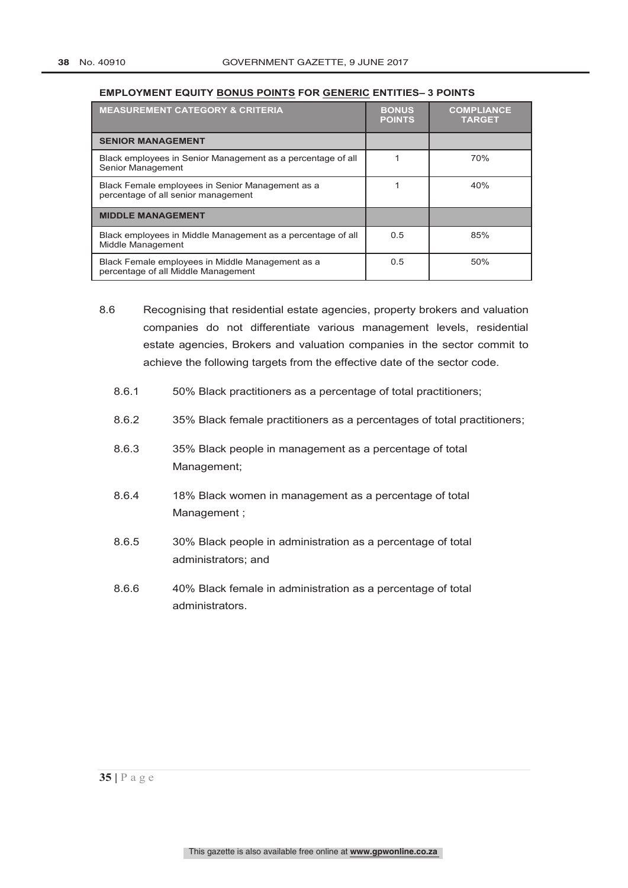#### **EMPLOYMENT EQUITY BONUS POINTS FOR GENERIC ENTITIES– 3 POINTS**

| <b>MEASUREMENT CATEGORY &amp; CRITERIA</b>                                              | <b>BONUS</b><br><b>POINTS</b> | <b>COMPLIANCE</b><br><b>TARGET</b> |
|-----------------------------------------------------------------------------------------|-------------------------------|------------------------------------|
| <b>SENIOR MANAGEMENT</b>                                                                |                               |                                    |
| Black employees in Senior Management as a percentage of all<br>Senior Management        |                               | 70%                                |
| Black Female employees in Senior Management as a<br>percentage of all senior management |                               | 40%                                |
| <b>MIDDLE MANAGEMENT</b>                                                                |                               |                                    |
| Black employees in Middle Management as a percentage of all<br>Middle Management        | 0.5                           | 85%                                |
| Black Female employees in Middle Management as a<br>percentage of all Middle Management | 0.5                           | 50%                                |

- 8.6 Recognising that residential estate agencies, property brokers and valuation companies do not differentiate various management levels, residential estate agencies, Brokers and valuation companies in the sector commit to achieve the following targets from the effective date of the sector code.
	- 8.6.1 50% Black practitioners as a percentage of total practitioners;
	- 8.6.2 35% Black female practitioners as a percentages of total practitioners;
	- 8.6.3 35% Black people in management as a percentage of total Management;
	- 8.6.4 18% Black women in management as a percentage of total Management ;
	- 8.6.5 30% Black people in administration as a percentage of total administrators; and
	- 8.6.6 40% Black female in administration as a percentage of total administrators.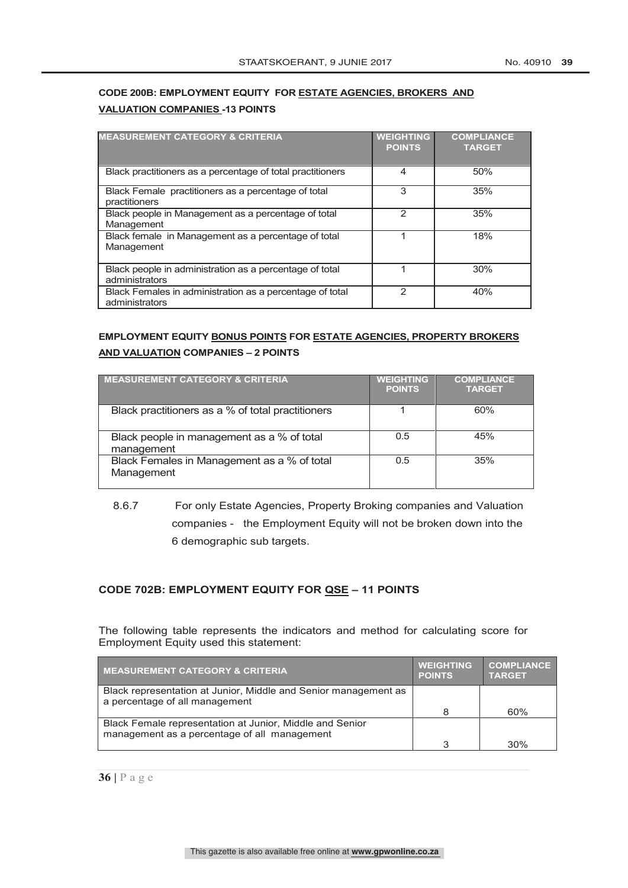### **CODE 200B: EMPLOYMENT EQUITY FOR ESTATE AGENCIES, BROKERS AND VALUATION COMPANIES -13 POINTS**

| <b>MEASUREMENT CATEGORY &amp; CRITERIA</b>                                 | <b>WEIGHTING</b><br><b>POINTS</b> | <b>COMPLIANCE</b><br><b>TARGET</b> |
|----------------------------------------------------------------------------|-----------------------------------|------------------------------------|
| Black practitioners as a percentage of total practitioners                 | 4                                 | 50%                                |
| Black Female practitioners as a percentage of total<br>practitioners       | 3                                 | 35%                                |
| Black people in Management as a percentage of total<br>Management          | 2                                 | 35%                                |
| Black female in Management as a percentage of total<br>Management          |                                   | 18%                                |
| Black people in administration as a percentage of total<br>administrators  | 1                                 | 30%                                |
| Black Females in administration as a percentage of total<br>administrators | 2                                 | 40%                                |

#### **EMPLOYMENT EQUITY BONUS POINTS FOR ESTATE AGENCIES, PROPERTY BROKERS AND VALUATION COMPANIES – 2 POINTS**

| <b>MEASUREMENT CATEGORY &amp; CRITERIA</b>                | <b>WEIGHTING</b><br><b>POINTS</b> | <b>COMPLIANCE</b><br><b>TARGET</b> |
|-----------------------------------------------------------|-----------------------------------|------------------------------------|
| Black practitioners as a % of total practitioners         |                                   | 60%                                |
| Black people in management as a % of total<br>management  | 0.5                               | 45%                                |
| Black Females in Management as a % of total<br>Management | 0.5                               | 35%                                |

## 8.6.7 For only Estate Agencies, Property Broking companies and Valuation companies - the Employment Equity will not be broken down into the 6 demographic sub targets.

#### **CODE 702B: EMPLOYMENT EQUITY FOR QSE – 11 POINTS**

The following table represents the indicators and method for calculating score for Employment Equity used this statement:

| <b>MEASUREMENT CATEGORY &amp; CRITERIA</b>                                                               | <b>WEIGHTING</b><br><b>POINTS</b> | <b>COMPLIANCE</b><br><b>TARGET</b> |
|----------------------------------------------------------------------------------------------------------|-----------------------------------|------------------------------------|
| Black representation at Junior, Middle and Senior management as<br>a percentage of all management        |                                   |                                    |
|                                                                                                          | 8                                 | 60%                                |
| Black Female representation at Junior, Middle and Senior<br>management as a percentage of all management |                                   |                                    |
|                                                                                                          | ↷                                 | 30%                                |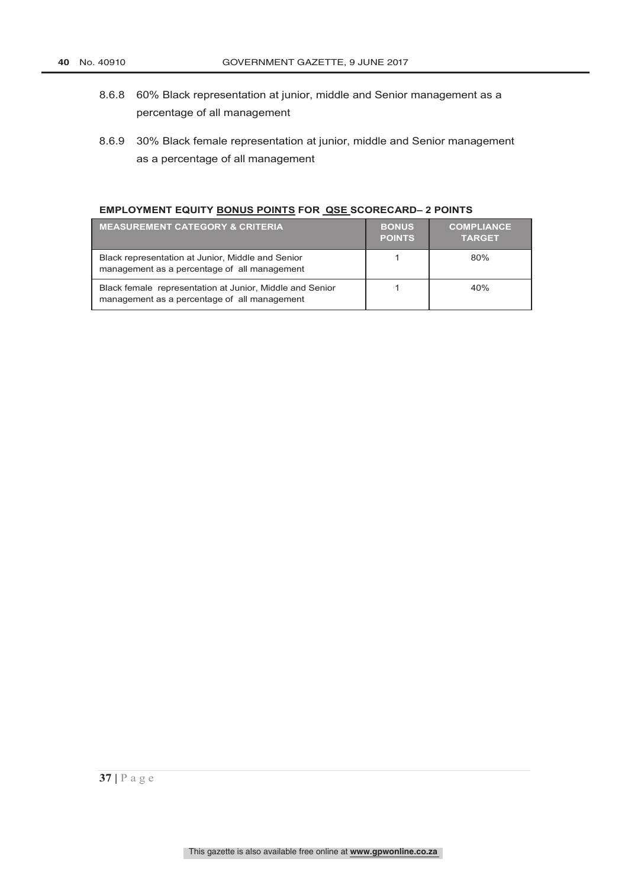- 8.6.8 60% Black representation at junior, middle and Senior management as a percentage of all management
- 8.6.9 30% Black female representation at junior, middle and Senior management as a percentage of all management

#### **EMPLOYMENT EQUITY BONUS POINTS FOR QSE SCORECARD– 2 POINTS**

| <b>MEASUREMENT CATEGORY &amp; CRITERIA</b>                                                               | <b>BONUS</b><br><b>POINTS</b> | <b>COMPLIANCE</b><br><b>TARGET</b> |
|----------------------------------------------------------------------------------------------------------|-------------------------------|------------------------------------|
| Black representation at Junior, Middle and Senior<br>management as a percentage of all management        |                               | 80%                                |
| Black female representation at Junior, Middle and Senior<br>management as a percentage of all management |                               | 40%                                |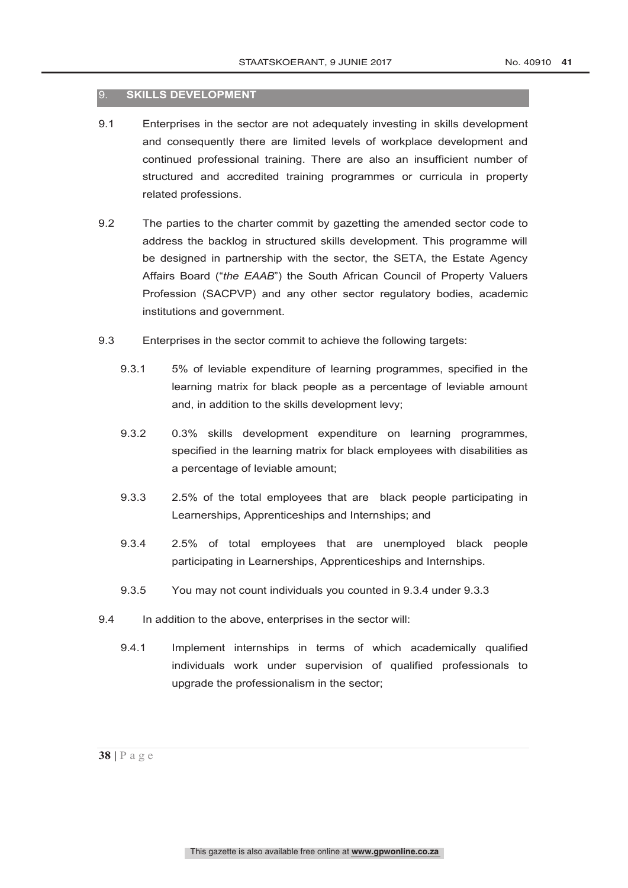#### 9. **SKILLS DEVELOPMENT**

- 9.1 Enterprises in the sector are not adequately investing in skills development and consequently there are limited levels of workplace development and continued professional training. There are also an insufficient number of structured and accredited training programmes or curricula in property related professions.
- 9.2 The parties to the charter commit by gazetting the amended sector code to address the backlog in structured skills development. This programme will be designed in partnership with the sector, the SETA, the Estate Agency Affairs Board ("*the EAAB*") the South African Council of Property Valuers Profession (SACPVP) and any other sector regulatory bodies, academic institutions and government.
- 9.3 Enterprises in the sector commit to achieve the following targets:
	- 9.3.1 5% of leviable expenditure of learning programmes, specified in the learning matrix for black people as a percentage of leviable amount and, in addition to the skills development levy;
	- 9.3.2 0.3% skills development expenditure on learning programmes, specified in the learning matrix for black employees with disabilities as a percentage of leviable amount;
	- 9.3.3 2.5% of the total employees that are black people participating in Learnerships, Apprenticeships and Internships; and
	- 9.3.4 2.5% of total employees that are unemployed black people participating in Learnerships, Apprenticeships and Internships.
	- 9.3.5 You may not count individuals you counted in 9.3.4 under 9.3.3
- 9.4 In addition to the above, enterprises in the sector will:
	- 9.4.1 Implement internships in terms of which academically qualified individuals work under supervision of qualified professionals to upgrade the professionalism in the sector;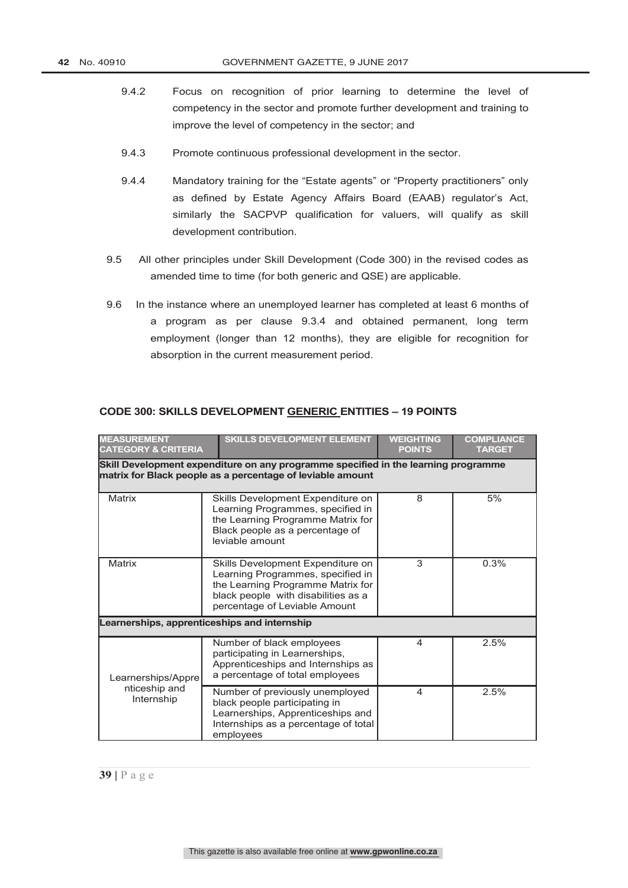- 9.4.2 Focus on recognition of prior learning to determine the level of competency in the sector and promote further development and training to improve the level of competency in the sector; and
- 9.4.3 Promote continuous professional development in the sector.
- 9.4.4 Mandatory training for the "Estate agents" or "Property practitioners" only as defined by Estate Agency Affairs Board (EAAB) regulator's Act, similarly the SACPVP qualification for valuers, will qualify as skill development contribution.
- 9.5 All other principles under Skill Development (Code 300) in the revised codes as amended time to time (for both generic and QSE) are applicable.
- 9.6 In the instance where an unemployed learner has completed at least 6 months of a program as per clause 9.3.4 and obtained permanent, long term employment (longer than 12 months), they are eligible for recognition for absorption in the current measurement period.

| <b>MEASUREMENT</b><br><b>CATEGORY &amp; CRITERIA</b> | <b>SKILLS DEVELOPMENT ELEMENT</b>                                                                                                                                                   | <b>WEIGHTING</b><br><b>POINTS</b> | <b>COMPLIANCE</b><br><b>TARGET</b> |
|------------------------------------------------------|-------------------------------------------------------------------------------------------------------------------------------------------------------------------------------------|-----------------------------------|------------------------------------|
|                                                      | Skill Development expenditure on any programme specified in the learning programme<br>matrix for Black people as a percentage of leviable amount                                    |                                   |                                    |
| Matrix                                               | Skills Development Expenditure on<br>Learning Programmes, specified in<br>the Learning Programme Matrix for<br>Black people as a percentage of<br>leviable amount                   | 8                                 | 5%                                 |
| <b>Matrix</b>                                        | Skills Development Expenditure on<br>Learning Programmes, specified in<br>the Learning Programme Matrix for<br>black people with disabilities as a<br>percentage of Leviable Amount | 3                                 | 0.3%                               |
|                                                      | Learnerships, apprenticeships and internship                                                                                                                                        |                                   |                                    |
| Learnerships/Appre                                   | Number of black employees<br>participating in Learnerships,<br>Apprenticeships and Internships as<br>a percentage of total employees                                                | 4                                 | 2.5%                               |
| nticeship and<br>Internship                          | Number of previously unemployed<br>black people participating in<br>Learnerships, Apprenticeships and<br>Internships as a percentage of total<br>employees                          | 4                                 | 2.5%                               |

#### **CODE 300: SKILLS DEVELOPMENT GENERIC ENTITIES – 19 POINTS**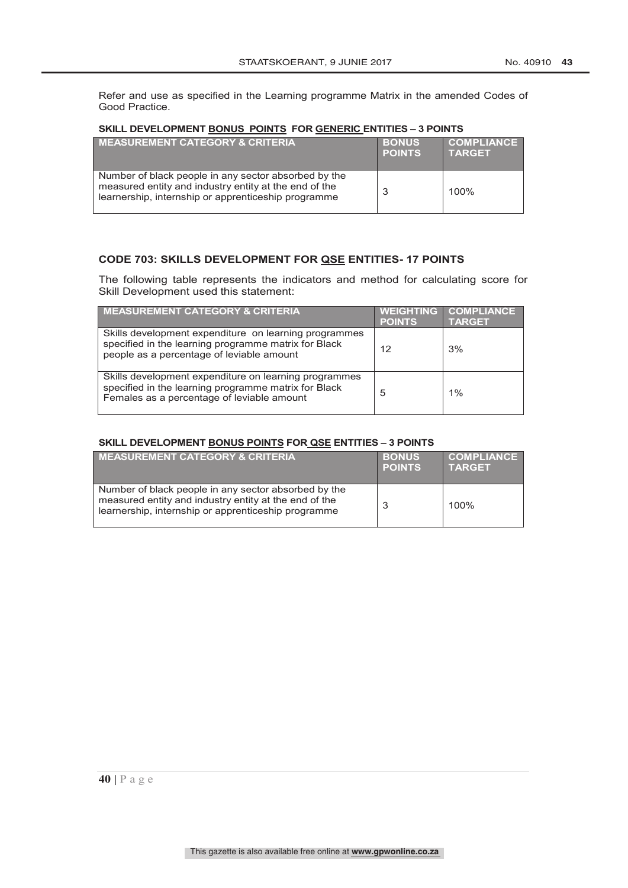Refer and use as specified in the Learning programme Matrix in the amended Codes of Good Practice.

#### **SKILL DEVELOPMENT BONUS POINTS FOR GENERIC ENTITIES – 3 POINTS**

| <b>MEASUREMENT CATEGORY &amp; CRITERIA</b>                                                                                                                           | <b>BONUS</b><br><b>POINTS</b> | <b>COMPLIANCE</b><br><b>TARGET</b> |
|----------------------------------------------------------------------------------------------------------------------------------------------------------------------|-------------------------------|------------------------------------|
| Number of black people in any sector absorbed by the<br>measured entity and industry entity at the end of the<br>learnership, internship or apprenticeship programme |                               | 100%                               |

#### **CODE 703: SKILLS DEVELOPMENT FOR QSE ENTITIES- 17 POINTS**

The following table represents the indicators and method for calculating score for Skill Development used this statement:

| <b>MEASUREMENT CATEGORY &amp; CRITERIA</b>                                                                                                                  | <b>WEIGHTING</b><br><b>POINTS</b> | <b>COMPLIANCE</b><br><b>TARGET</b> |
|-------------------------------------------------------------------------------------------------------------------------------------------------------------|-----------------------------------|------------------------------------|
| Skills development expenditure on learning programmes<br>specified in the learning programme matrix for Black<br>people as a percentage of leviable amount  | 12                                | 3%                                 |
| Skills development expenditure on learning programmes<br>specified in the learning programme matrix for Black<br>Females as a percentage of leviable amount | 5                                 | 1%                                 |

#### **SKILL DEVELOPMENT BONUS POINTS FOR QSE ENTITIES – 3 POINTS**

| <b>MEASUREMENT CATEGORY &amp; CRITERIA</b>                                                                                                                           | <b>BONUS</b><br><b>POINTS</b> | <b>COMPLIANCE</b><br><b>TARGET</b> |
|----------------------------------------------------------------------------------------------------------------------------------------------------------------------|-------------------------------|------------------------------------|
| Number of black people in any sector absorbed by the<br>measured entity and industry entity at the end of the<br>learnership, internship or apprenticeship programme |                               | 100%                               |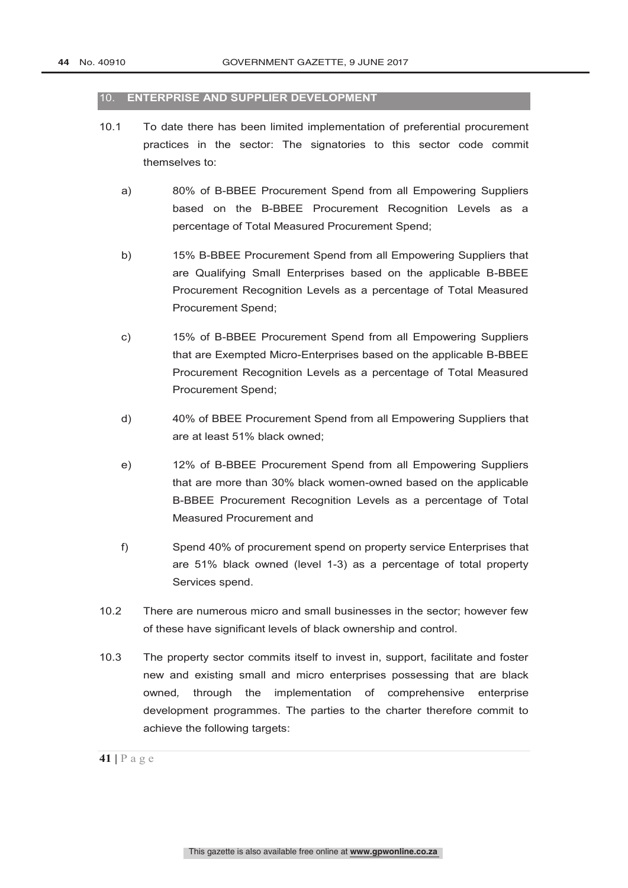#### 10. **ENTERPRISE AND SUPPLIER DEVELOPMENT**

- 10.1 To date there has been limited implementation of preferential procurement practices in the sector: The signatories to this sector code commit themselves to:
	- a) 80% of B-BBEE Procurement Spend from all Empowering Suppliers based on the B-BBEE Procurement Recognition Levels as a percentage of Total Measured Procurement Spend;
	- b) 15% B-BBEE Procurement Spend from all Empowering Suppliers that are Qualifying Small Enterprises based on the applicable B-BBEE Procurement Recognition Levels as a percentage of Total Measured Procurement Spend;
	- c) 15% of B-BBEE Procurement Spend from all Empowering Suppliers that are Exempted Micro-Enterprises based on the applicable B-BBEE Procurement Recognition Levels as a percentage of Total Measured Procurement Spend;
	- d) 40% of BBEE Procurement Spend from all Empowering Suppliers that are at least 51% black owned;
	- e) 12% of B-BBEE Procurement Spend from all Empowering Suppliers that are more than 30% black women-owned based on the applicable B-BBEE Procurement Recognition Levels as a percentage of Total Measured Procurement and
	- f) Spend 40% of procurement spend on property service Enterprises that are 51% black owned (level 1-3) as a percentage of total property Services spend.
- 10.2 There are numerous micro and small businesses in the sector; however few of these have significant levels of black ownership and control.
- 10.3 The property sector commits itself to invest in, support, facilitate and foster new and existing small and micro enterprises possessing that are black owned*,* through the implementation of comprehensive enterprise development programmes. The parties to the charter therefore commit to achieve the following targets: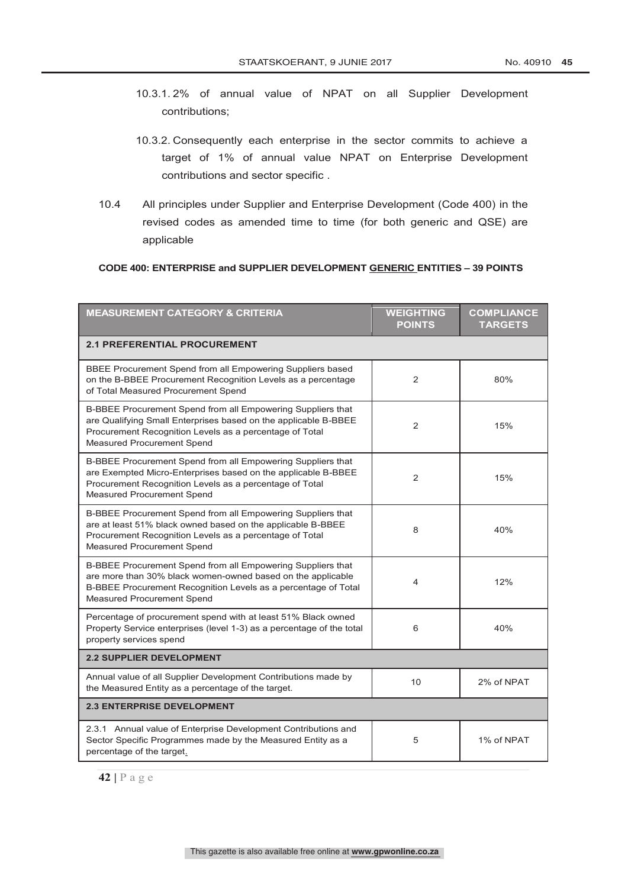- 10.3.1. 2% of annual value of NPAT on all Supplier Development contributions;
- 10.3.2. Consequently each enterprise in the sector commits to achieve a target of 1% of annual value NPAT on Enterprise Development contributions and sector specific .
- 10.4 All principles under Supplier and Enterprise Development (Code 400) in the revised codes as amended time to time (for both generic and QSE) are applicable

#### **CODE 400: ENTERPRISE and SUPPLIER DEVELOPMENT GENERIC ENTITIES – 39 POINTS**

| <b>MEASUREMENT CATEGORY &amp; CRITERIA</b>                                                                                                                                                                                 | <b>WEIGHTING</b><br><b>POINTS</b> | <b>COMPLIANCE</b><br><b>TARGETS</b> |
|----------------------------------------------------------------------------------------------------------------------------------------------------------------------------------------------------------------------------|-----------------------------------|-------------------------------------|
| <b>2.1 PREFERENTIAL PROCUREMENT</b>                                                                                                                                                                                        |                                   |                                     |
| BBEE Procurement Spend from all Empowering Suppliers based<br>on the B-BBEE Procurement Recognition Levels as a percentage<br>of Total Measured Procurement Spend                                                          | $\overline{2}$                    | 80%                                 |
| B-BBEE Procurement Spend from all Empowering Suppliers that<br>are Qualifying Small Enterprises based on the applicable B-BBEE<br>Procurement Recognition Levels as a percentage of Total<br>Measured Procurement Spend    | 2                                 | 15%                                 |
| B-BBEE Procurement Spend from all Empowering Suppliers that<br>are Exempted Micro-Enterprises based on the applicable B-BBEE<br>Procurement Recognition Levels as a percentage of Total<br>Measured Procurement Spend      | $\overline{2}$                    | 15%                                 |
| B-BBEE Procurement Spend from all Empowering Suppliers that<br>are at least 51% black owned based on the applicable B-BBEE<br>Procurement Recognition Levels as a percentage of Total<br>Measured Procurement Spend        | 8                                 | 40%                                 |
| B-BBEE Procurement Spend from all Empowering Suppliers that<br>are more than 30% black women-owned based on the applicable<br>B-BBEE Procurement Recognition Levels as a percentage of Total<br>Measured Procurement Spend | 4                                 | 12%                                 |
| Percentage of procurement spend with at least 51% Black owned<br>Property Service enterprises (level 1-3) as a percentage of the total<br>property services spend                                                          | 6                                 | 40%                                 |
| <b>2.2 SUPPLIER DEVELOPMENT</b>                                                                                                                                                                                            |                                   |                                     |
| Annual value of all Supplier Development Contributions made by<br>the Measured Entity as a percentage of the target.                                                                                                       | 10                                | 2% of NPAT                          |
| <b>2.3 ENTERPRISE DEVELOPMENT</b>                                                                                                                                                                                          |                                   |                                     |
| 2.3.1 Annual value of Enterprise Development Contributions and<br>Sector Specific Programmes made by the Measured Entity as a<br>percentage of the target.                                                                 | 5                                 | 1% of NPAT                          |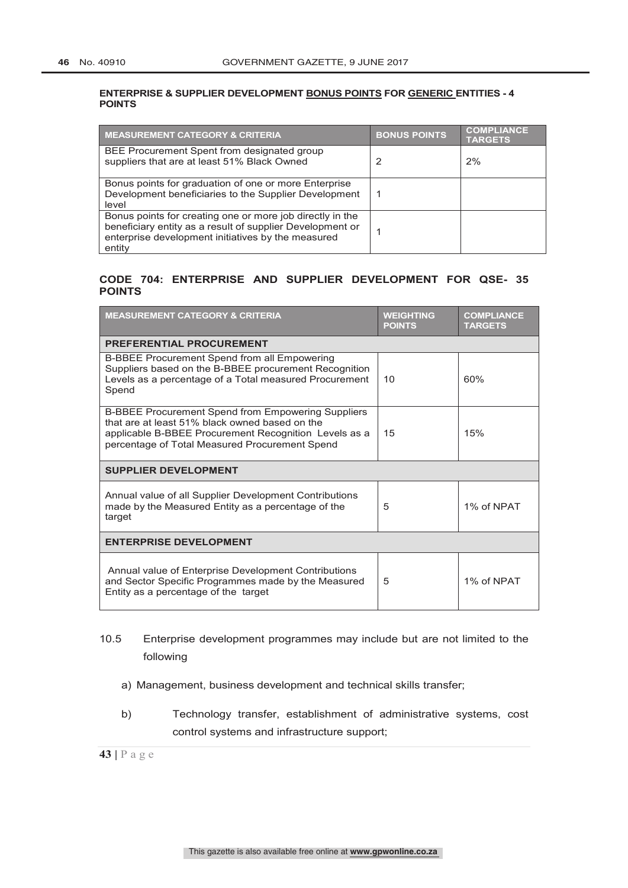#### **ENTERPRISE & SUPPLIER DEVELOPMENT BONUS POINTS FOR GENERIC ENTITIES - 4 POINTS**

| <b>MEASUREMENT CATEGORY &amp; CRITERIA</b>                                                                                                                                             | <b>BONUS POINTS</b> | <b>COMPLIANCE</b><br><b>TARGETS</b> |
|----------------------------------------------------------------------------------------------------------------------------------------------------------------------------------------|---------------------|-------------------------------------|
| BEE Procurement Spent from designated group<br>suppliers that are at least 51% Black Owned                                                                                             |                     | 2%                                  |
| Bonus points for graduation of one or more Enterprise<br>Development beneficiaries to the Supplier Development<br>level                                                                |                     |                                     |
| Bonus points for creating one or more job directly in the<br>beneficiary entity as a result of supplier Development or<br>enterprise development initiatives by the measured<br>entity |                     |                                     |

#### **CODE 704: ENTERPRISE AND SUPPLIER DEVELOPMENT FOR QSE- 35 POINTS**

| <b>MEASUREMENT CATEGORY &amp; CRITERIA</b>                                                                                                                                                                      | <b>WEIGHTING</b><br><b>POINTS</b> | <b>COMPLIANCE</b><br><b>TARGETS</b> |
|-----------------------------------------------------------------------------------------------------------------------------------------------------------------------------------------------------------------|-----------------------------------|-------------------------------------|
| <b>PREFERENTIAL PROCUREMENT</b>                                                                                                                                                                                 |                                   |                                     |
| B-BBEE Procurement Spend from all Empowering<br>Suppliers based on the B-BBEE procurement Recognition<br>Levels as a percentage of a Total measured Procurement<br>Spend                                        | 10                                | 60%                                 |
| B-BBEE Procurement Spend from Empowering Suppliers<br>that are at least 51% black owned based on the<br>applicable B-BBEE Procurement Recognition Levels as a<br>percentage of Total Measured Procurement Spend | 15                                | 15%                                 |
| <b>SUPPLIER DEVELOPMENT</b>                                                                                                                                                                                     |                                   |                                     |
| Annual value of all Supplier Development Contributions<br>made by the Measured Entity as a percentage of the<br>target                                                                                          | 5                                 | 1% of NPAT                          |
| <b>ENTERPRISE DEVELOPMENT</b>                                                                                                                                                                                   |                                   |                                     |
| Annual value of Enterprise Development Contributions<br>and Sector Specific Programmes made by the Measured<br>Entity as a percentage of the target                                                             | 5                                 | 1% of NPAT                          |

### 10.5 Enterprise development programmes may include but are not limited to the following

- a) Management, business development and technical skills transfer;
- b) Technology transfer, establishment of administrative systems, cost control systems and infrastructure support;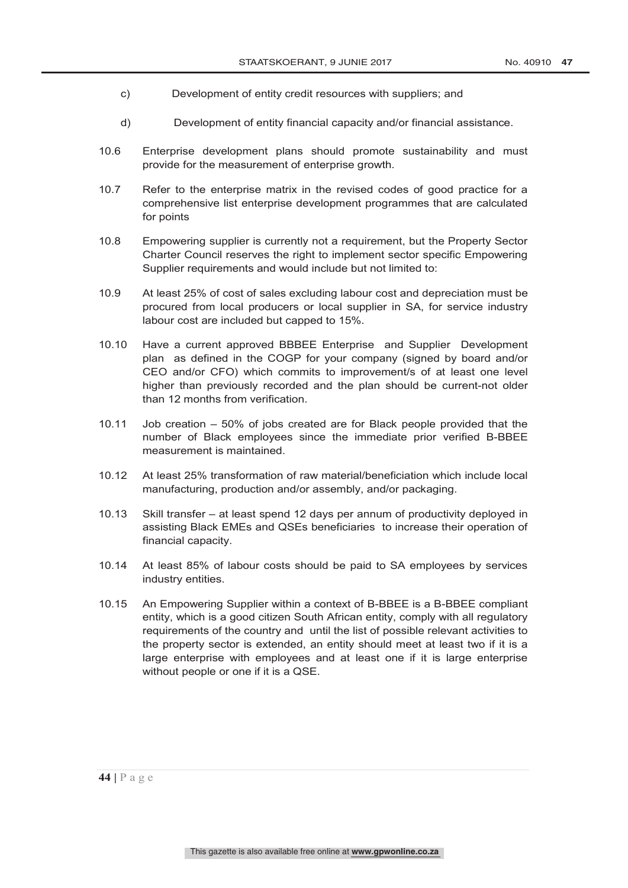- c) Development of entity credit resources with suppliers; and
- d) Development of entity financial capacity and/or financial assistance.
- 10.6 Enterprise development plans should promote sustainability and must provide for the measurement of enterprise growth.
- 10.7 Refer to the enterprise matrix in the revised codes of good practice for a comprehensive list enterprise development programmes that are calculated for points
- 10.8 Empowering supplier is currently not a requirement, but the Property Sector Charter Council reserves the right to implement sector specific Empowering Supplier requirements and would include but not limited to:
- 10.9 At least 25% of cost of sales excluding labour cost and depreciation must be procured from local producers or local supplier in SA, for service industry labour cost are included but capped to 15%.
- 10.10 Have a current approved BBBEE Enterprise and Supplier Development plan as defined in the COGP for your company (signed by board and/or CEO and/or CFO) which commits to improvement/s of at least one level higher than previously recorded and the plan should be current-not older than 12 months from verification.
- 10.11 Job creation 50% of jobs created are for Black people provided that the number of Black employees since the immediate prior verified B-BBEE measurement is maintained.
- 10.12 At least 25% transformation of raw material/beneficiation which include local manufacturing, production and/or assembly, and/or packaging.
- 10.13 Skill transfer at least spend 12 days per annum of productivity deployed in assisting Black EMEs and QSEs beneficiaries to increase their operation of financial capacity.
- 10.14 At least 85% of labour costs should be paid to SA employees by services industry entities.
- 10.15 An Empowering Supplier within a context of B-BBEE is a B-BBEE compliant entity, which is a good citizen South African entity, comply with all regulatory requirements of the country and until the list of possible relevant activities to the property sector is extended, an entity should meet at least two if it is a large enterprise with employees and at least one if it is large enterprise without people or one if it is a QSE.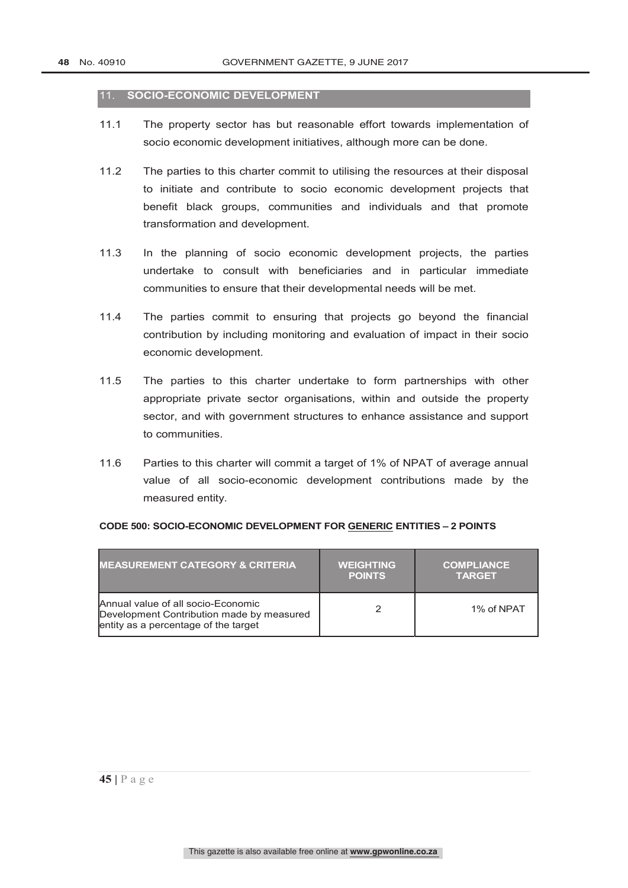#### 11. **SOCIO-ECONOMIC DEVELOPMENT**

- 11.1 The property sector has but reasonable effort towards implementation of socio economic development initiatives, although more can be done.
- 11.2 The parties to this charter commit to utilising the resources at their disposal to initiate and contribute to socio economic development projects that benefit black groups, communities and individuals and that promote transformation and development.
- 11.3 In the planning of socio economic development projects, the parties undertake to consult with beneficiaries and in particular immediate communities to ensure that their developmental needs will be met.
- 11.4 The parties commit to ensuring that projects go beyond the financial contribution by including monitoring and evaluation of impact in their socio economic development.
- 11.5 The parties to this charter undertake to form partnerships with other appropriate private sector organisations, within and outside the property sector, and with government structures to enhance assistance and support to communities.
- 11.6 Parties to this charter will commit a target of 1% of NPAT of average annual value of all socio-economic development contributions made by the measured entity.

| <b>MEASUREMENT CATEGORY &amp; CRITERIA</b>                                                                              | <b>WEIGHTING</b><br><b>POINTS</b> | <b>COMPLIANCE</b><br><b>TARGET</b> |
|-------------------------------------------------------------------------------------------------------------------------|-----------------------------------|------------------------------------|
| Annual value of all socio-Economic<br>Development Contribution made by measured<br>entity as a percentage of the target |                                   | 1% of NPAT                         |

#### **CODE 500: SOCIO-ECONOMIC DEVELOPMENT FOR GENERIC ENTITIES – 2 POINTS**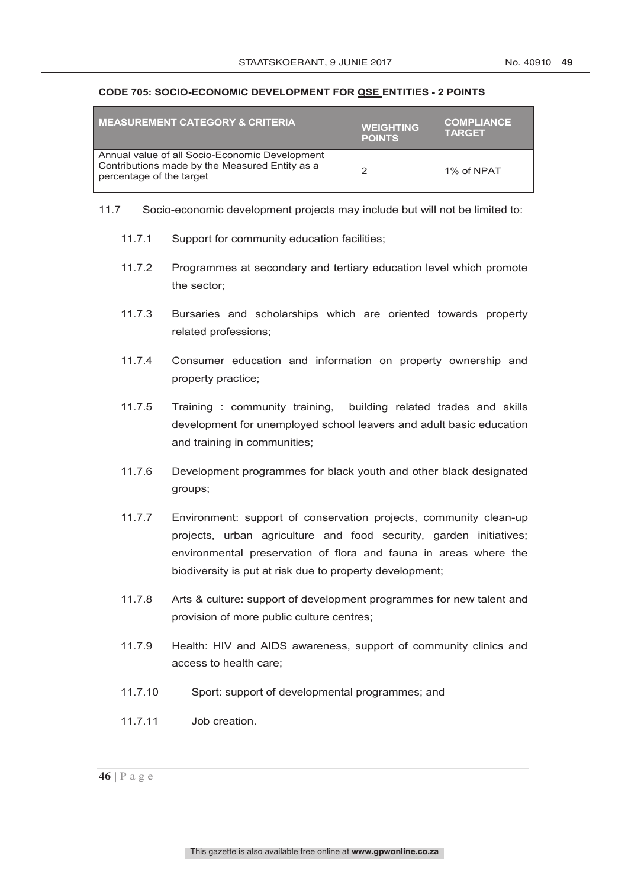#### **CODE 705: SOCIO-ECONOMIC DEVELOPMENT FOR QSE ENTITIES - 2 POINTS**

| <b>I MEASUREMENT CATEGORY &amp; CRITERIA</b>                                                                                 | <b>WEIGHTING</b><br><b>POINTS</b> | <b>COMPLIANCE</b><br><b>TARGET</b> |
|------------------------------------------------------------------------------------------------------------------------------|-----------------------------------|------------------------------------|
| Annual value of all Socio-Economic Development<br>Contributions made by the Measured Entity as a<br>percentage of the target | っ                                 | 1% of NPAT                         |

- 11.7 Socio-economic development projects may include but will not be limited to:
	- 11.7.1 Support for community education facilities;
	- 11.7.2 Programmes at secondary and tertiary education level which promote the sector;
	- 11.7.3 Bursaries and scholarships which are oriented towards property related professions;
	- 11.7.4 Consumer education and information on property ownership and property practice;
	- 11.7.5 Training : community training, building related trades and skills development for unemployed school leavers and adult basic education and training in communities;
	- 11.7.6 Development programmes for black youth and other black designated groups;
	- 11.7.7 Environment: support of conservation projects, community clean-up projects, urban agriculture and food security, garden initiatives; environmental preservation of flora and fauna in areas where the biodiversity is put at risk due to property development;
	- 11.7.8 Arts & culture: support of development programmes for new talent and provision of more public culture centres;
	- 11.7.9 Health: HIV and AIDS awareness, support of community clinics and access to health care;
	- 11.7.10 Sport: support of developmental programmes; and
	- 11.7.11 Job creation.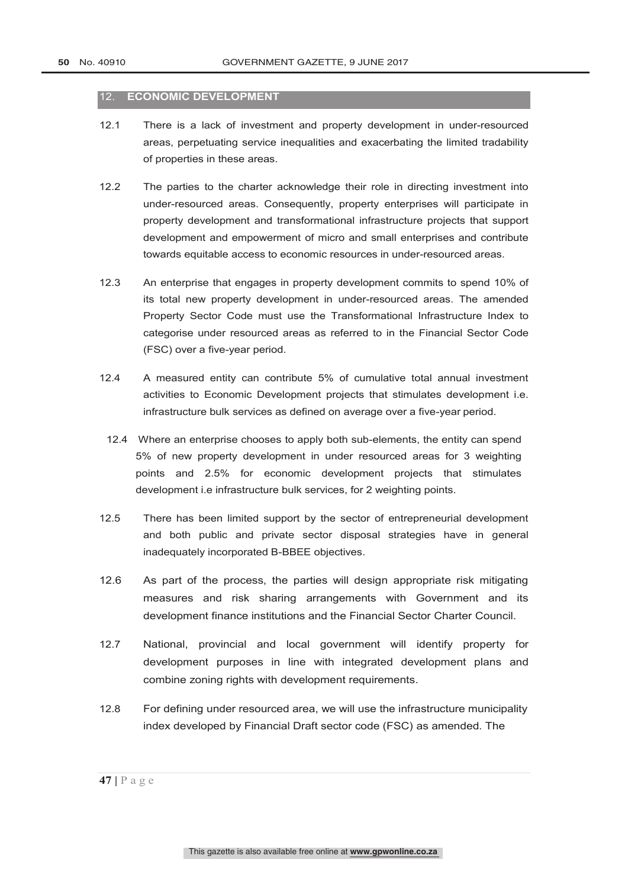#### 12. **ECONOMIC DEVELOPMENT**

- 12.1 There is a lack of investment and property development in under-resourced areas, perpetuating service inequalities and exacerbating the limited tradability of properties in these areas.
- 12.2 The parties to the charter acknowledge their role in directing investment into under-resourced areas. Consequently, property enterprises will participate in property development and transformational infrastructure projects that support development and empowerment of micro and small enterprises and contribute towards equitable access to economic resources in under-resourced areas.
- 12.3 An enterprise that engages in property development commits to spend 10% of its total new property development in under-resourced areas. The amended Property Sector Code must use the Transformational Infrastructure Index to categorise under resourced areas as referred to in the Financial Sector Code (FSC) over a five-year period.
- 12.4 A measured entity can contribute 5% of cumulative total annual investment activities to Economic Development projects that stimulates development i.e. infrastructure bulk services as defined on average over a five-year period.
- 12.4 Where an enterprise chooses to apply both sub-elements, the entity can spend 5% of new property development in under resourced areas for 3 weighting points and 2.5% for economic development projects that stimulates development i.e infrastructure bulk services, for 2 weighting points.
- 12.5 There has been limited support by the sector of entrepreneurial development and both public and private sector disposal strategies have in general inadequately incorporated B-BBEE objectives.
- 12.6 As part of the process, the parties will design appropriate risk mitigating measures and risk sharing arrangements with Government and its development finance institutions and the Financial Sector Charter Council.
- 12.7 National, provincial and local government will identify property for development purposes in line with integrated development plans and combine zoning rights with development requirements.
- 12.8 For defining under resourced area, we will use the infrastructure municipality index developed by Financial Draft sector code (FSC) as amended. The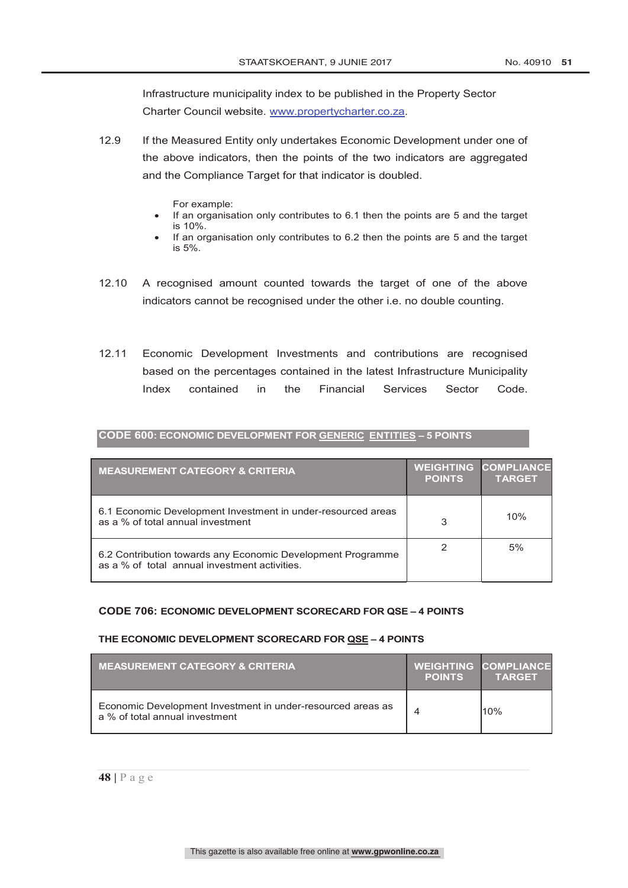Infrastructure municipality index to be published in the Property Sector Charter Council website. www.propertycharter.co.za.

- 12.9 If the Measured Entity only undertakes Economic Development under one of the above indicators, then the points of the two indicators are aggregated and the Compliance Target for that indicator is doubled.
	- For example:
	- If an organisation only contributes to 6.1 then the points are 5 and the target is 10%.
	- If an organisation only contributes to 6.2 then the points are 5 and the target is 5%.
- 12.10 A recognised amount counted towards the target of one of the above indicators cannot be recognised under the other i.e. no double counting.
- 12.11 Economic Development Investments and contributions are recognised based on the percentages contained in the latest Infrastructure Municipality Index contained in the Financial Services Sector Code.

| CODE 600: ECONOMIC DEVELOPMENT FOR GENERIC ENTITIES - 5 POINTS |  |
|----------------------------------------------------------------|--|
|                                                                |  |
|                                                                |  |
|                                                                |  |

| <b>MEASUREMENT CATEGORY &amp; CRITERIA</b>                                                                   | <b>WEIGHTING</b><br><b>POINTS</b> | <b>COMPLIANCE</b><br><b>TARGET</b> |
|--------------------------------------------------------------------------------------------------------------|-----------------------------------|------------------------------------|
| 6.1 Economic Development Investment in under-resourced areas<br>as a % of total annual investment            | 3                                 | 10%                                |
| 6.2 Contribution towards any Economic Development Programme<br>as a % of total annual investment activities. |                                   | 5%                                 |

#### **CODE 706: ECONOMIC DEVELOPMENT SCORECARD FOR QSE – 4 POINTS**

#### **THE ECONOMIC DEVELOPMENT SCORECARD FOR QSE – 4 POINTS**

| <b>MEASUREMENT CATEGORY &amp; CRITERIA</b>                                                    | <b>POINTS</b> | <b>WEIGHTING COMPLIANCE</b><br><b>TARGET</b> |
|-----------------------------------------------------------------------------------------------|---------------|----------------------------------------------|
| Economic Development Investment in under-resourced areas as<br>a % of total annual investment |               | 10%                                          |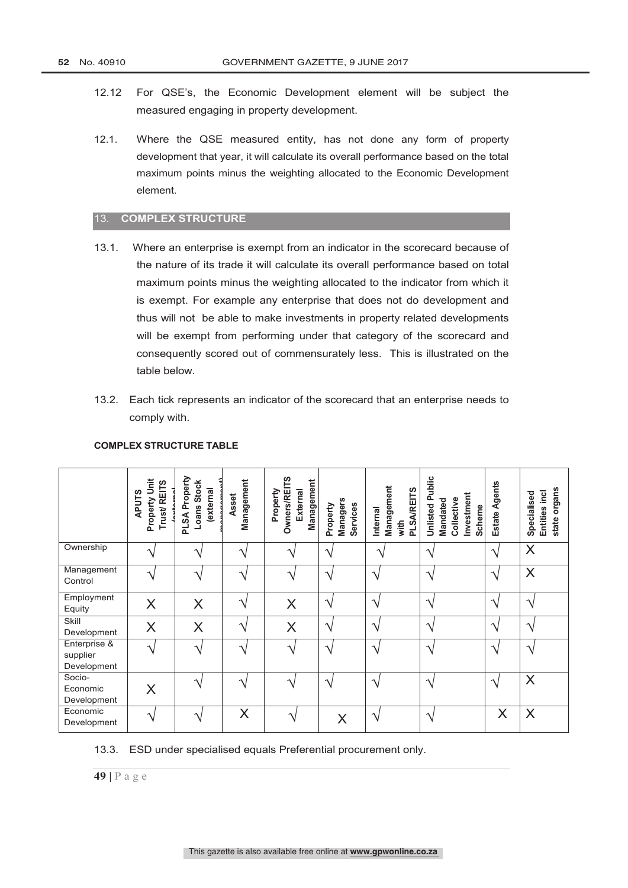- 12.12 For QSE's, the Economic Development element will be subject the measured engaging in property development.
- 12.1. Where the QSE measured entity, has not done any form of property development that year, it will calculate its overall performance based on the total maximum points minus the weighting allocated to the Economic Development element.

#### 13. **COMPLEX STRUCTURE**

- 13.1. Where an enterprise is exempt from an indicator in the scorecard because of the nature of its trade it will calculate its overall performance based on total maximum points minus the weighting allocated to the indicator from which it is exempt. For example any enterprise that does not do development and thus will not be able to make investments in property related developments will be exempt from performing under that category of the scorecard and consequently scored out of commensurately less. This is illustrated on the table below.
- 13.2. Each tick represents an indicator of the scorecard that an enterprise needs to comply with.

|                                         | Property Unit<br>Trust/REITS<br><b>APUTS</b> | PLSA Property<br>Loans Stock<br>external | Management<br>Asset | <b>Owners/REITS</b><br>Management<br>External<br>Property | <b>Managers</b><br>Services<br>Property | Management<br><b>PLSA/REITS</b><br>Internal<br>with | <b>Unlisted Public</b><br>Investment<br>Collective<br>Mandated<br>Scheme | Estate Agents          | organs<br>Entities incl<br>Specialised<br>state |
|-----------------------------------------|----------------------------------------------|------------------------------------------|---------------------|-----------------------------------------------------------|-----------------------------------------|-----------------------------------------------------|--------------------------------------------------------------------------|------------------------|-------------------------------------------------|
| Ownership                               |                                              |                                          | $\mathcal{L}$       |                                                           | ٦                                       | ٦                                                   | $\mathcal{L}$                                                            | $\gamma$               | X                                               |
| Management<br>Control                   |                                              | ᄾ                                        | $\mathbf \Lambda$   |                                                           | $\boldsymbol{\Lambda}$                  | $\boldsymbol{\Lambda}$                              | ٦                                                                        | $\boldsymbol{\Lambda}$ | X                                               |
| Employment<br>Equity                    | $\times$                                     | X                                        | ٦                   | X                                                         | ٦                                       | ٦                                                   | ٦                                                                        | ٦                      | ٦                                               |
| Skill<br>Development                    | $\times$                                     | $\times$                                 | ٦                   | X                                                         | ٦                                       | $\boldsymbol{\mathcal{A}}$                          | ٦                                                                        | ٦                      | ٦                                               |
| Enterprise &<br>supplier<br>Development |                                              | $\boldsymbol{\mathcal{A}}$               | $\mathbf \Lambda$   |                                                           | ٦                                       | $\boldsymbol{\mathcal{A}}$                          | ٦                                                                        | $\mathcal{L}$          | ٦                                               |
| Socio-<br>Economic<br>Development       | X                                            |                                          | ٦                   |                                                           | ٦                                       | $\boldsymbol{\mathcal{A}}$                          | ٦                                                                        | $\mathcal{L}$          | X                                               |
| Economic<br>Development                 | ٦                                            | ᄾ                                        | X                   | $\mathbf{v}$                                              | X                                       | $\boldsymbol{\mathcal{A}}$                          | ٦                                                                        | X                      | X                                               |

#### **COMPLEX STRUCTURE TABLE**

13.3. ESD under specialised equals Preferential procurement only.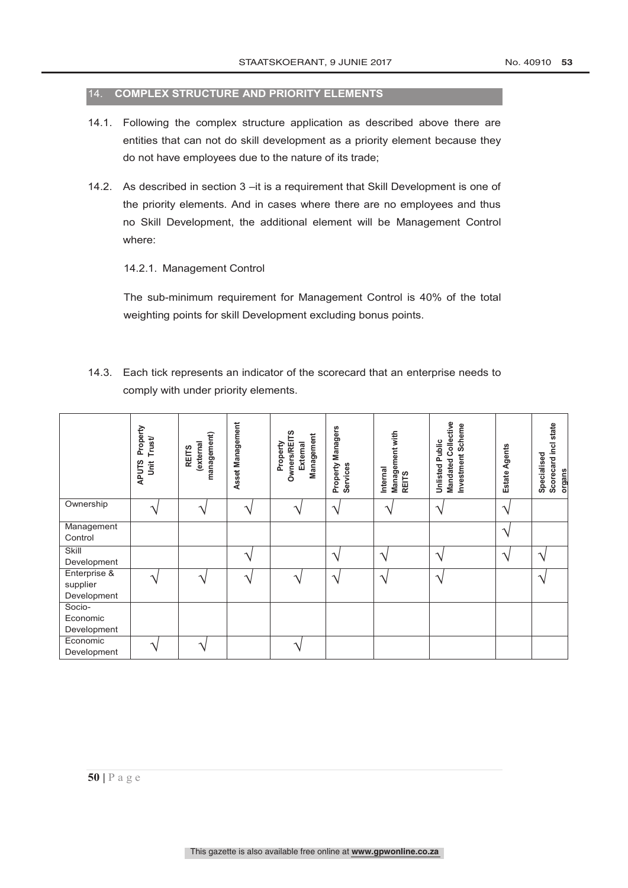#### 14. **COMPLEX STRUCTURE AND PRIORITY ELEMENTS**

- 14.1. Following the complex structure application as described above there are entities that can not do skill development as a priority element because they do not have employees due to the nature of its trade;
- 14.2. As described in section 3 –it is a requirement that Skill Development is one of the priority elements. And in cases where there are no employees and thus no Skill Development, the additional element will be Management Control where:

#### 14.2.1. Management Control

The sub-minimum requirement for Management Control is 40% of the total weighting points for skill Development excluding bonus points.

14.3. Each tick represents an indicator of the scorecard that an enterprise needs to comply with under priority elements.

|                                         | Property<br>Trust<br><b>APUTS</b><br>Š | management)<br>external<br><b>REITS</b> | Asset Management | ÎЯ<br>Management<br>Owners/REI<br>External<br>Property | Property Managers<br>Services | Management with<br>Internal<br><b>REITS</b> | <b>Mandated Collective</b><br>Investment Scheme<br><b>Unlisted Public</b> | Agents<br>Estate           | Scorecard incl state<br>Specialised<br>organs |
|-----------------------------------------|----------------------------------------|-----------------------------------------|------------------|--------------------------------------------------------|-------------------------------|---------------------------------------------|---------------------------------------------------------------------------|----------------------------|-----------------------------------------------|
| Ownership                               | へ                                      | へ                                       |                  |                                                        | $\boldsymbol{\mathcal{A}}$    | ٦                                           | $\mathbf \Lambda$                                                         | $\boldsymbol{\mathcal{A}}$ |                                               |
| Management<br>Control                   |                                        |                                         |                  |                                                        |                               |                                             |                                                                           | ٦                          |                                               |
| Skill<br>Development                    |                                        |                                         |                  |                                                        | $\boldsymbol{\Lambda}$        | へ                                           | $\triangleleft$                                                           | $\mathcal{L}$              | $\overline{\phantom{a}}$                      |
| Enterprise &<br>supplier<br>Development |                                        |                                         |                  |                                                        | ٦                             | ٦                                           | ᄾ                                                                         |                            | $\triangleleft$                               |
| Socio-<br>Economic<br>Development       |                                        |                                         |                  |                                                        |                               |                                             |                                                                           |                            |                                               |
| Economic<br>Development                 |                                        |                                         |                  |                                                        |                               |                                             |                                                                           |                            |                                               |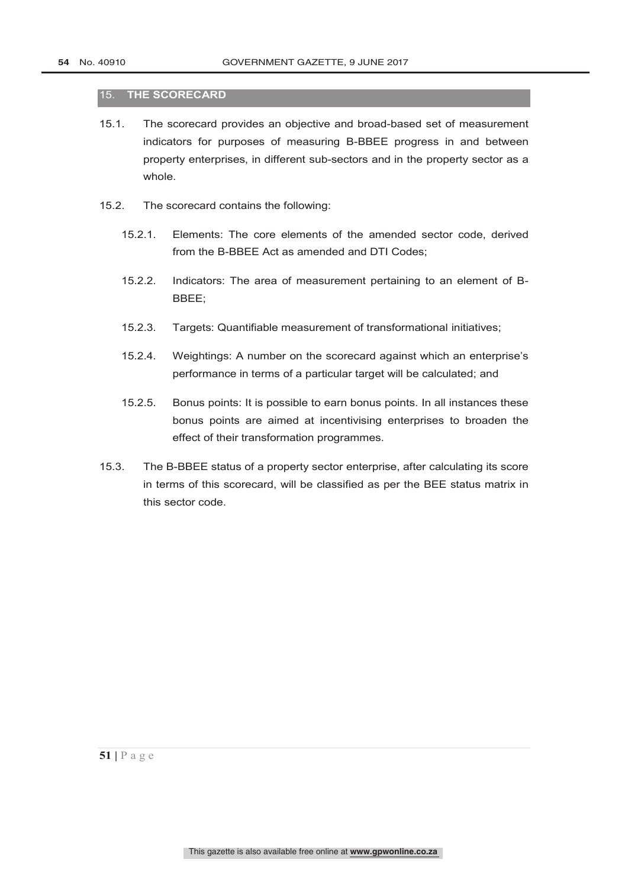#### 15. **THE SCORECARD**

- 15.1. The scorecard provides an objective and broad-based set of measurement indicators for purposes of measuring B-BBEE progress in and between property enterprises, in different sub-sectors and in the property sector as a whole.
- 15.2. The scorecard contains the following:
	- 15.2.1. Elements: The core elements of the amended sector code, derived from the B-BBEE Act as amended and DTI Codes;
	- 15.2.2. Indicators: The area of measurement pertaining to an element of B-BBEE;
	- 15.2.3. Targets: Quantifiable measurement of transformational initiatives;
	- 15.2.4. Weightings: A number on the scorecard against which an enterprise's performance in terms of a particular target will be calculated; and
	- 15.2.5. Bonus points: It is possible to earn bonus points. In all instances these bonus points are aimed at incentivising enterprises to broaden the effect of their transformation programmes.
- 15.3. The B-BBEE status of a property sector enterprise, after calculating its score in terms of this scorecard, will be classified as per the BEE status matrix in this sector code.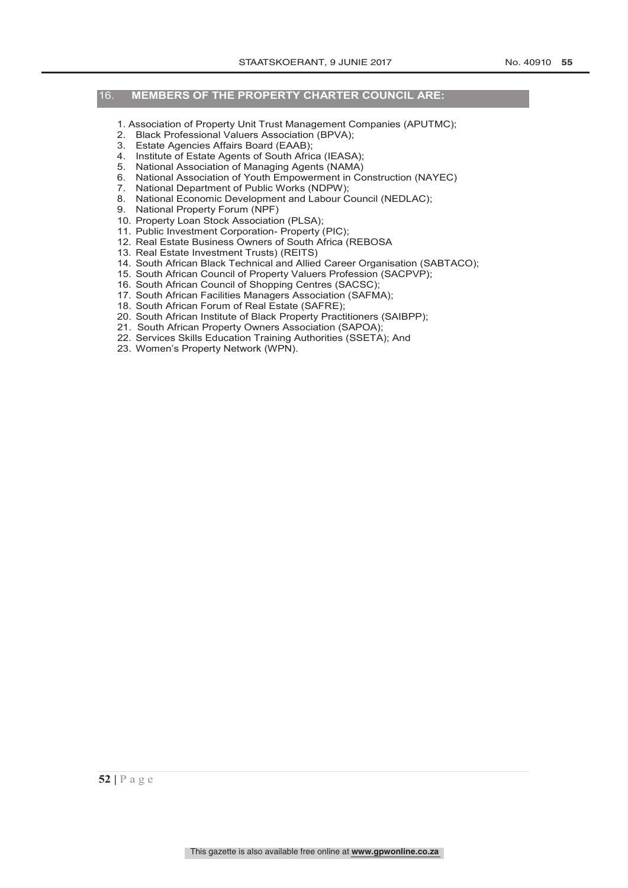#### 16. **MEMBERS OF THE PROPERTY CHARTER COUNCIL ARE:**

- 1. Association of Property Unit Trust Management Companies (APUTMC);
- 2. Black Professional Valuers Association (BPVA);
- 3. Estate Agencies Affairs Board (EAAB);
- 4. Institute of Estate Agents of South Africa (IEASA);
- 5. National Association of Managing Agents (NAMA)
- 6. National Association of Youth Empowerment in Construction (NAYEC)
- 7. National Department of Public Works (NDPW);
- 8. National Economic Development and Labour Council (NEDLAC);
- 9. National Property Forum (NPF)
- 10. Property Loan Stock Association (PLSA);
- 11. Public Investment Corporation- Property (PIC);
- 12. Real Estate Business Owners of South Africa (REBOSA
- 13. Real Estate Investment Trusts) (REITS)
- 14. South African Black Technical and Allied Career Organisation (SABTACO);
- 15. South African Council of Property Valuers Profession (SACPVP);
- 16. South African Council of Shopping Centres (SACSC);
- 17. South African Facilities Managers Association (SAFMA);
- 18. South African Forum of Real Estate (SAFRE);
- 20. South African Institute of Black Property Practitioners (SAIBPP);
- 21. South African Property Owners Association (SAPOA);
- 22. Services Skills Education Training Authorities (SSETA); And
- 23. Women's Property Network (WPN).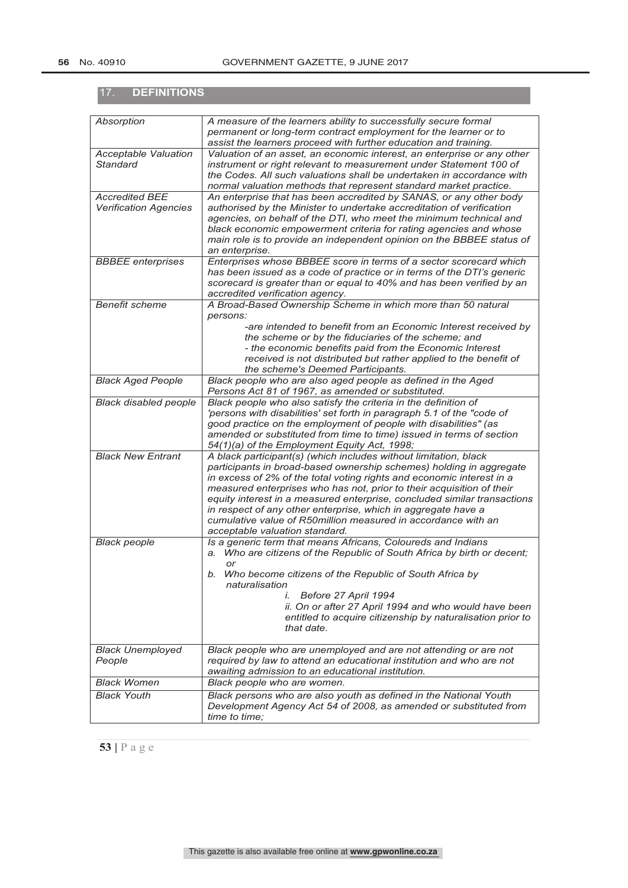| <b>DEFINITIONS</b><br>17.                             |                                                                                                                                                                                                                                                                                                                                                                                                                                                                                                                                           |
|-------------------------------------------------------|-------------------------------------------------------------------------------------------------------------------------------------------------------------------------------------------------------------------------------------------------------------------------------------------------------------------------------------------------------------------------------------------------------------------------------------------------------------------------------------------------------------------------------------------|
|                                                       |                                                                                                                                                                                                                                                                                                                                                                                                                                                                                                                                           |
| Absorption                                            | A measure of the learners ability to successfully secure formal<br>permanent or long-term contract employment for the learner or to<br>assist the learners proceed with further education and training.                                                                                                                                                                                                                                                                                                                                   |
| <b>Acceptable Valuation</b><br><b>Standard</b>        | Valuation of an asset, an economic interest, an enterprise or any other<br>instrument or right relevant to measurement under Statement 100 of<br>the Codes. All such valuations shall be undertaken in accordance with<br>normal valuation methods that represent standard market practice.                                                                                                                                                                                                                                               |
| <b>Accredited BEE</b><br><b>Verification Agencies</b> | An enterprise that has been accredited by SANAS, or any other body<br>authorised by the Minister to undertake accreditation of verification<br>agencies, on behalf of the DTI, who meet the minimum technical and<br>black economic empowerment criteria for rating agencies and whose<br>main role is to provide an independent opinion on the BBBEE status of<br>an enterprise.                                                                                                                                                         |
| <b>BBBEE</b> enterprises                              | Enterprises whose BBBEE score in terms of a sector scorecard which<br>has been issued as a code of practice or in terms of the DTI's generic<br>scorecard is greater than or equal to 40% and has been verified by an<br>accredited verification agency.                                                                                                                                                                                                                                                                                  |
| <b>Benefit scheme</b>                                 | A Broad-Based Ownership Scheme in which more than 50 natural<br>persons:<br>-are intended to benefit from an Economic Interest received by<br>the scheme or by the fiduciaries of the scheme; and<br>- the economic benefits paid from the Economic Interest                                                                                                                                                                                                                                                                              |
|                                                       | received is not distributed but rather applied to the benefit of<br>the scheme's Deemed Participants.                                                                                                                                                                                                                                                                                                                                                                                                                                     |
| <b>Black Aged People</b>                              | Black people who are also aged people as defined in the Aged<br>Persons Act 81 of 1967, as amended or substituted.                                                                                                                                                                                                                                                                                                                                                                                                                        |
| <b>Black disabled people</b>                          | Black people who also satisfy the criteria in the definition of<br>'persons with disabilities' set forth in paragraph 5.1 of the "code of<br>good practice on the employment of people with disabilities" (as<br>amended or substituted from time to time) issued in terms of section<br>54(1)(a) of the Employment Equity Act, 1998;                                                                                                                                                                                                     |
| <b>Black New Entrant</b>                              | A black participant(s) (which includes without limitation, black<br>participants in broad-based ownership schemes) holding in aggregate<br>in excess of 2% of the total voting rights and economic interest in a<br>measured enterprises who has not, prior to their acquisition of their<br>equity interest in a measured enterprise, concluded similar transactions<br>in respect of any other enterprise, which in aggregate have a<br>cumulative value of R50million measured in accordance with an<br>acceptable valuation standard. |
| <b>Black people</b>                                   | Is a generic term that means Africans, Coloureds and Indians<br>a. Who are citizens of the Republic of South Africa by birth or decent;<br>or<br>b. Who become citizens of the Republic of South Africa by<br>naturalisation<br>i. Before 27 April 1994<br>ii. On or after 27 April 1994 and who would have been<br>entitled to acquire citizenship by naturalisation prior to<br>that date.                                                                                                                                              |
| <b>Black Unemployed</b><br>People                     | Black people who are unemployed and are not attending or are not<br>required by law to attend an educational institution and who are not<br>awaiting admission to an educational institution.                                                                                                                                                                                                                                                                                                                                             |
| <b>Black Women</b>                                    | Black people who are women.                                                                                                                                                                                                                                                                                                                                                                                                                                                                                                               |
| <b>Black Youth</b>                                    | Black persons who are also youth as defined in the National Youth<br>Development Agency Act 54 of 2008, as amended or substituted from<br>time to time:                                                                                                                                                                                                                                                                                                                                                                                   |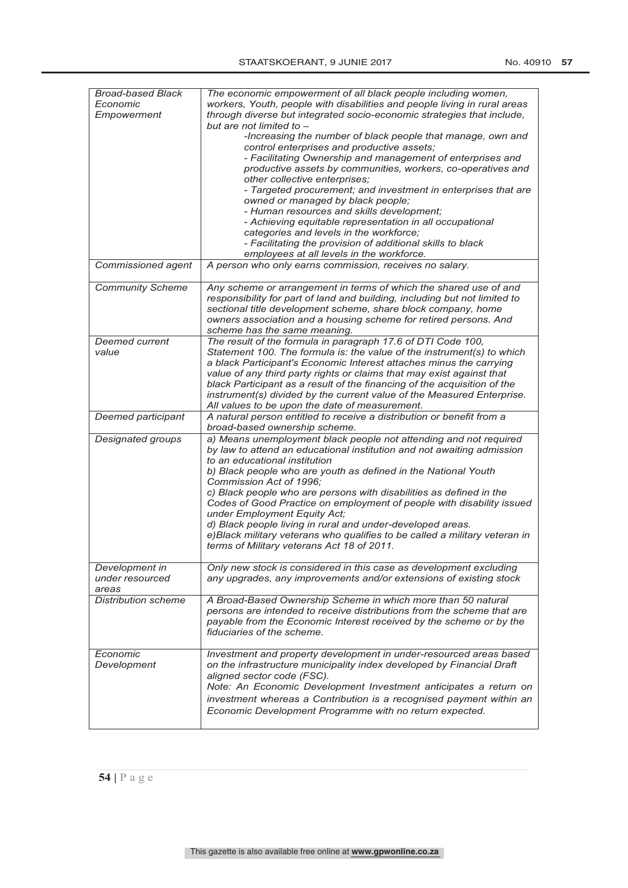| <b>Broad-based Black</b>   | The economic empowerment of all black people including women,              |
|----------------------------|----------------------------------------------------------------------------|
| Economic                   | workers, Youth, people with disabilities and people living in rural areas  |
|                            |                                                                            |
| Empowerment                | through diverse but integrated socio-economic strategies that include,     |
|                            | but are not limited to -                                                   |
|                            | -Increasing the number of black people that manage, own and                |
|                            | control enterprises and productive assets;                                 |
|                            |                                                                            |
|                            | - Facilitating Ownership and management of enterprises and                 |
|                            | productive assets by communities, workers, co-operatives and               |
|                            | other collective enterprises;                                              |
|                            |                                                                            |
|                            | - Targeted procurement; and investment in enterprises that are             |
|                            | owned or managed by black people;                                          |
|                            | - Human resources and skills development;                                  |
|                            | - Achieving equitable representation in all occupational                   |
|                            |                                                                            |
|                            | categories and levels in the workforce;                                    |
|                            | - Facilitating the provision of additional skills to black                 |
|                            | employees at all levels in the workforce.                                  |
|                            |                                                                            |
| Commissioned agent         | A person who only earns commission, receives no salary.                    |
| <b>Community Scheme</b>    | Any scheme or arrangement in terms of which the shared use of and          |
|                            | responsibility for part of land and building, including but not limited to |
|                            |                                                                            |
|                            | sectional title development scheme, share block company, home              |
|                            | owners association and a housing scheme for retired persons. And           |
|                            | scheme has the same meaning.                                               |
| <b>Deemed current</b>      | The result of the formula in paragraph 17.6 of DTI Code 100,               |
|                            |                                                                            |
| value                      | Statement 100. The formula is: the value of the instrument(s) to which     |
|                            | a black Participant's Economic Interest attaches minus the carrying        |
|                            | value of any third party rights or claims that may exist against that      |
|                            |                                                                            |
|                            | black Participant as a result of the financing of the acquisition of the   |
|                            | instrument(s) divided by the current value of the Measured Enterprise.     |
|                            | All values to be upon the date of measurement.                             |
|                            |                                                                            |
| Deemed participant         | A natural person entitled to receive a distribution or benefit from a      |
|                            | broad-based ownership scheme.                                              |
| Designated groups          | a) Means unemployment black people not attending and not required          |
|                            | by law to attend an educational institution and not awaiting admission     |
|                            |                                                                            |
|                            | to an educational institution                                              |
|                            | b) Black people who are youth as defined in the National Youth             |
|                            | Commission Act of 1996:                                                    |
|                            |                                                                            |
|                            | c) Black people who are persons with disabilities as defined in the        |
|                            | Codes of Good Practice on employment of people with disability issued      |
|                            | under Employment Equity Act;                                               |
|                            | d) Black people living in rural and under-developed areas.                 |
|                            |                                                                            |
|                            | e)Black military veterans who qualifies to be called a military veteran in |
|                            | terms of Military veterans Act 18 of 2011.                                 |
|                            |                                                                            |
| Development in             | Only new stock is considered in this case as development excluding         |
|                            |                                                                            |
| under resourced            | any upgrades, any improvements and/or extensions of existing stock         |
| areas                      |                                                                            |
| <b>Distribution scheme</b> | A Broad-Based Ownership Scheme in which more than 50 natural               |
|                            | persons are intended to receive distributions from the scheme that are     |
|                            |                                                                            |
|                            | payable from the Economic Interest received by the scheme or by the        |
|                            | fiduciaries of the scheme.                                                 |
|                            |                                                                            |
|                            |                                                                            |
| Economic                   | Investment and property development in under-resourced areas based         |
| Development                | on the infrastructure municipality index developed by Financial Draft      |
|                            | aligned sector code (FSC).                                                 |
|                            | Note: An Economic Development Investment anticipates a return on           |
|                            |                                                                            |
|                            | investment whereas a Contribution is a recognised payment within an        |
|                            | Economic Development Programme with no return expected.                    |
|                            |                                                                            |
|                            |                                                                            |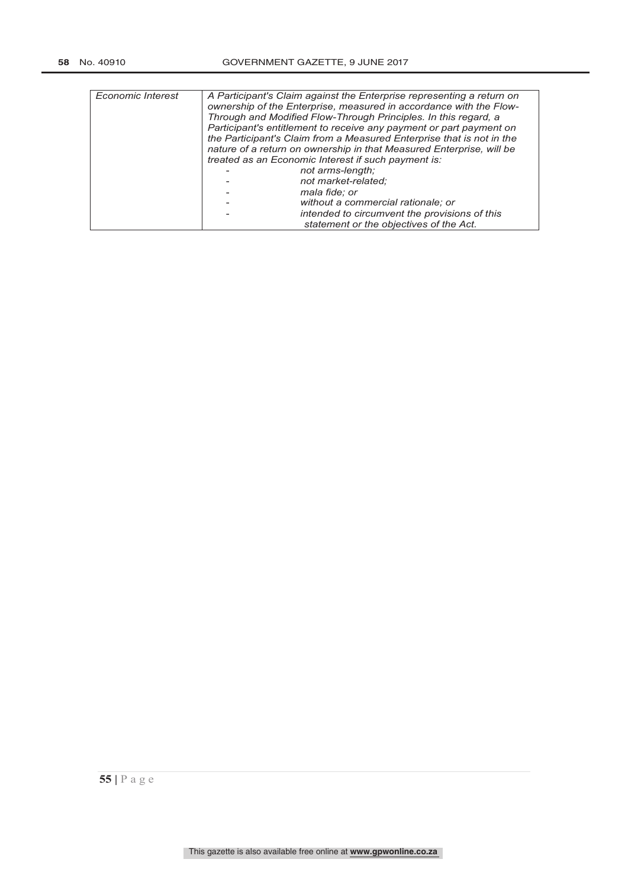| Economic Interest | A Participant's Claim against the Enterprise representing a return on<br>ownership of the Enterprise, measured in accordance with the Flow-<br>Through and Modified Flow-Through Principles. In this regard, a<br>Participant's entitlement to receive any payment or part payment on<br>the Participant's Claim from a Measured Enterprise that is not in the<br>nature of a return on ownership in that Measured Enterprise, will be<br>treated as an Economic Interest if such payment is: |                                               |
|-------------------|-----------------------------------------------------------------------------------------------------------------------------------------------------------------------------------------------------------------------------------------------------------------------------------------------------------------------------------------------------------------------------------------------------------------------------------------------------------------------------------------------|-----------------------------------------------|
|                   |                                                                                                                                                                                                                                                                                                                                                                                                                                                                                               | not arms-length;                              |
|                   |                                                                                                                                                                                                                                                                                                                                                                                                                                                                                               | not market-related:                           |
|                   |                                                                                                                                                                                                                                                                                                                                                                                                                                                                                               | mala fide; or                                 |
|                   |                                                                                                                                                                                                                                                                                                                                                                                                                                                                                               | without a commercial rationale; or            |
|                   |                                                                                                                                                                                                                                                                                                                                                                                                                                                                                               | intended to circumvent the provisions of this |
|                   |                                                                                                                                                                                                                                                                                                                                                                                                                                                                                               | statement or the objectives of the Act.       |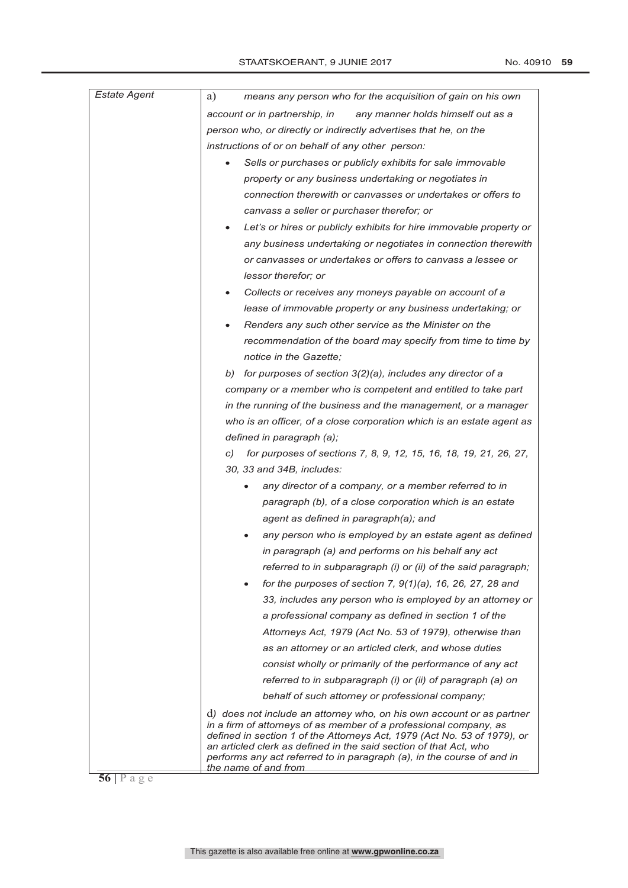| <b>Estate Agent</b> | means any person who for the acquisition of gain on his own<br>a)                                                                                                                                                  |
|---------------------|--------------------------------------------------------------------------------------------------------------------------------------------------------------------------------------------------------------------|
|                     | account or in partnership, in<br>any manner holds himself out as a                                                                                                                                                 |
|                     | person who, or directly or indirectly advertises that he, on the                                                                                                                                                   |
|                     | instructions of or on behalf of any other person:                                                                                                                                                                  |
|                     | Sells or purchases or publicly exhibits for sale immovable<br>$\bullet$                                                                                                                                            |
|                     | property or any business undertaking or negotiates in                                                                                                                                                              |
|                     | connection therewith or canvasses or undertakes or offers to                                                                                                                                                       |
|                     | canvass a seller or purchaser therefor; or                                                                                                                                                                         |
|                     | Let's or hires or publicly exhibits for hire immovable property or                                                                                                                                                 |
|                     | any business undertaking or negotiates in connection therewith                                                                                                                                                     |
|                     | or canvasses or undertakes or offers to canvass a lessee or                                                                                                                                                        |
|                     | lessor therefor; or                                                                                                                                                                                                |
|                     | Collects or receives any moneys payable on account of a<br>$\bullet$                                                                                                                                               |
|                     | lease of immovable property or any business undertaking; or                                                                                                                                                        |
|                     | Renders any such other service as the Minister on the                                                                                                                                                              |
|                     | recommendation of the board may specify from time to time by                                                                                                                                                       |
|                     | notice in the Gazette;                                                                                                                                                                                             |
|                     | b) for purposes of section $3(2)(a)$ , includes any director of a                                                                                                                                                  |
|                     | company or a member who is competent and entitled to take part                                                                                                                                                     |
|                     | in the running of the business and the management, or a manager                                                                                                                                                    |
|                     | who is an officer, of a close corporation which is an estate agent as                                                                                                                                              |
|                     | defined in paragraph (a);                                                                                                                                                                                          |
|                     | for purposes of sections 7, 8, 9, 12, 15, 16, 18, 19, 21, 26, 27,<br>C)                                                                                                                                            |
|                     | 30, 33 and 34B, includes:                                                                                                                                                                                          |
|                     | any director of a company, or a member referred to in                                                                                                                                                              |
|                     | paragraph (b), of a close corporation which is an estate                                                                                                                                                           |
|                     | agent as defined in paragraph(a); and                                                                                                                                                                              |
|                     | any person who is employed by an estate agent as defined                                                                                                                                                           |
|                     | in paragraph (a) and performs on his behalf any act                                                                                                                                                                |
|                     | referred to in subparagraph (i) or (ii) of the said paragraph;                                                                                                                                                     |
|                     | for the purposes of section 7, $9(1)(a)$ , 16, 26, 27, 28 and                                                                                                                                                      |
|                     | 33, includes any person who is employed by an attorney or                                                                                                                                                          |
|                     | a professional company as defined in section 1 of the                                                                                                                                                              |
|                     | Attorneys Act, 1979 (Act No. 53 of 1979), otherwise than                                                                                                                                                           |
|                     | as an attorney or an articled clerk, and whose duties                                                                                                                                                              |
|                     | consist wholly or primarily of the performance of any act                                                                                                                                                          |
|                     | referred to in subparagraph (i) or (ii) of paragraph (a) on                                                                                                                                                        |
|                     | behalf of such attorney or professional company;                                                                                                                                                                   |
|                     | d) does not include an attorney who, on his own account or as partner                                                                                                                                              |
|                     | in a firm of attorneys of as member of a professional company, as<br>defined in section 1 of the Attorneys Act, 1979 (Act No. 53 of 1979), or<br>an articled clerk as defined in the said section of that Act, who |
|                     | performs any act referred to in paragraph (a), in the course of and in<br>the name of and from                                                                                                                     |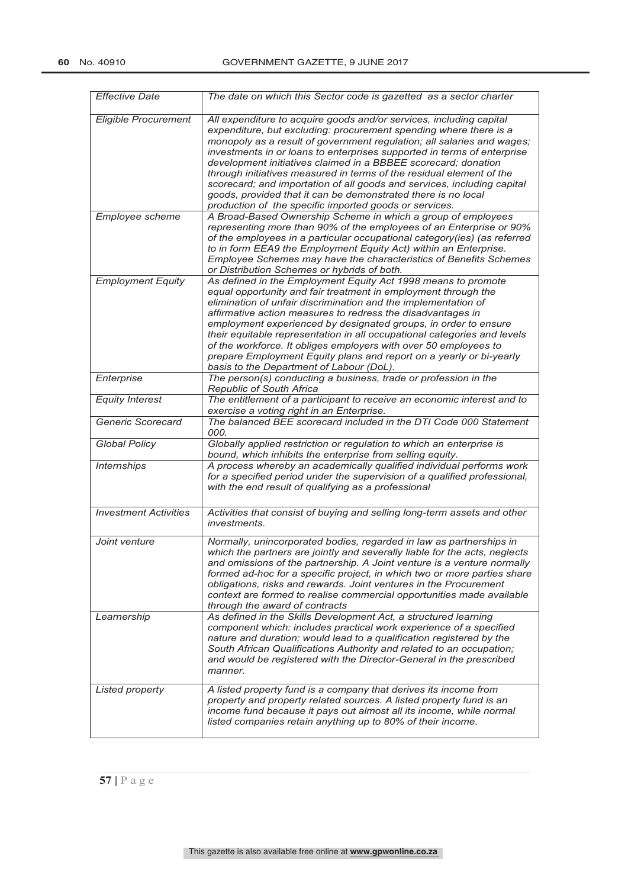| <b>Effective Date</b>        | The date on which this Sector code is gazetted as a sector charter                                                                                                                                                                                                                                                                                                                                                                                                                                                                                                                                                                            |
|------------------------------|-----------------------------------------------------------------------------------------------------------------------------------------------------------------------------------------------------------------------------------------------------------------------------------------------------------------------------------------------------------------------------------------------------------------------------------------------------------------------------------------------------------------------------------------------------------------------------------------------------------------------------------------------|
| <b>Eligible Procurement</b>  | All expenditure to acquire goods and/or services, including capital<br>expenditure, but excluding: procurement spending where there is a<br>monopoly as a result of government regulation; all salaries and wages;<br>investments in or loans to enterprises supported in terms of enterprise<br>development initiatives claimed in a BBBEE scorecard; donation<br>through initiatives measured in terms of the residual element of the<br>scorecard; and importation of all goods and services, including capital<br>goods, provided that it can be demonstrated there is no local<br>production of the specific imported goods or services. |
| Employee scheme              | A Broad-Based Ownership Scheme in which a group of employees<br>representing more than 90% of the employees of an Enterprise or 90%<br>of the employees in a particular occupational category(ies) (as referred<br>to in form EEA9 the Employment Equity Act) within an Enterprise.<br>Employee Schemes may have the characteristics of Benefits Schemes<br>or Distribution Schemes or hybrids of both.                                                                                                                                                                                                                                       |
| <b>Employment Equity</b>     | As defined in the Employment Equity Act 1998 means to promote<br>equal opportunity and fair treatment in employment through the<br>elimination of unfair discrimination and the implementation of<br>affirmative action measures to redress the disadvantages in<br>employment experienced by designated groups, in order to ensure<br>their equitable representation in all occupational categories and levels<br>of the workforce. It obliges employers with over 50 employees to<br>prepare Employment Equity plans and report on a yearly or bi-yearly<br>basis to the Department of Labour (DoL).                                        |
| Enterprise                   | The person(s) conducting a business, trade or profession in the<br><b>Republic of South Africa</b>                                                                                                                                                                                                                                                                                                                                                                                                                                                                                                                                            |
| <b>Equity Interest</b>       | The entitlement of a participant to receive an economic interest and to<br>exercise a voting right in an Enterprise.                                                                                                                                                                                                                                                                                                                                                                                                                                                                                                                          |
| Generic Scorecard            | The balanced BEE scorecard included in the DTI Code 000 Statement<br>000.                                                                                                                                                                                                                                                                                                                                                                                                                                                                                                                                                                     |
| <b>Global Policy</b>         | Globally applied restriction or regulation to which an enterprise is<br>bound, which inhibits the enterprise from selling equity.                                                                                                                                                                                                                                                                                                                                                                                                                                                                                                             |
| <b>Internships</b>           | A process whereby an academically qualified individual performs work<br>for a specified period under the supervision of a qualified professional,<br>with the end result of qualifying as a professional                                                                                                                                                                                                                                                                                                                                                                                                                                      |
| <b>Investment Activities</b> | Activities that consist of buying and selling long-term assets and other<br><i>investments.</i>                                                                                                                                                                                                                                                                                                                                                                                                                                                                                                                                               |
| Joint venture                | Normally, unincorporated bodies, regarded in law as partnerships in<br>which the partners are jointly and severally liable for the acts, neglects<br>and omissions of the partnership. A Joint venture is a venture normally<br>formed ad-hoc for a specific project, in which two or more parties share<br>obligations, risks and rewards. Joint ventures in the Procurement<br>context are formed to realise commercial opportunities made available<br>through the award of contracts                                                                                                                                                      |
| Learnership                  | As defined in the Skills Development Act, a structured learning<br>component which: includes practical work experience of a specified<br>nature and duration; would lead to a qualification registered by the<br>South African Qualifications Authority and related to an occupation;<br>and would be registered with the Director-General in the prescribed<br>manner.                                                                                                                                                                                                                                                                       |
| Listed property              | A listed property fund is a company that derives its income from<br>property and property related sources. A listed property fund is an<br>income fund because it pays out almost all its income, while normal<br>listed companies retain anything up to 80% of their income.                                                                                                                                                                                                                                                                                                                                                                 |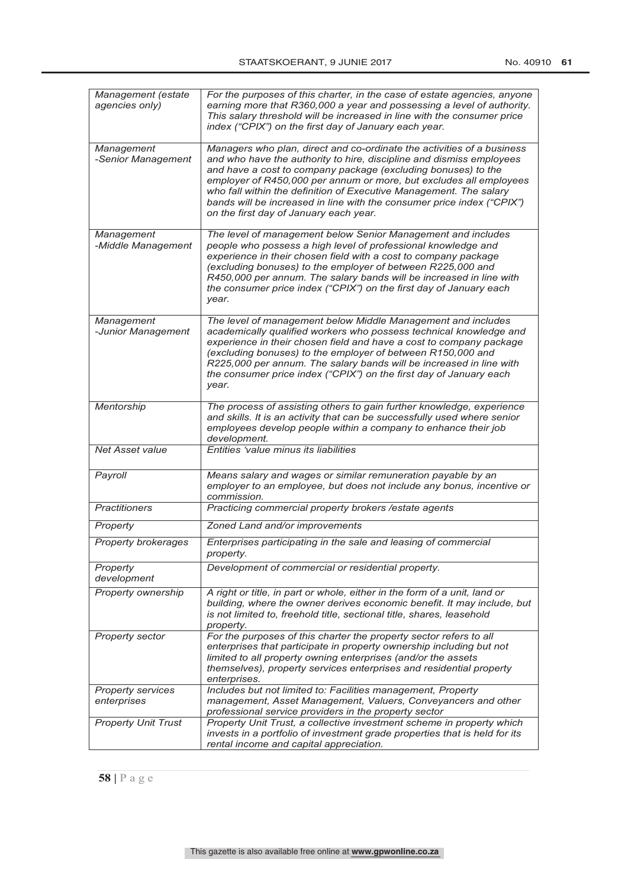| Management (estate<br>agencies only) | For the purposes of this charter, in the case of estate agencies, anyone<br>earning more that R360,000 a year and possessing a level of authority.<br>This salary threshold will be increased in line with the consumer price<br>index ("CPIX") on the first day of January each year.                                                                                                                                                                                          |
|--------------------------------------|---------------------------------------------------------------------------------------------------------------------------------------------------------------------------------------------------------------------------------------------------------------------------------------------------------------------------------------------------------------------------------------------------------------------------------------------------------------------------------|
| Management<br>-Senior Management     | Managers who plan, direct and co-ordinate the activities of a business<br>and who have the authority to hire, discipline and dismiss employees<br>and have a cost to company package (excluding bonuses) to the<br>employer of R450,000 per annum or more, but excludes all employees<br>who fall within the definition of Executive Management. The salary<br>bands will be increased in line with the consumer price index ("CPIX")<br>on the first day of January each year. |
| Management<br>-Middle Management     | The level of management below Senior Management and includes<br>people who possess a high level of professional knowledge and<br>experience in their chosen field with a cost to company package<br>(excluding bonuses) to the employer of between R225,000 and<br>R450,000 per annum. The salary bands will be increased in line with<br>the consumer price index ("CPIX") on the first day of January each<br>vear.                                                           |
| Management<br>-Junior Management     | The level of management below Middle Management and includes<br>academically qualified workers who possess technical knowledge and<br>experience in their chosen field and have a cost to company package<br>(excluding bonuses) to the employer of between R150,000 and<br>R225,000 per annum. The salary bands will be increased in line with<br>the consumer price index ("CPIX") on the first day of January each<br>year.                                                  |
| Mentorship                           | The process of assisting others to gain further knowledge, experience<br>and skills. It is an activity that can be successfully used where senior<br>employees develop people within a company to enhance their job<br>development.                                                                                                                                                                                                                                             |
| Net Asset value                      | Entities 'value minus its liabilities                                                                                                                                                                                                                                                                                                                                                                                                                                           |
| Payroll                              | Means salary and wages or similar remuneration payable by an<br>employer to an employee, but does not include any bonus, incentive or<br>commission.                                                                                                                                                                                                                                                                                                                            |
| <b>Practitioners</b>                 | Practicing commercial property brokers / estate agents                                                                                                                                                                                                                                                                                                                                                                                                                          |
| Property                             | Zoned Land and/or improvements                                                                                                                                                                                                                                                                                                                                                                                                                                                  |
| <b>Property brokerages</b>           | Enterprises participating in the sale and leasing of commercial<br>property.                                                                                                                                                                                                                                                                                                                                                                                                    |
| Property<br>development              | Development of commercial or residential property.                                                                                                                                                                                                                                                                                                                                                                                                                              |
| Property ownership                   | A right or title, in part or whole, either in the form of a unit, land or<br>building, where the owner derives economic benefit. It may include, but<br>is not limited to, freehold title, sectional title, shares, leasehold<br>property.                                                                                                                                                                                                                                      |
| <b>Property sector</b>               | For the purposes of this charter the property sector refers to all<br>enterprises that participate in property ownership including but not<br>limited to all property owning enterprises (and/or the assets<br>themselves), property services enterprises and residential property<br>enterprises.                                                                                                                                                                              |
| Property services<br>enterprises     | Includes but not limited to: Facilities management, Property<br>management, Asset Management, Valuers, Conveyancers and other<br>professional service providers in the property sector                                                                                                                                                                                                                                                                                          |
| <b>Property Unit Trust</b>           | Property Unit Trust, a collective investment scheme in property which<br>invests in a portfolio of investment grade properties that is held for its<br>rental income and capital appreciation.                                                                                                                                                                                                                                                                                  |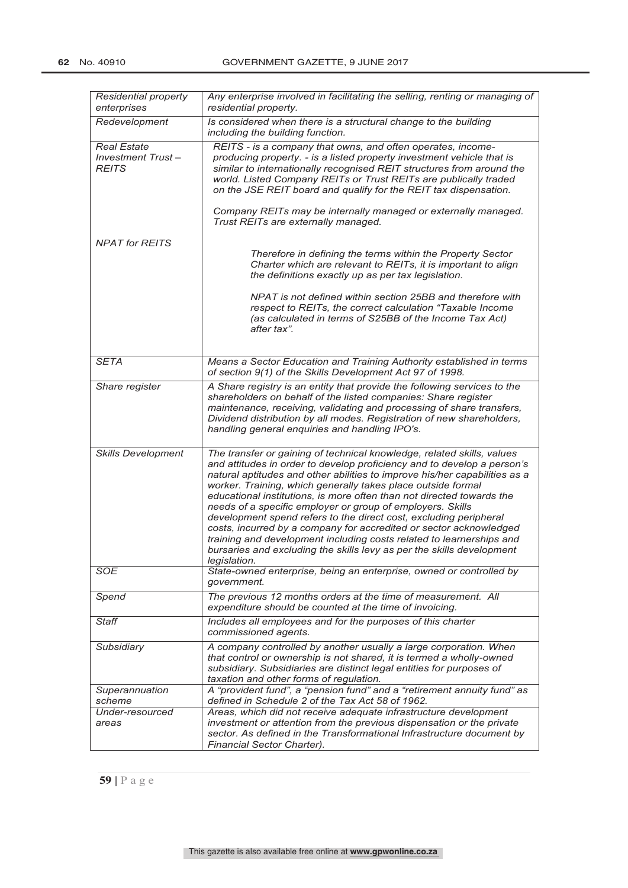| Residential property<br>enterprises                            | Any enterprise involved in facilitating the selling, renting or managing of<br>residential property.                                                                                                                                                                                                                                                                                                                                                                                                                                                                                                                                                                                                                                               |
|----------------------------------------------------------------|----------------------------------------------------------------------------------------------------------------------------------------------------------------------------------------------------------------------------------------------------------------------------------------------------------------------------------------------------------------------------------------------------------------------------------------------------------------------------------------------------------------------------------------------------------------------------------------------------------------------------------------------------------------------------------------------------------------------------------------------------|
| Redevelopment                                                  | Is considered when there is a structural change to the building<br>including the building function.                                                                                                                                                                                                                                                                                                                                                                                                                                                                                                                                                                                                                                                |
| <b>Real Estate</b><br><b>Investment Trust-</b><br><b>REITS</b> | REITS - is a company that owns, and often operates, income-<br>producing property. - is a listed property investment vehicle that is<br>similar to internationally recognised REIT structures from around the<br>world. Listed Company REITs or Trust REITs are publically traded<br>on the JSE REIT board and qualify for the REIT tax dispensation.<br>Company REITs may be internally managed or externally managed.<br>Trust REITs are externally managed.                                                                                                                                                                                                                                                                                     |
| <b>NPAT</b> for REITS                                          | Therefore in defining the terms within the Property Sector<br>Charter which are relevant to REITs, it is important to align                                                                                                                                                                                                                                                                                                                                                                                                                                                                                                                                                                                                                        |
|                                                                | the definitions exactly up as per tax legislation.                                                                                                                                                                                                                                                                                                                                                                                                                                                                                                                                                                                                                                                                                                 |
|                                                                | NPAT is not defined within section 25BB and therefore with<br>respect to REITs, the correct calculation "Taxable Income<br>(as calculated in terms of S25BB of the Income Tax Act)<br>after tax".                                                                                                                                                                                                                                                                                                                                                                                                                                                                                                                                                  |
| <b>SETA</b>                                                    | Means a Sector Education and Training Authority established in terms<br>of section 9(1) of the Skills Development Act 97 of 1998.                                                                                                                                                                                                                                                                                                                                                                                                                                                                                                                                                                                                                  |
| Share register                                                 | A Share registry is an entity that provide the following services to the<br>shareholders on behalf of the listed companies: Share register<br>maintenance, receiving, validating and processing of share transfers,<br>Dividend distribution by all modes. Registration of new shareholders,<br>handling general enquiries and handling IPO's.                                                                                                                                                                                                                                                                                                                                                                                                     |
| Skills Development                                             | The transfer or gaining of technical knowledge, related skills, values<br>and attitudes in order to develop proficiency and to develop a person's<br>natural aptitudes and other abilities to improve his/her capabilities as a<br>worker. Training, which generally takes place outside formal<br>educational institutions, is more often than not directed towards the<br>needs of a specific employer or group of employers. Skills<br>development spend refers to the direct cost, excluding peripheral<br>costs, incurred by a company for accredited or sector acknowledged<br>training and development including costs related to learnerships and<br>bursaries and excluding the skills levy as per the skills development<br>legislation. |
| <b>SOE</b>                                                     | State-owned enterprise, being an enterprise, owned or controlled by<br>government.                                                                                                                                                                                                                                                                                                                                                                                                                                                                                                                                                                                                                                                                 |
| Spend                                                          | The previous 12 months orders at the time of measurement. All<br>expenditure should be counted at the time of invoicing.                                                                                                                                                                                                                                                                                                                                                                                                                                                                                                                                                                                                                           |
| Staff                                                          | Includes all employees and for the purposes of this charter<br>commissioned agents.                                                                                                                                                                                                                                                                                                                                                                                                                                                                                                                                                                                                                                                                |
| Subsidiary                                                     | A company controlled by another usually a large corporation. When<br>that control or ownership is not shared, it is termed a wholly-owned<br>subsidiary. Subsidiaries are distinct legal entities for purposes of<br>taxation and other forms of regulation.                                                                                                                                                                                                                                                                                                                                                                                                                                                                                       |
| Superannuation<br>scheme                                       | A "provident fund", a "pension fund" and a "retirement annuity fund" as<br>defined in Schedule 2 of the Tax Act 58 of 1962.                                                                                                                                                                                                                                                                                                                                                                                                                                                                                                                                                                                                                        |
| Under-resourced<br>areas                                       | Areas, which did not receive adequate infrastructure development<br>investment or attention from the previous dispensation or the private<br>sector. As defined in the Transformational Infrastructure document by<br>Financial Sector Charter).                                                                                                                                                                                                                                                                                                                                                                                                                                                                                                   |